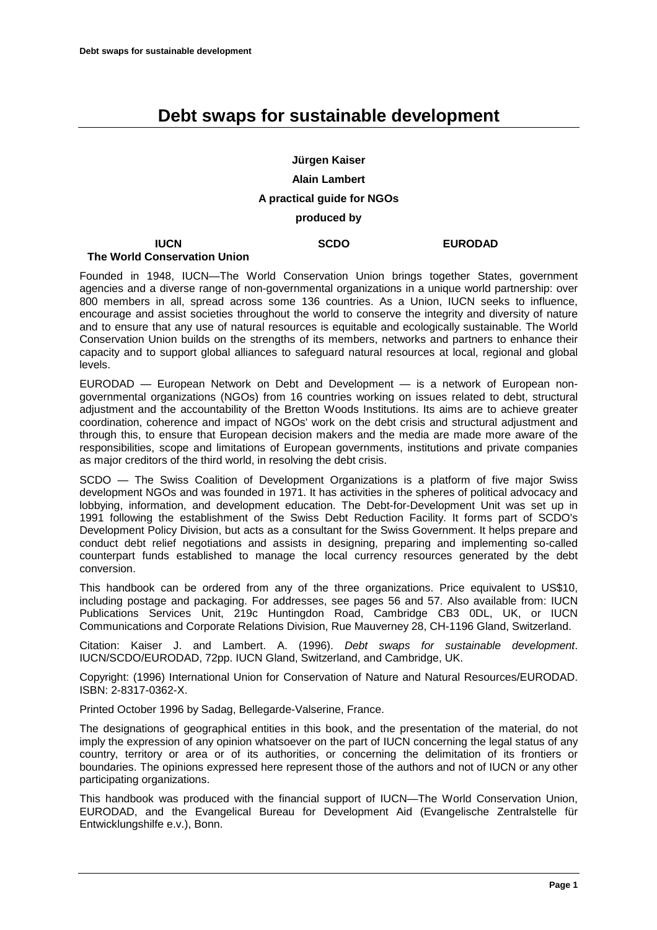# **Debt swaps for sustainable development**

# **Jürgen Kaiser Alain Lambert A practical guide for NGOs produced by**

**SCDO EURODAD**

#### **IUCN The World Conservation Union**

Founded in 1948, IUCN—The World Conservation Union brings together States, government agencies and a diverse range of non-governmental organizations in a unique world partnership: over 800 members in all, spread across some 136 countries. As a Union, IUCN seeks to influence, encourage and assist societies throughout the world to conserve the integrity and diversity of nature and to ensure that any use of natural resources is equitable and ecologically sustainable. The World Conservation Union builds on the strengths of its members, networks and partners to enhance their capacity and to support global alliances to safeguard natural resources at local, regional and global levels.

EURODAD — European Network on Debt and Development — is a network of European nongovernmental organizations (NGOs) from 16 countries working on issues related to debt, structural adjustment and the accountability of the Bretton Woods Institutions. Its aims are to achieve greater coordination, coherence and impact of NGOs' work on the debt crisis and structural adjustment and through this, to ensure that European decision makers and the media are made more aware of the responsibilities, scope and limitations of European governments, institutions and private companies as major creditors of the third world, in resolving the debt crisis.

SCDO — The Swiss Coalition of Development Organizations is a platform of five major Swiss development NGOs and was founded in 1971. It has activities in the spheres of political advocacy and lobbying, information, and development education. The Debt-for-Development Unit was set up in 1991 following the establishment of the Swiss Debt Reduction Facility. It forms part of SCDO's Development Policy Division, but acts as a consultant for the Swiss Government. It helps prepare and conduct debt relief negotiations and assists in designing, preparing and implementing so-called counterpart funds established to manage the local currency resources generated by the debt conversion.

This handbook can be ordered from any of the three organizations. Price equivalent to US\$10, including postage and packaging. For addresses, see pages 56 and 57. Also available from: IUCN Publications Services Unit, 219c Huntingdon Road, Cambridge CB3 0DL, UK, or IUCN Communications and Corporate Relations Division, Rue Mauverney 28, CH-1196 Gland, Switzerland.

Citation: Kaiser J. and Lambert. A. (1996). *Debt swaps for sustainable development*. IUCN/SCDO/EURODAD, 72pp. IUCN Gland, Switzerland, and Cambridge, UK.

Copyright: (1996) International Union for Conservation of Nature and Natural Resources/EURODAD. ISBN: 2-8317-0362-X.

Printed October 1996 by Sadag, Bellegarde-Valserine, France.

The designations of geographical entities in this book, and the presentation of the material, do not imply the expression of any opinion whatsoever on the part of IUCN concerning the legal status of any country, territory or area or of its authorities, or concerning the delimitation of its frontiers or boundaries. The opinions expressed here represent those of the authors and not of IUCN or any other participating organizations.

This handbook was produced with the financial support of IUCN—The World Conservation Union, EURODAD, and the Evangelical Bureau for Development Aid (Evangelische Zentralstelle für Entwicklungshilfe e.v.), Bonn.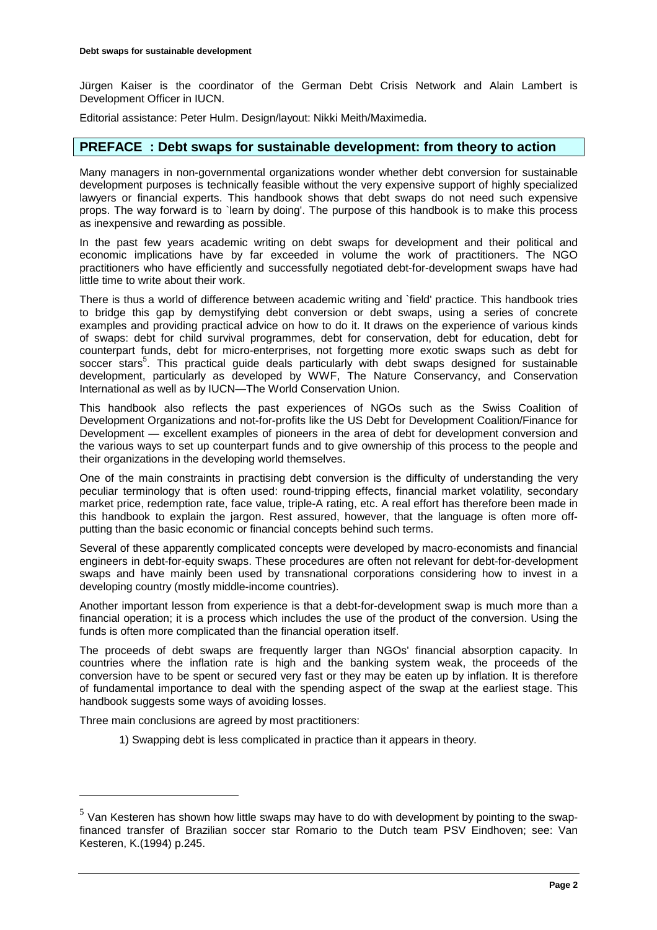Jürgen Kaiser is the coordinator of the German Debt Crisis Network and Alain Lambert is Development Officer in IUCN.

Editorial assistance: Peter Hulm. Design/layout: Nikki Meith/Maximedia.

### **PREFACE : Debt swaps for sustainable development: from theory to action**

Many managers in non-governmental organizations wonder whether debt conversion for sustainable development purposes is technically feasible without the very expensive support of highly specialized lawyers or financial experts. This handbook shows that debt swaps do not need such expensive props. The way forward is to `learn by doing'. The purpose of this handbook is to make this process as inexpensive and rewarding as possible.

In the past few years academic writing on debt swaps for development and their political and economic implications have by far exceeded in volume the work of practitioners. The NGO practitioners who have efficiently and successfully negotiated debt-for-development swaps have had little time to write about their work.

There is thus a world of difference between academic writing and `field' practice. This handbook tries to bridge this gap by demystifying debt conversion or debt swaps, using a series of concrete examples and providing practical advice on how to do it. It draws on the experience of various kinds of swaps: debt for child survival programmes, debt for conservation, debt for education, debt for counterpart funds, debt for micro-enterprises, not forgetting more exotic swaps such as debt for soccer stars<sup>5</sup>. This practical guide deals particularly with debt swaps designed for sustainable development, particularly as developed by WWF, The Nature Conservancy, and Conservation International as well as by IUCN—The World Conservation Union.

This handbook also reflects the past experiences of NGOs such as the Swiss Coalition of Development Organizations and not-for-profits like the US Debt for Development Coalition/Finance for Development — excellent examples of pioneers in the area of debt for development conversion and the various ways to set up counterpart funds and to give ownership of this process to the people and their organizations in the developing world themselves.

One of the main constraints in practising debt conversion is the difficulty of understanding the very peculiar terminology that is often used: round-tripping effects, financial market volatility, secondary market price, redemption rate, face value, triple-A rating, etc. A real effort has therefore been made in this handbook to explain the jargon. Rest assured, however, that the language is often more offputting than the basic economic or financial concepts behind such terms.

Several of these apparently complicated concepts were developed by macro-economists and financial engineers in debt-for-equity swaps. These procedures are often not relevant for debt-for-development swaps and have mainly been used by transnational corporations considering how to invest in a developing country (mostly middle-income countries).

Another important lesson from experience is that a debt-for-development swap is much more than a financial operation; it is a process which includes the use of the product of the conversion. Using the funds is often more complicated than the financial operation itself.

The proceeds of debt swaps are frequently larger than NGOs' financial absorption capacity. In countries where the inflation rate is high and the banking system weak, the proceeds of the conversion have to be spent or secured very fast or they may be eaten up by inflation. It is therefore of fundamental importance to deal with the spending aspect of the swap at the earliest stage. This handbook suggests some ways of avoiding losses.

Three main conclusions are agreed by most practitioners:

 $\overline{a}$ 

1) Swapping debt is less complicated in practice than it appears in theory.

 $5$  Van Kesteren has shown how little swaps may have to do with development by pointing to the swapfinanced transfer of Brazilian soccer star Romario to the Dutch team PSV Eindhoven; see: Van Kesteren, K.(1994) p.245.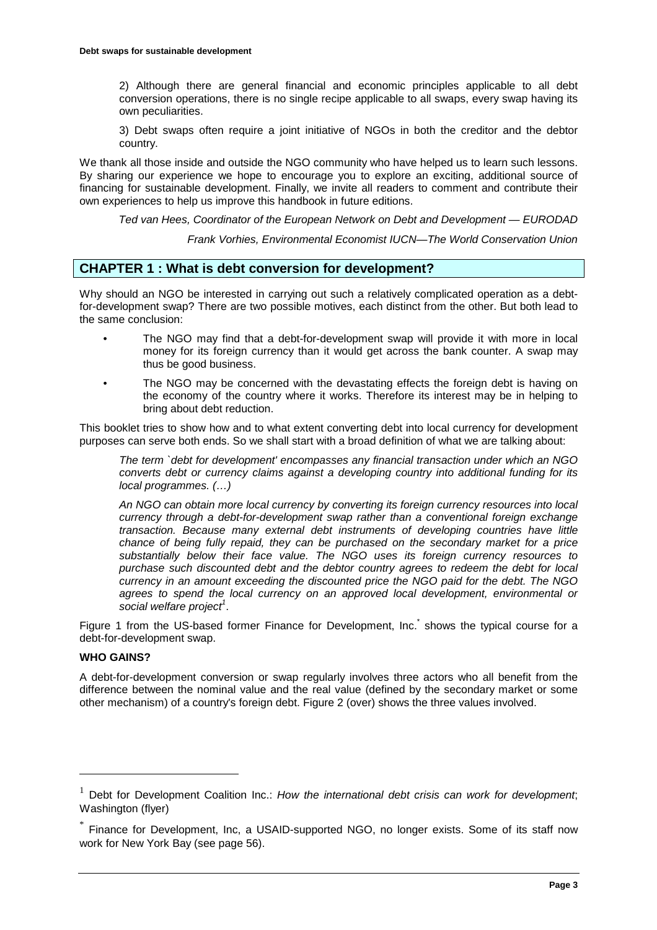2) Although there are general financial and economic principles applicable to all debt conversion operations, there is no single recipe applicable to all swaps, every swap having its own peculiarities.

3) Debt swaps often require a joint initiative of NGOs in both the creditor and the debtor country.

We thank all those inside and outside the NGO community who have helped us to learn such lessons. By sharing our experience we hope to encourage you to explore an exciting, additional source of financing for sustainable development. Finally, we invite all readers to comment and contribute their own experiences to help us improve this handbook in future editions.

*Ted van Hees, Coordinator of the European Network on Debt and Development — EURODAD*

*Frank Vorhies, Environmental Economist IUCN—The World Conservation Union*

# **CHAPTER 1 : What is debt conversion for development?**

Why should an NGO be interested in carrying out such a relatively complicated operation as a debtfor-development swap? There are two possible motives, each distinct from the other. But both lead to the same conclusion:

- The NGO may find that a debt-for-development swap will provide it with more in local money for its foreign currency than it would get across the bank counter. A swap may thus be good business.
- The NGO may be concerned with the devastating effects the foreign debt is having on the economy of the country where it works. Therefore its interest may be in helping to bring about debt reduction.

This booklet tries to show how and to what extent converting debt into local currency for development purposes can serve both ends. So we shall start with a broad definition of what we are talking about:

*The term `debt for development' encompasses any financial transaction under which an NGO converts debt or currency claims against a developing country into additional funding for its local programmes. (…)*

*An NGO can obtain more local currency by converting its foreign currency resources into local currency through a debt-for-development swap rather than a conventional foreign exchange transaction. Because many external debt instruments of developing countries have little chance of being fully repaid, they can be purchased on the secondary market for a price substantially below their face value. The NGO uses its foreign currency resources to purchase such discounted debt and the debtor country agrees to redeem the debt for local currency in an amount exceeding the discounted price the NGO paid for the debt. The NGO agrees to spend the local currency on an approved local development, environmental or*  social welfare project<sup>1</sup>.

Figure 1 from the US-based former Finance for Development, Inc. shows the typical course for a debt-for-development swap.

### **WHO GAINS?**

 $\overline{a}$ 

A debt-for-development conversion or swap regularly involves three actors who all benefit from the difference between the nominal value and the real value (defined by the secondary market or some other mechanism) of a country's foreign debt. Figure 2 (over) shows the three values involved.

<sup>&</sup>lt;sup>1</sup> Debt for Development Coalition Inc.: *How the international debt crisis can work for development*; Washington (flyer)

Finance for Development, Inc, a USAID-supported NGO, no longer exists. Some of its staff now work for New York Bay (see page 56).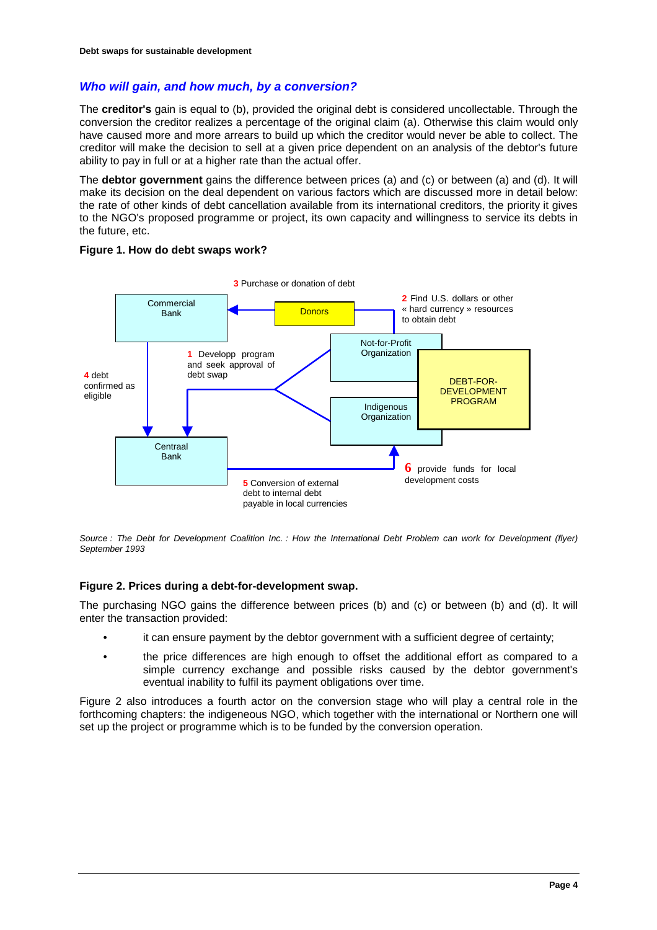# *Who will gain, and how much, by a conversion?*

The **creditor's** gain is equal to (b), provided the original debt is considered uncollectable. Through the conversion the creditor realizes a percentage of the original claim (a). Otherwise this claim would only have caused more and more arrears to build up which the creditor would never be able to collect. The creditor will make the decision to sell at a given price dependent on an analysis of the debtor's future ability to pay in full or at a higher rate than the actual offer.

The **debtor government** gains the difference between prices (a) and (c) or between (a) and (d). It will make its decision on the deal dependent on various factors which are discussed more in detail below: the rate of other kinds of debt cancellation available from its international creditors, the priority it gives to the NGO's proposed programme or project, its own capacity and willingness to service its debts in the future, etc.



#### **Figure 1. How do debt swaps work?**

*Source : The Debt for Development Coalition Inc. : How the International Debt Problem can work for Development (flyer) September 1993*

#### **Figure 2. Prices during a debt-for-development swap.**

The purchasing NGO gains the difference between prices (b) and (c) or between (b) and (d). It will enter the transaction provided:

- it can ensure payment by the debtor government with a sufficient degree of certainty;
- the price differences are high enough to offset the additional effort as compared to a simple currency exchange and possible risks caused by the debtor government's eventual inability to fulfil its payment obligations over time.

Figure 2 also introduces a fourth actor on the conversion stage who will play a central role in the forthcoming chapters: the indigeneous NGO, which together with the international or Northern one will set up the project or programme which is to be funded by the conversion operation.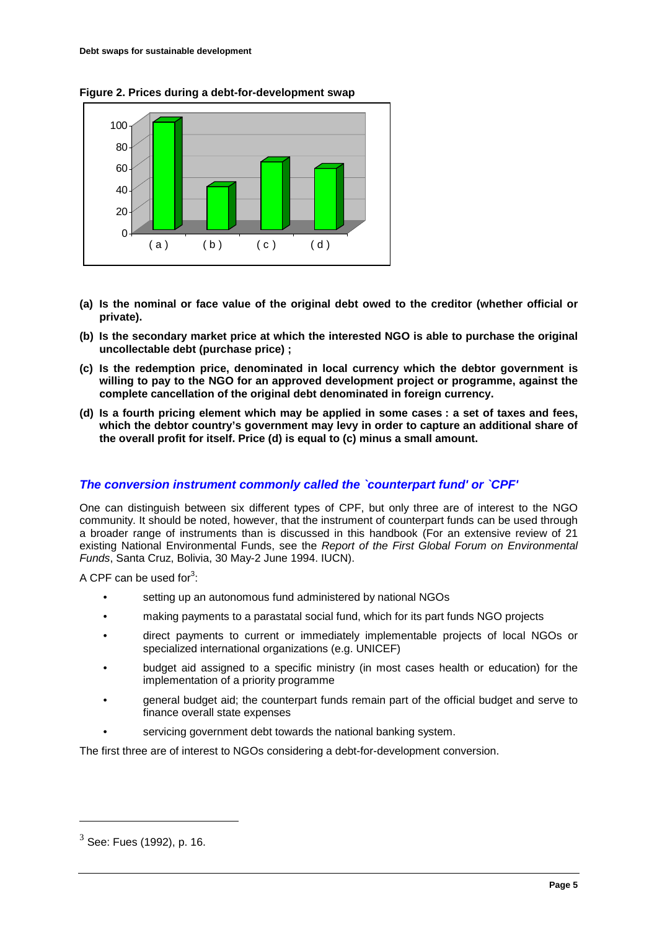



- **(a) Is the nominal or face value of the original debt owed to the creditor (whether official or private).**
- **(b) Is the secondary market price at which the interested NGO is able to purchase the original uncollectable debt (purchase price) ;**
- **(c) Is the redemption price, denominated in local currency which the debtor government is willing to pay to the NGO for an approved development project or programme, against the complete cancellation of the original debt denominated in foreign currency.**
- **(d) Is a fourth pricing element which may be applied in some cases : a set of taxes and fees, which the debtor country's government may levy in order to capture an additional share of the overall profit for itself. Price (d) is equal to (c) minus a small amount.**

# *The conversion instrument commonly called the `counterpart fund' or `CPF'*

One can distinguish between six different types of CPF, but only three are of interest to the NGO community. It should be noted, however, that the instrument of counterpart funds can be used through a broader range of instruments than is discussed in this handbook (For an extensive review of 21 existing National Environmental Funds, see the *Report of the First Global Forum on Environmental Funds*, Santa Cruz, Bolivia, 30 May-2 June 1994. IUCN).

A CPF can be used for $3$ :

- setting up an autonomous fund administered by national NGOs
- making payments to a parastatal social fund, which for its part funds NGO projects
- direct payments to current or immediately implementable projects of local NGOs or specialized international organizations (e.g. UNICEF)
- budget aid assigned to a specific ministry (in most cases health or education) for the implementation of a priority programme
- general budget aid; the counterpart funds remain part of the official budget and serve to finance overall state expenses
- servicing government debt towards the national banking system.

The first three are of interest to NGOs considering a debt-for-development conversion.

 $3$  See: Fues (1992), p. 16.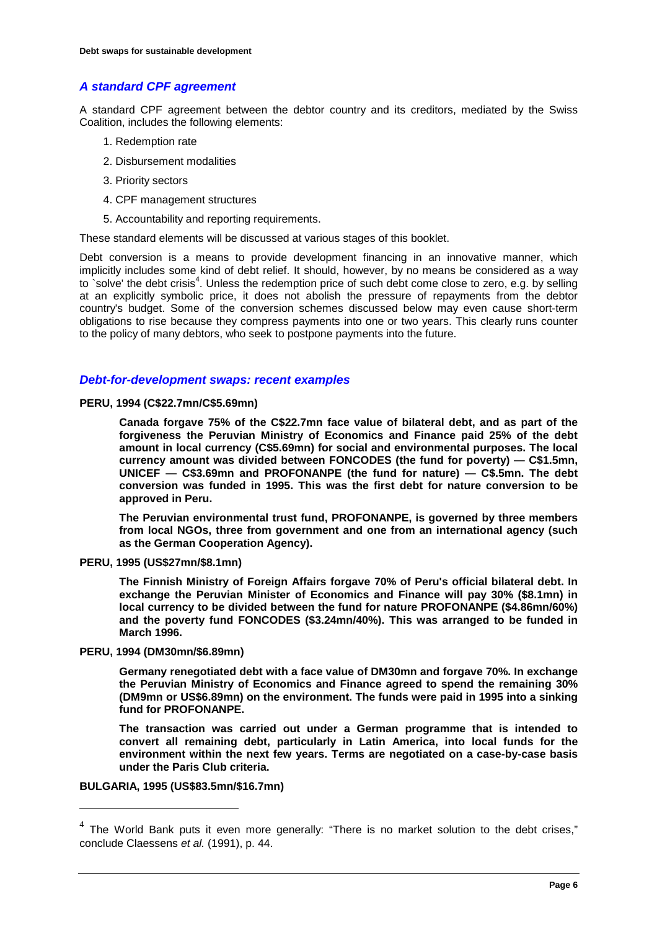# *A standard CPF agreement*

A standard CPF agreement between the debtor country and its creditors, mediated by the Swiss Coalition, includes the following elements:

- 1. Redemption rate
- 2. Disbursement modalities
- 3. Priority sectors
- 4. CPF management structures
- 5. Accountability and reporting requirements.

These standard elements will be discussed at various stages of this booklet.

Debt conversion is a means to provide development financing in an innovative manner, which implicitly includes some kind of debt relief. It should, however, by no means be considered as a way to `solve' the debt crisis<sup>4</sup>. Unless the redemption price of such debt come close to zero, e.g. by selling at an explicitly symbolic price, it does not abolish the pressure of repayments from the debtor country's budget. Some of the conversion schemes discussed below may even cause short-term obligations to rise because they compress payments into one or two years. This clearly runs counter to the policy of many debtors, who seek to postpone payments into the future.

### *Debt-for-development swaps: recent examples*

**PERU, 1994 (C\$22.7mn/C\$5.69mn)**

**Canada forgave 75% of the C\$22.7mn face value of bilateral debt, and as part of the forgiveness the Peruvian Ministry of Economics and Finance paid 25% of the debt amount in local currency (C\$5.69mn) for social and environmental purposes. The local currency amount was divided between FONCODES (the fund for poverty) — C\$1.5mn, UNICEF — C\$3.69mn and PROFONANPE (the fund for nature) — C\$.5mn. The debt conversion was funded in 1995. This was the first debt for nature conversion to be approved in Peru.**

**The Peruvian environmental trust fund, PROFONANPE, is governed by three members from local NGOs, three from government and one from an international agency (such as the German Cooperation Agency).**

**PERU, 1995 (US\$27mn/\$8.1mn)**

**The Finnish Ministry of Foreign Affairs forgave 70% of Peru's official bilateral debt. In exchange the Peruvian Minister of Economics and Finance will pay 30% (\$8.1mn) in local currency to be divided between the fund for nature PROFONANPE (\$4.86mn/60%) and the poverty fund FONCODES (\$3.24mn/40%). This was arranged to be funded in March 1996.**

**PERU, 1994 (DM30mn/\$6.89mn)**

**Germany renegotiated debt with a face value of DM30mn and forgave 70%. In exchange the Peruvian Ministry of Economics and Finance agreed to spend the remaining 30% (DM9mn or US\$6.89mn) on the environment. The funds were paid in 1995 into a sinking fund for PROFONANPE.**

**The transaction was carried out under a German programme that is intended to convert all remaining debt, particularly in Latin America, into local funds for the environment within the next few years. Terms are negotiated on a case-by-case basis under the Paris Club criteria.**

#### **BULGARIA, 1995 (US\$83.5mn/\$16.7mn)**

 $4$  The World Bank puts it even more generally: "There is no market solution to the debt crises," conclude Claessens *et al.* (1991), p. 44.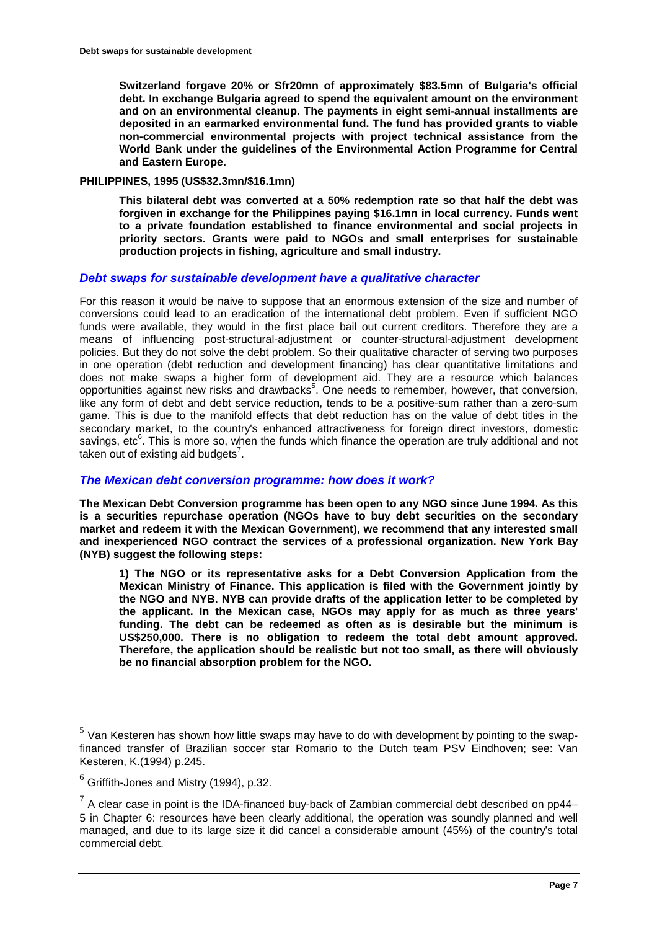**Switzerland forgave 20% or Sfr20mn of approximately \$83.5mn of Bulgaria's official debt. In exchange Bulgaria agreed to spend the equivalent amount on the environment and on an environmental cleanup. The payments in eight semi-annual installments are deposited in an earmarked environmental fund. The fund has provided grants to viable non-commercial environmental projects with project technical assistance from the World Bank under the guidelines of the Environmental Action Programme for Central and Eastern Europe.**

### **PHILIPPINES, 1995 (US\$32.3mn/\$16.1mn)**

**This bilateral debt was converted at a 50% redemption rate so that half the debt was forgiven in exchange for the Philippines paying \$16.1mn in local currency. Funds went to a private foundation established to finance environmental and social projects in priority sectors. Grants were paid to NGOs and small enterprises for sustainable production projects in fishing, agriculture and small industry.**

### *Debt swaps for sustainable development have a qualitative character*

For this reason it would be naive to suppose that an enormous extension of the size and number of conversions could lead to an eradication of the international debt problem. Even if sufficient NGO funds were available, they would in the first place bail out current creditors. Therefore they are a means of influencing post-structural-adjustment or counter-structural-adjustment development policies. But they do not solve the debt problem. So their qualitative character of serving two purposes in one operation (debt reduction and development financing) has clear quantitative limitations and does not make swaps a higher form of development aid. They are a resource which balances opportunities against new risks and drawbacks<sup>5</sup>. One needs to remember, however, that conversion, like any form of debt and debt service reduction, tends to be a positive-sum rather than a zero-sum game. This is due to the manifold effects that debt reduction has on the value of debt titles in the secondary market, to the country's enhanced attractiveness for foreign direct investors, domestic savings, etc<sup>6</sup>. This is more so, when the funds which finance the operation are truly additional and not taken out of existing aid budgets<sup>7</sup>.

# *The Mexican debt conversion programme: how does it work?*

**The Mexican Debt Conversion programme has been open to any NGO since June 1994. As this is a securities repurchase operation (NGOs have to buy debt securities on the secondary market and redeem it with the Mexican Government), we recommend that any interested small and inexperienced NGO contract the services of a professional organization. New York Bay (NYB) suggest the following steps:**

**1) The NGO or its representative asks for a Debt Conversion Application from the Mexican Ministry of Finance. This application is filed with the Government jointly by the NGO and NYB. NYB can provide drafts of the application letter to be completed by the applicant. In the Mexican case, NGOs may apply for as much as three years' funding. The debt can be redeemed as often as is desirable but the minimum is US\$250,000. There is no obligation to redeem the total debt amount approved. Therefore, the application should be realistic but not too small, as there will obviously be no financial absorption problem for the NGO.**

 $5$  Van Kesteren has shown how little swaps may have to do with development by pointing to the swapfinanced transfer of Brazilian soccer star Romario to the Dutch team PSV Eindhoven; see: Van Kesteren, K.(1994) p.245.

 $<sup>6</sup>$  Griffith-Jones and Mistry (1994), p.32.</sup>

 $7$  A clear case in point is the IDA-financed buy-back of Zambian commercial debt described on pp44– 5 in Chapter 6: resources have been clearly additional, the operation was soundly planned and well managed, and due to its large size it did cancel a considerable amount (45%) of the country's total commercial debt.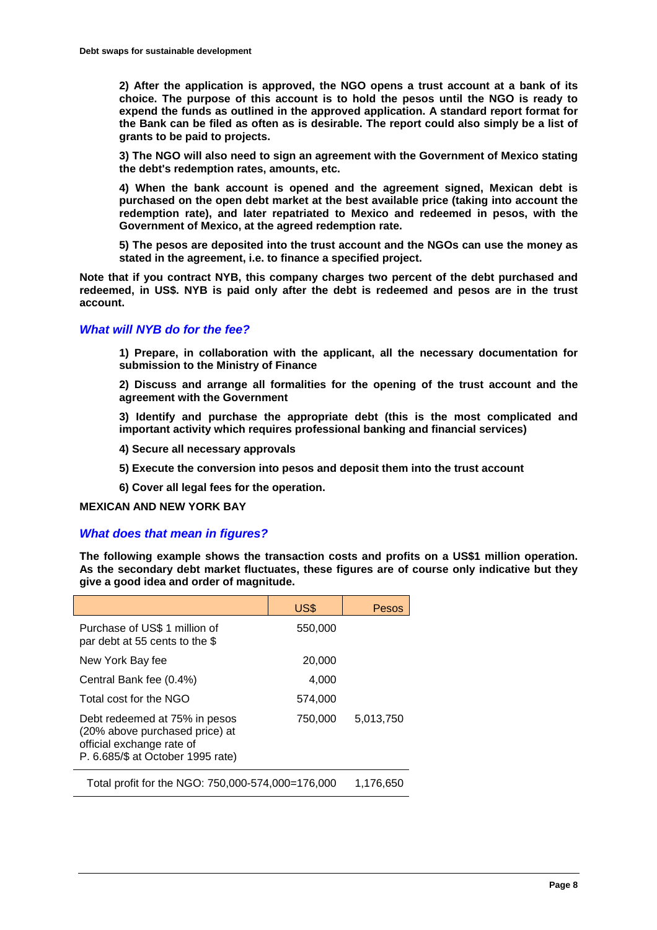**2) After the application is approved, the NGO opens a trust account at a bank of its choice. The purpose of this account is to hold the pesos until the NGO is ready to expend the funds as outlined in the approved application. A standard report format for the Bank can be filed as often as is desirable. The report could also simply be a list of grants to be paid to projects.**

**3) The NGO will also need to sign an agreement with the Government of Mexico stating the debt's redemption rates, amounts, etc.**

**4) When the bank account is opened and the agreement signed, Mexican debt is purchased on the open debt market at the best available price (taking into account the redemption rate), and later repatriated to Mexico and redeemed in pesos, with the Government of Mexico, at the agreed redemption rate.**

**5) The pesos are deposited into the trust account and the NGOs can use the money as stated in the agreement, i.e. to finance a specified project.**

**Note that if you contract NYB, this company charges two percent of the debt purchased and redeemed, in US\$. NYB is paid only after the debt is redeemed and pesos are in the trust account.**

# *What will NYB do for the fee?*

**1) Prepare, in collaboration with the applicant, all the necessary documentation for submission to the Ministry of Finance**

**2) Discuss and arrange all formalities for the opening of the trust account and the agreement with the Government**

**3) Identify and purchase the appropriate debt (this is the most complicated and important activity which requires professional banking and financial services)**

**4) Secure all necessary approvals**

**5) Execute the conversion into pesos and deposit them into the trust account**

**6) Cover all legal fees for the operation.**

#### **MEXICAN AND NEW YORK BAY**

# *What does that mean in figures?*

**The following example shows the transaction costs and profits on a US\$1 million operation. As the secondary debt market fluctuates, these figures are of course only indicative but they give a good idea and order of magnitude.**

|                                                                                                                                   | US\$      | Pesos     |
|-----------------------------------------------------------------------------------------------------------------------------------|-----------|-----------|
| Purchase of US\$ 1 million of<br>par debt at 55 cents to the \$                                                                   | 550,000   |           |
| New York Bay fee                                                                                                                  | 20,000    |           |
| Central Bank fee (0.4%)                                                                                                           | 4,000     |           |
| Total cost for the NGO                                                                                                            | 574,000   |           |
| Debt redeemed at 75% in pesos<br>(20% above purchased price) at<br>official exchange rate of<br>P. 6.685/\$ at October 1995 rate) | 750,000   | 5,013,750 |
| Total profit for the NGO: 750,000-574,000=176.000                                                                                 | 1,176,650 |           |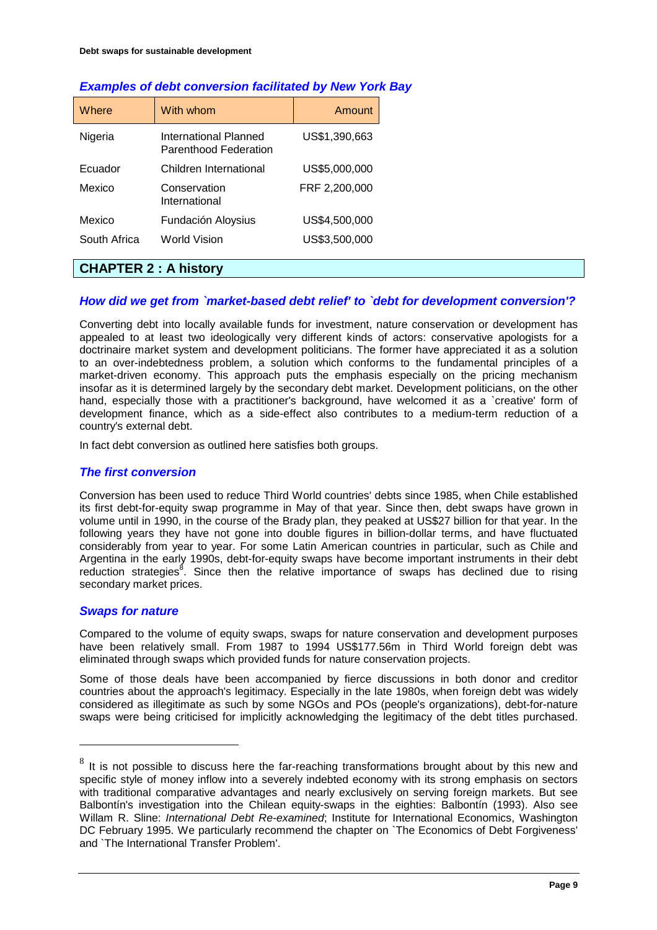| Where        | With whom                                      | Amount        |
|--------------|------------------------------------------------|---------------|
| Nigeria      | International Planned<br>Parenthood Federation | US\$1,390,663 |
| Fouador      | Children International                         | US\$5,000,000 |
| Mexico       | Conservation<br>International                  | FRF 2,200,000 |
| Mexico       | Fundación Aloysius                             | US\$4,500,000 |
| South Africa | World Vision                                   | US\$3,500,000 |

# *Examples of debt conversion facilitated by New York Bay*

# **CHAPTER 2 : A history**

# *How did we get from `market-based debt relief' to `debt for development conversion'?*

Converting debt into locally available funds for investment, nature conservation or development has appealed to at least two ideologically very different kinds of actors: conservative apologists for a doctrinaire market system and development politicians. The former have appreciated it as a solution to an over-indebtedness problem, a solution which conforms to the fundamental principles of a market-driven economy. This approach puts the emphasis especially on the pricing mechanism insofar as it is determined largely by the secondary debt market. Development politicians, on the other hand, especially those with a practitioner's background, have welcomed it as a `creative' form of development finance, which as a side-effect also contributes to a medium-term reduction of a country's external debt.

In fact debt conversion as outlined here satisfies both groups.

#### *The first conversion*

Conversion has been used to reduce Third World countries' debts since 1985, when Chile established its first debt-for-equity swap programme in May of that year. Since then, debt swaps have grown in volume until in 1990, in the course of the Brady plan, they peaked at US\$27 billion for that year. In the following years they have not gone into double figures in billion-dollar terms, and have fluctuated considerably from year to year. For some Latin American countries in particular, such as Chile and Argentina in the early 1990s, debt-for-equity swaps have become important instruments in their debt reduction strategies<sup>8</sup>. Since then the relative importance of swaps has declined due to rising secondary market prices.

# *Swaps for nature*

 $\overline{a}$ 

Compared to the volume of equity swaps, swaps for nature conservation and development purposes have been relatively small. From 1987 to 1994 US\$177.56m in Third World foreign debt was eliminated through swaps which provided funds for nature conservation projects.

Some of those deals have been accompanied by fierce discussions in both donor and creditor countries about the approach's legitimacy. Especially in the late 1980s, when foreign debt was widely considered as illegitimate as such by some NGOs and POs (people's organizations), debt-for-nature swaps were being criticised for implicitly acknowledging the legitimacy of the debt titles purchased.

 $8$  It is not possible to discuss here the far-reaching transformations brought about by this new and specific style of money inflow into a severely indebted economy with its strong emphasis on sectors with traditional comparative advantages and nearly exclusively on serving foreign markets. But see Balbontín's investigation into the Chilean equity-swaps in the eighties: Balbontín (1993). Also see Willam R. Sline: *International Debt Re-examined*; Institute for International Economics, Washington DC February 1995. We particularly recommend the chapter on `The Economics of Debt Forgiveness' and `The International Transfer Problem'.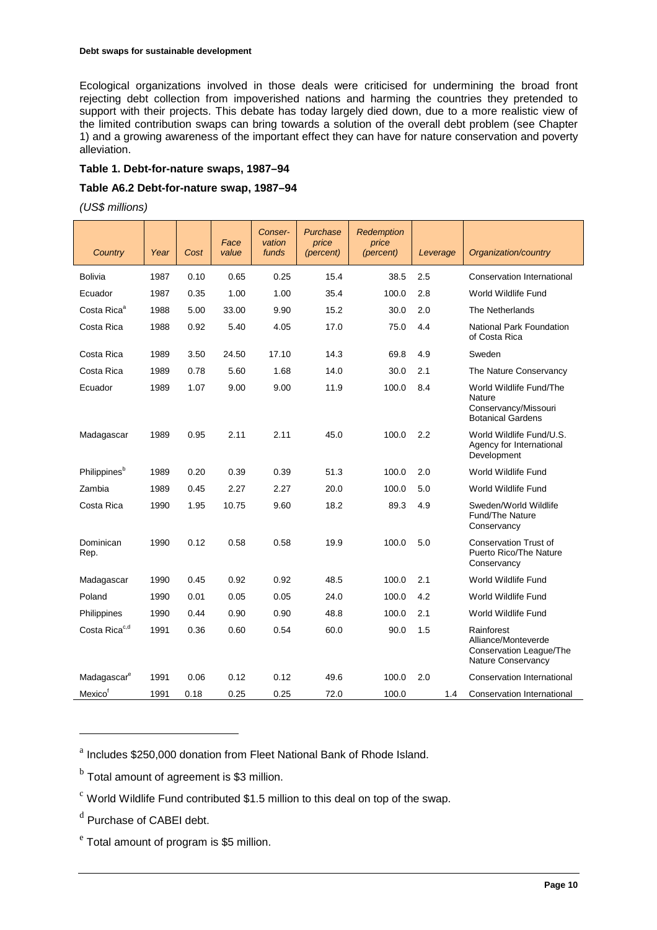Ecological organizations involved in those deals were criticised for undermining the broad front rejecting debt collection from impoverished nations and harming the countries they pretended to support with their projects. This debate has today largely died down, due to a more realistic view of the limited contribution swaps can bring towards a solution of the overall debt problem (see Chapter 1) and a growing awareness of the important effect they can have for nature conservation and poverty alleviation.

#### **Table 1. Debt-for-nature swaps, 1987–94**

# **Table A6.2 Debt-for-nature swap, 1987–94**

*(US\$ millions)*

| Country                   | Year | Cost | Face<br>value | Conser-<br>vation<br>funds | Purchase<br>price<br>(percent) | Redemption<br>price<br>(percent) | Leverage | Organization/country                                                                  |
|---------------------------|------|------|---------------|----------------------------|--------------------------------|----------------------------------|----------|---------------------------------------------------------------------------------------|
| <b>Bolivia</b>            | 1987 | 0.10 | 0.65          | 0.25                       | 15.4                           | 38.5                             | 2.5      | Conservation International                                                            |
| Ecuador                   | 1987 | 0.35 | 1.00          | 1.00                       | 35.4                           | 100.0                            | 2.8      | World Wildlife Fund                                                                   |
| Costa Rica <sup>a</sup>   | 1988 | 5.00 | 33.00         | 9.90                       | 15.2                           | 30.0                             | 2.0      | The Netherlands                                                                       |
| Costa Rica                | 1988 | 0.92 | 5.40          | 4.05                       | 17.0                           | 75.0                             | 4.4      | <b>National Park Foundation</b><br>of Costa Rica                                      |
| Costa Rica                | 1989 | 3.50 | 24.50         | 17.10                      | 14.3                           | 69.8                             | 4.9      | Sweden                                                                                |
| Costa Rica                | 1989 | 0.78 | 5.60          | 1.68                       | 14.0                           | 30.0                             | 2.1      | The Nature Conservancy                                                                |
| Ecuador                   | 1989 | 1.07 | 9.00          | 9.00                       | 11.9                           | 100.0                            | 8.4      | World Wildlife Fund/The<br>Nature<br>Conservancy/Missouri<br><b>Botanical Gardens</b> |
| Madagascar                | 1989 | 0.95 | 2.11          | 2.11                       | 45.0                           | 100.0                            | 2.2      | World Wildlife Fund/U.S.<br>Agency for International<br>Development                   |
| Philippines <sup>b</sup>  | 1989 | 0.20 | 0.39          | 0.39                       | 51.3                           | 100.0                            | 2.0      | World Wildlife Fund                                                                   |
| Zambia                    | 1989 | 0.45 | 2.27          | 2.27                       | 20.0                           | 100.0                            | 5.0      | World Wildlife Fund                                                                   |
| Costa Rica                | 1990 | 1.95 | 10.75         | 9.60                       | 18.2                           | 89.3                             | 4.9      | Sweden/World Wildlife<br><b>Fund/The Nature</b><br>Conservancy                        |
| Dominican<br>Rep.         | 1990 | 0.12 | 0.58          | 0.58                       | 19.9                           | 100.0                            | 5.0      | <b>Conservation Trust of</b><br>Puerto Rico/The Nature<br>Conservancy                 |
| Madagascar                | 1990 | 0.45 | 0.92          | 0.92                       | 48.5                           | 100.0                            | 2.1      | World Wildlife Fund                                                                   |
| Poland                    | 1990 | 0.01 | 0.05          | 0.05                       | 24.0                           | 100.0                            | 4.2      | World Wildlife Fund                                                                   |
| Philippines               | 1990 | 0.44 | 0.90          | 0.90                       | 48.8                           | 100.0                            | 2.1      | World Wildlife Fund                                                                   |
| Costa Rica <sup>c,d</sup> | 1991 | 0.36 | 0.60          | 0.54                       | 60.0                           | 90.0                             | 1.5      | Rainforest<br>Alliance/Monteverde<br>Conservation League/The<br>Nature Conservancy    |
| Madagascar <sup>e</sup>   | 1991 | 0.06 | 0.12          | 0.12                       | 49.6                           | 100.0                            | 2.0      | <b>Conservation International</b>                                                     |
| Mexico <sup>f</sup>       | 1991 | 0.18 | 0.25          | 0.25                       | 72.0                           | 100.0                            | 1.4      | Conservation International                                                            |

<sup>a</sup> Includes \$250,000 donation from Fleet National Bank of Rhode Island.

 $<sup>b</sup>$  Total amount of agreement is \$3 million.</sup>

 $\degree$  World Wildlife Fund contributed \$1.5 million to this deal on top of the swap.

<sup>d</sup> Purchase of CABEI debt.

 $\overline{a}$ 

 $e^{\text{e}}$  Total amount of program is \$5 million.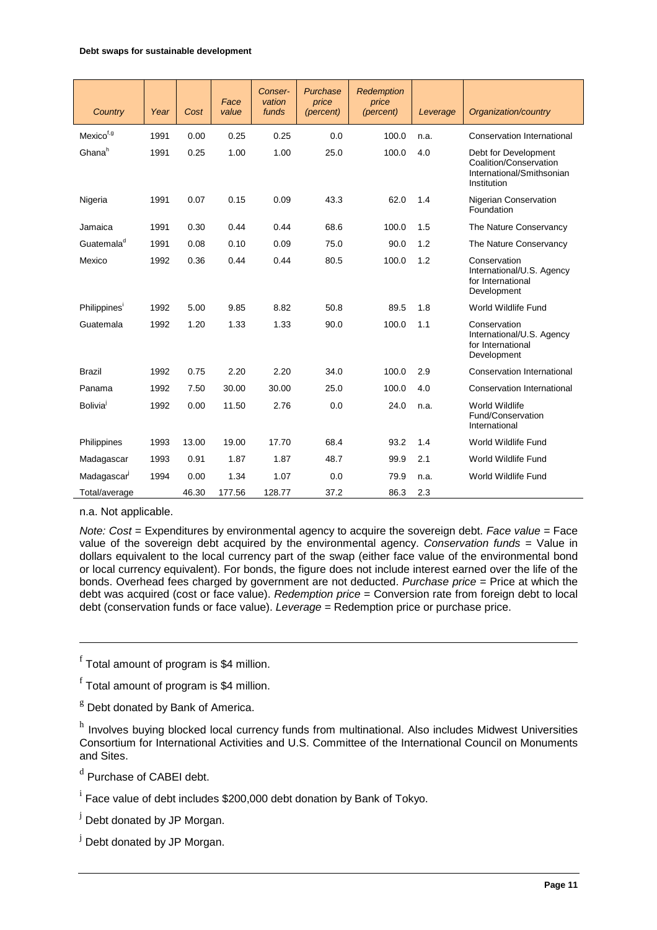| Country                  | Year | Cost  | Face<br>value | Conser-<br>vation<br>funds | Purchase<br>price<br>(percent) | <b>Redemption</b><br>price<br>(percent) | Leverage | Organization/country                                                                       |
|--------------------------|------|-------|---------------|----------------------------|--------------------------------|-----------------------------------------|----------|--------------------------------------------------------------------------------------------|
| Mexico <sup>f,g</sup>    | 1991 | 0.00  | 0.25          | 0.25                       | 0.0                            | 100.0                                   | n.a.     | <b>Conservation International</b>                                                          |
| Ghana <sup>h</sup>       | 1991 | 0.25  | 1.00          | 1.00                       | 25.0                           | 100.0                                   | 4.0      | Debt for Development<br>Coalition/Conservation<br>International/Smithsonian<br>Institution |
| Nigeria                  | 1991 | 0.07  | 0.15          | 0.09                       | 43.3                           | 62.0                                    | 1.4      | Nigerian Conservation<br>Foundation                                                        |
| Jamaica                  | 1991 | 0.30  | 0.44          | 0.44                       | 68.6                           | 100.0                                   | 1.5      | The Nature Conservancy                                                                     |
| Guatemala <sup>d</sup>   | 1991 | 0.08  | 0.10          | 0.09                       | 75.0                           | 90.0                                    | 1.2      | The Nature Conservancy                                                                     |
| Mexico                   | 1992 | 0.36  | 0.44          | 0.44                       | 80.5                           | 100.0                                   | 1.2      | Conservation<br>International/U.S. Agency<br>for International<br>Development              |
| Philippines <sup>'</sup> | 1992 | 5.00  | 9.85          | 8.82                       | 50.8                           | 89.5                                    | 1.8      | World Wildlife Fund                                                                        |
| Guatemala                | 1992 | 1.20  | 1.33          | 1.33                       | 90.0                           | 100.0                                   | 1.1      | Conservation<br>International/U.S. Agency<br>for International<br>Development              |
| <b>Brazil</b>            | 1992 | 0.75  | 2.20          | 2.20                       | 34.0                           | 100.0                                   | 2.9      | <b>Conservation International</b>                                                          |
| Panama                   | 1992 | 7.50  | 30.00         | 30.00                      | 25.0                           | 100.0                                   | 4.0      | <b>Conservation International</b>                                                          |
| Bolivia <sup>l</sup>     | 1992 | 0.00  | 11.50         | 2.76                       | 0.0                            | 24.0                                    | n.a.     | World Wildlife<br>Fund/Conservation<br>International                                       |
| Philippines              | 1993 | 13.00 | 19.00         | 17.70                      | 68.4                           | 93.2                                    | 1.4      | World Wildlife Fund                                                                        |
| Madagascar               | 1993 | 0.91  | 1.87          | 1.87                       | 48.7                           | 99.9                                    | 2.1      | World Wildlife Fund                                                                        |
| Madagascar               | 1994 | 0.00  | 1.34          | 1.07                       | 0.0                            | 79.9                                    | n.a.     | World Wildlife Fund                                                                        |
| Total/average            |      | 46.30 | 177.56        | 128.77                     | 37.2                           | 86.3                                    | 2.3      |                                                                                            |

n.a. Not applicable.

 $\overline{a}$ 

*Note: Cost* = Expenditures by environmental agency to acquire the sovereign debt. *Face value* = Face value of the sovereign debt acquired by the environmental agency. *Conservation funds* = Value in dollars equivalent to the local currency part of the swap (either face value of the environmental bond or local currency equivalent). For bonds, the figure does not include interest earned over the life of the bonds. Overhead fees charged by government are not deducted. *Purchase price* = Price at which the debt was acquired (cost or face value). *Redemption price* = Conversion rate from foreign debt to local debt (conservation funds or face value). *Leverage* = Redemption price or purchase price.

 $f$  Total amount of program is \$4 million.

 $f$  Total amount of program is \$4 million.

 $<sup>g</sup>$  Debt donated by Bank of America.</sup>

h Involves buying blocked local currency funds from multinational. Also includes Midwest Universities Consortium for International Activities and U.S. Committee of the International Council on Monuments and Sites.

<sup>d</sup> Purchase of CABEI debt.

<sup>j</sup> Debt donated by JP Morgan.

<sup>j</sup> Debt donated by JP Morgan.

<sup>&</sup>lt;sup>i</sup> Face value of debt includes \$200,000 debt donation by Bank of Tokyo.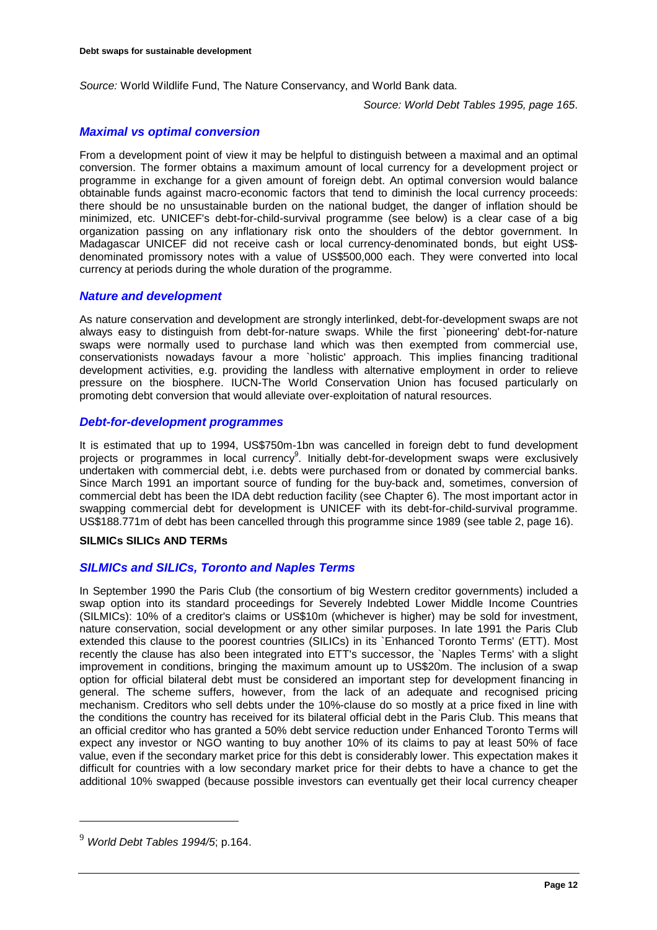*Source:* World Wildlife Fund, The Nature Conservancy, and World Bank data.

*Source: World Debt Tables 1995, page 165*.

### *Maximal vs optimal conversion*

From a development point of view it may be helpful to distinguish between a maximal and an optimal conversion. The former obtains a maximum amount of local currency for a development project or programme in exchange for a given amount of foreign debt. An optimal conversion would balance obtainable funds against macro-economic factors that tend to diminish the local currency proceeds: there should be no unsustainable burden on the national budget, the danger of inflation should be minimized, etc. UNICEF's debt-for-child-survival programme (see below) is a clear case of a big organization passing on any inflationary risk onto the shoulders of the debtor government. In Madagascar UNICEF did not receive cash or local currency-denominated bonds, but eight US\$ denominated promissory notes with a value of US\$500,000 each. They were converted into local currency at periods during the whole duration of the programme.

### *Nature and development*

As nature conservation and development are strongly interlinked, debt-for-development swaps are not always easy to distinguish from debt-for-nature swaps. While the first `pioneering' debt-for-nature swaps were normally used to purchase land which was then exempted from commercial use, conservationists nowadays favour a more `holistic' approach. This implies financing traditional development activities, e.g. providing the landless with alternative employment in order to relieve pressure on the biosphere. IUCN-The World Conservation Union has focused particularly on promoting debt conversion that would alleviate over-exploitation of natural resources.

#### *Debt-for-development programmes*

It is estimated that up to 1994, US\$750m-1bn was cancelled in foreign debt to fund development projects or programmes in local currency<sup>9</sup>. Initially debt-for-development swaps were exclusively undertaken with commercial debt, i.e. debts were purchased from or donated by commercial banks. Since March 1991 an important source of funding for the buy-back and, sometimes, conversion of commercial debt has been the IDA debt reduction facility (see Chapter 6). The most important actor in swapping commercial debt for development is UNICEF with its debt-for-child-survival programme. US\$188.771m of debt has been cancelled through this programme since 1989 (see table 2, page 16).

#### **SILMICs SILICs AND TERMs**

# *SILMICs and SILICs, Toronto and Naples Terms*

In September 1990 the Paris Club (the consortium of big Western creditor governments) included a swap option into its standard proceedings for Severely Indebted Lower Middle Income Countries (SILMICs): 10% of a creditor's claims or US\$10m (whichever is higher) may be sold for investment, nature conservation, social development or any other similar purposes. In late 1991 the Paris Club extended this clause to the poorest countries (SILICs) in its `Enhanced Toronto Terms' (ETT). Most recently the clause has also been integrated into ETT's successor, the `Naples Terms' with a slight improvement in conditions, bringing the maximum amount up to US\$20m. The inclusion of a swap option for official bilateral debt must be considered an important step for development financing in general. The scheme suffers, however, from the lack of an adequate and recognised pricing mechanism. Creditors who sell debts under the 10%-clause do so mostly at a price fixed in line with the conditions the country has received for its bilateral official debt in the Paris Club. This means that an official creditor who has granted a 50% debt service reduction under Enhanced Toronto Terms will expect any investor or NGO wanting to buy another 10% of its claims to pay at least 50% of face value, even if the secondary market price for this debt is considerably lower. This expectation makes it difficult for countries with a low secondary market price for their debts to have a chance to get the additional 10% swapped (because possible investors can eventually get their local currency cheaper

<sup>9</sup> *World Debt Tables 1994/5*; p.164.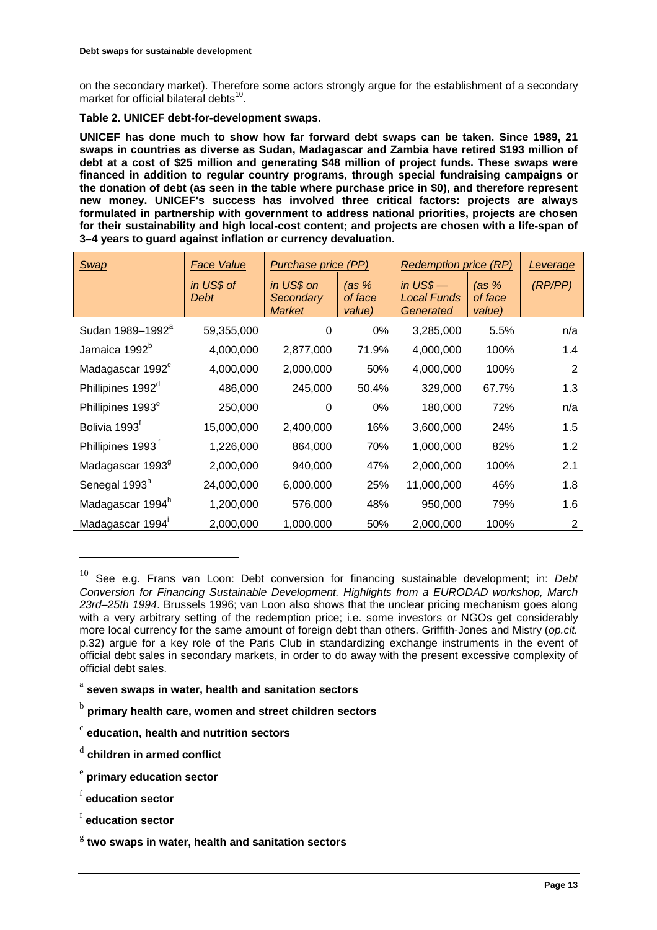on the secondary market). Therefore some actors strongly argue for the establishment of a secondary market for official bilateral debts $10$ .

**Table 2. UNICEF debt-for-development swaps.**

**UNICEF has done much to show how far forward debt swaps can be taken. Since 1989, 21 swaps in countries as diverse as Sudan, Madagascar and Zambia have retired \$193 million of debt at a cost of \$25 million and generating \$48 million of project funds. These swaps were financed in addition to regular country programs, through special fundraising campaigns or the donation of debt (as seen in the table where purchase price in \$0), and therefore represent new money. UNICEF's success has involved three critical factors: projects are always formulated in partnership with government to address national priorities, projects are chosen for their sustainability and high local-cost content; and projects are chosen with a life-span of 3–4 years to guard against inflation or currency devaluation.**

| Swap                          | <b>Face Value</b>  | Purchase price (PP)                      |                              | <b>Redemption price (RP)</b>           |                              | Leverage |
|-------------------------------|--------------------|------------------------------------------|------------------------------|----------------------------------------|------------------------------|----------|
|                               | in US\$ of<br>Debt | in US\$ on<br>Secondary<br><b>Market</b> | (as $%$<br>of face<br>value) | in $USS$ —<br>Local Funds<br>Generated | (as $%$<br>of face<br>value) | (RP/PP)  |
| Sudan 1989-1992 <sup>ª</sup>  | 59,355,000         | 0                                        | 0%                           | 3,285,000                              | 5.5%                         | n/a      |
| Jamaica 1992 <sup>b</sup>     | 4,000,000          | 2,877,000                                | 71.9%                        | 4,000,000                              | 100%                         | 1.4      |
| Madagascar 1992 <sup>c</sup>  | 4,000,000          | 2,000,000                                | 50%                          | 4,000,000                              | 100%                         | 2        |
| Phillipines 1992 <sup>d</sup> | 486,000            | 245,000                                  | 50.4%                        | 329,000                                | 67.7%                        | 1.3      |
| Phillipines 1993 <sup>e</sup> | 250,000            | 0                                        | 0%                           | 180,000                                | 72%                          | n/a      |
| Bolivia 1993 <sup>r</sup>     | 15,000,000         | 2,400,000                                | 16%                          | 3,600,000                              | 24%                          | 1.5      |
| Phillipines 1993 <sup>t</sup> | 1,226,000          | 864,000                                  | 70%                          | 1,000,000                              | 82%                          | 1.2      |
| Madagascar 1993 <sup>9</sup>  | 2,000,000          | 940,000                                  | 47%                          | 2,000,000                              | 100%                         | 2.1      |
| Senegal 1993 <sup>h</sup>     | 24,000,000         | 6,000,000                                | 25%                          | 11,000,000                             | 46%                          | 1.8      |
| Madagascar 1994 <sup>h</sup>  | 1,200,000          | 576,000                                  | 48%                          | 950,000                                | 79%                          | 1.6      |
| Madagascar 1994               | 2,000,000          | 1,000,000                                | 50%                          | 2,000,000                              | 100%                         | 2        |

<sup>10</sup> See e.g. Frans van Loon: Debt conversion for financing sustainable development; in: *Debt Conversion for Financing Sustainable Development. Highlights from a EURODAD workshop, March 23rd–25th 1994*. Brussels 1996; van Loon also shows that the unclear pricing mechanism goes along with a very arbitrary setting of the redemption price; i.e. some investors or NGOs get considerably more local currency for the same amount of foreign debt than others. Griffith-Jones and Mistry (*op.cit.* p.32) argue for a key role of the Paris Club in standardizing exchange instruments in the event of official debt sales in secondary markets, in order to do away with the present excessive complexity of official debt sales.

- <sup>a</sup> **seven swaps in water, health and sanitation sectors**
- <sup>b</sup> **primary health care, women and street children sectors**
- <sup>c</sup> **education, health and nutrition sectors**
- <sup>d</sup> **children in armed conflict**
- <sup>e</sup> **primary education sector**
- <sup>f</sup> **education sector**

 $\overline{a}$ 

<sup>f</sup> **education sector**

<sup>g</sup> **two swaps in water, health and sanitation sectors**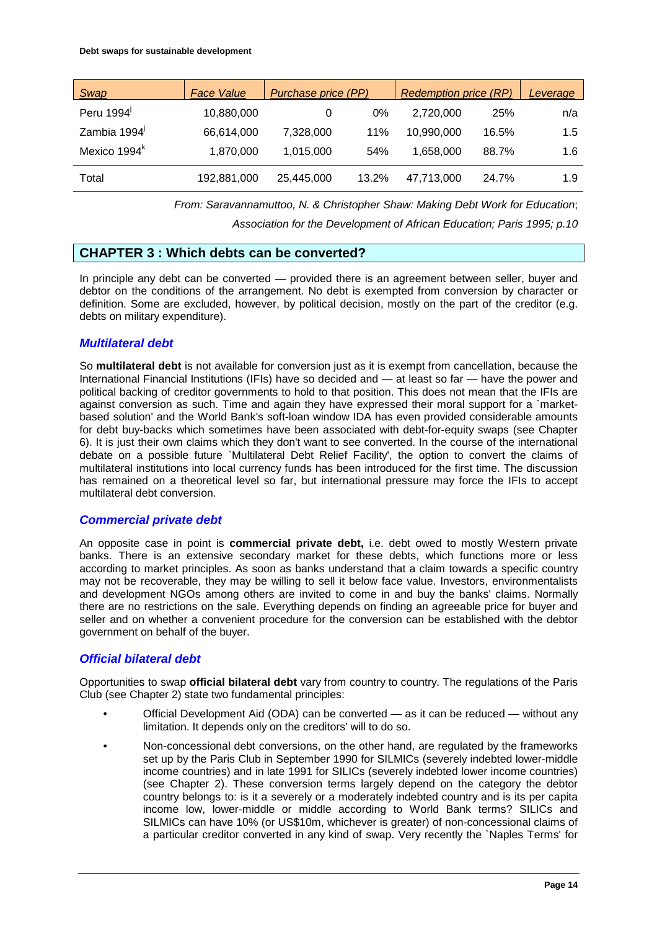| <b>Swap</b>              | <b>Face Value</b> | Purchase price (PP) |       | <b>Redemption price (RP)</b> | Leverage |     |
|--------------------------|-------------------|---------------------|-------|------------------------------|----------|-----|
| Peru 1994                | 10,880,000        |                     | $0\%$ | 2.720.000                    | 25%      | n/a |
| Zambia 1994              | 66,614,000        | 7,328,000           | 11%   | 10,990,000                   | 16.5%    | 1.5 |
| Mexico 1994 <sup>k</sup> | 1,870,000         | 1,015,000           | 54%   | 1.658.000                    | 88.7%    | 1.6 |
| Total                    | 192,881,000       | 25,445,000          | 13.2% | 47.713.000                   | 24.7%    | 1.9 |

*From: Saravannamuttoo, N. & Christopher Shaw: Making Debt Work for Education*;

*Association for the Development of African Education; Paris 1995; p.10*

# **CHAPTER 3 : Which debts can be converted?**

In principle any debt can be converted — provided there is an agreement between seller, buyer and debtor on the conditions of the arrangement. No debt is exempted from conversion by character or definition. Some are excluded, however, by political decision, mostly on the part of the creditor (e.g. debts on military expenditure).

### *Multilateral debt*

So **multilateral debt** is not available for conversion just as it is exempt from cancellation, because the International Financial Institutions (IFIs) have so decided and — at least so far — have the power and political backing of creditor governments to hold to that position. This does not mean that the IFIs are against conversion as such. Time and again they have expressed their moral support for a `marketbased solution' and the World Bank's soft-loan window IDA has even provided considerable amounts for debt buy-backs which sometimes have been associated with debt-for-equity swaps (see Chapter 6). It is just their own claims which they don't want to see converted. In the course of the international debate on a possible future `Multilateral Debt Relief Facility', the option to convert the claims of multilateral institutions into local currency funds has been introduced for the first time. The discussion has remained on a theoretical level so far, but international pressure may force the IFIs to accept multilateral debt conversion.

# *Commercial private debt*

An opposite case in point is **commercial private debt,** i.e. debt owed to mostly Western private banks. There is an extensive secondary market for these debts, which functions more or less according to market principles. As soon as banks understand that a claim towards a specific country may not be recoverable, they may be willing to sell it below face value. Investors, environmentalists and development NGOs among others are invited to come in and buy the banks' claims. Normally there are no restrictions on the sale. Everything depends on finding an agreeable price for buyer and seller and on whether a convenient procedure for the conversion can be established with the debtor government on behalf of the buyer.

# *Official bilateral debt*

Opportunities to swap **official bilateral debt** vary from country to country. The regulations of the Paris Club (see Chapter 2) state two fundamental principles:

- Official Development Aid (ODA) can be converted as it can be reduced without any limitation. It depends only on the creditors' will to do so.
- Non-concessional debt conversions, on the other hand, are regulated by the frameworks set up by the Paris Club in September 1990 for SILMICs (severely indebted lower-middle income countries) and in late 1991 for SILICs (severely indebted lower income countries) (see Chapter 2). These conversion terms largely depend on the category the debtor country belongs to: is it a severely or a moderately indebted country and is its per capita income low, lower-middle or middle according to World Bank terms? SILICs and SILMICs can have 10% (or US\$10m, whichever is greater) of non-concessional claims of a particular creditor converted in any kind of swap. Very recently the `Naples Terms' for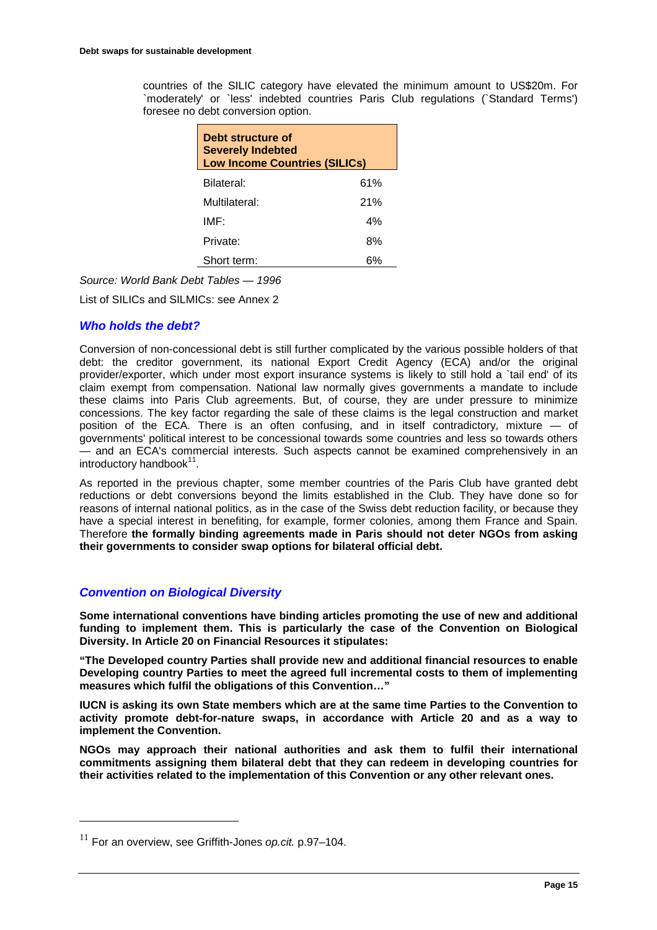countries of the SILIC category have elevated the minimum amount to US\$20m. For `moderately' or `less' indebted countries Paris Club regulations (`Standard Terms') foresee no debt conversion option.

| Debt structure of<br><b>Severely Indebted</b><br><b>Low Income Countries (SILICs)</b> |     |  |  |  |
|---------------------------------------------------------------------------------------|-----|--|--|--|
| Bilateral:                                                                            | 61% |  |  |  |
| Multilateral:                                                                         | 21% |  |  |  |
| IMF <sup>.</sup>                                                                      | 4%  |  |  |  |
| Private:                                                                              | 8%  |  |  |  |
| Short term:                                                                           |     |  |  |  |

*Source: World Bank Debt Tables — 1996*

List of SILICs and SILMICs: see Annex 2

### *Who holds the debt?*

Conversion of non-concessional debt is still further complicated by the various possible holders of that debt: the creditor government, its national Export Credit Agency (ECA) and/or the original provider/exporter, which under most export insurance systems is likely to still hold a `tail end' of its claim exempt from compensation. National law normally gives governments a mandate to include these claims into Paris Club agreements. But, of course, they are under pressure to minimize concessions. The key factor regarding the sale of these claims is the legal construction and market position of the ECA. There is an often confusing, and in itself contradictory, mixture — of governments' political interest to be concessional towards some countries and less so towards others — and an ECA's commercial interests. Such aspects cannot be examined comprehensively in an  $introducing the total number of  $11$ .$ 

As reported in the previous chapter, some member countries of the Paris Club have granted debt reductions or debt conversions beyond the limits established in the Club. They have done so for reasons of internal national politics, as in the case of the Swiss debt reduction facility, or because they have a special interest in benefiting, for example, former colonies, among them France and Spain. Therefore **the formally binding agreements made in Paris should not deter NGOs from asking their governments to consider swap options for bilateral official debt.**

# *Convention on Biological Diversity*

**Some international conventions have binding articles promoting the use of new and additional funding to implement them. This is particularly the case of the Convention on Biological Diversity. In Article 20 on Financial Resources it stipulates:**

**"The Developed country Parties shall provide new and additional financial resources to enable Developing country Parties to meet the agreed full incremental costs to them of implementing measures which fulfil the obligations of this Convention…"**

**IUCN is asking its own State members which are at the same time Parties to the Convention to activity promote debt-for-nature swaps, in accordance with Article 20 and as a way to implement the Convention.**

**NGOs may approach their national authorities and ask them to fulfil their international commitments assigning them bilateral debt that they can redeem in developing countries for their activities related to the implementation of this Convention or any other relevant ones.**

<sup>11</sup> For an overview, see Griffith-Jones *op.cit.* p.97–104.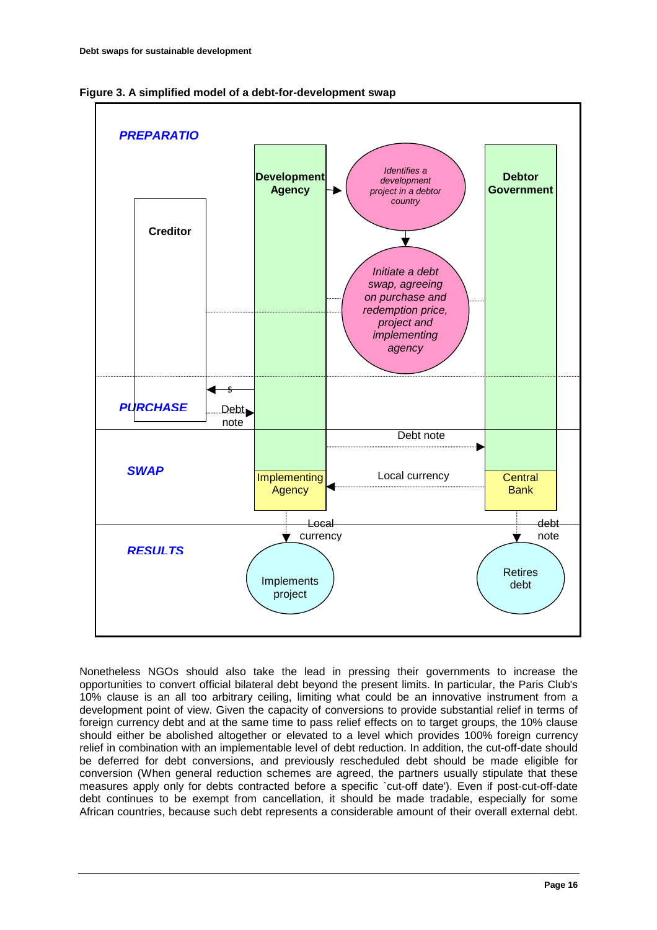



Nonetheless NGOs should also take the lead in pressing their governments to increase the opportunities to convert official bilateral debt beyond the present limits. In particular, the Paris Club's 10% clause is an all too arbitrary ceiling, limiting what could be an innovative instrument from a development point of view. Given the capacity of conversions to provide substantial relief in terms of foreign currency debt and at the same time to pass relief effects on to target groups, the 10% clause should either be abolished altogether or elevated to a level which provides 100% foreign currency relief in combination with an implementable level of debt reduction. In addition, the cut-off-date should be deferred for debt conversions, and previously rescheduled debt should be made eligible for conversion (When general reduction schemes are agreed, the partners usually stipulate that these measures apply only for debts contracted before a specific `cut-off date'). Even if post-cut-off-date debt continues to be exempt from cancellation, it should be made tradable, especially for some African countries, because such debt represents a considerable amount of their overall external debt.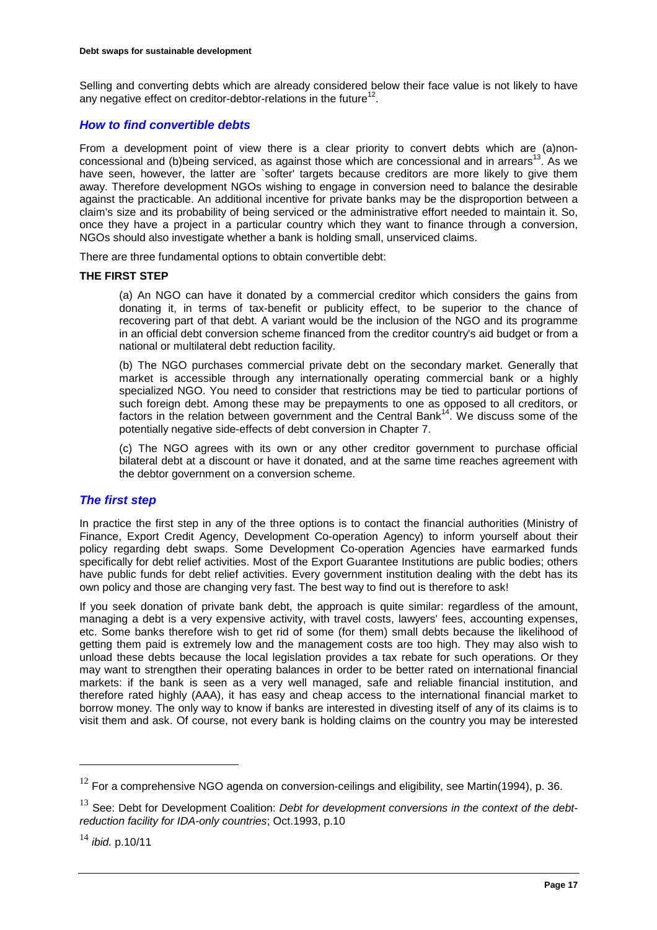Selling and converting debts which are already considered below their face value is not likely to have any negative effect on creditor-debtor-relations in the future<sup>12</sup>.

# *How to find convertible debts*

From a development point of view there is a clear priority to convert debts which are (a)nonconcessional and (b)being serviced, as against those which are concessional and in arrears<sup>13</sup>. As we have seen, however, the latter are `softer' targets because creditors are more likely to give them away. Therefore development NGOs wishing to engage in conversion need to balance the desirable against the practicable. An additional incentive for private banks may be the disproportion between a claim's size and its probability of being serviced or the administrative effort needed to maintain it. So, once they have a project in a particular country which they want to finance through a conversion, NGOs should also investigate whether a bank is holding small, unserviced claims.

There are three fundamental options to obtain convertible debt:

#### **THE FIRST STEP**

(a) An NGO can have it donated by a commercial creditor which considers the gains from donating it, in terms of tax-benefit or publicity effect, to be superior to the chance of recovering part of that debt. A variant would be the inclusion of the NGO and its programme in an official debt conversion scheme financed from the creditor country's aid budget or from a national or multilateral debt reduction facility.

(b) The NGO purchases commercial private debt on the secondary market. Generally that market is accessible through any internationally operating commercial bank or a highly specialized NGO. You need to consider that restrictions may be tied to particular portions of such foreign debt. Among these may be prepayments to one as opposed to all creditors, or factors in the relation between government and the Central Bank<sup>14</sup>. We discuss some of the potentially negative side-effects of debt conversion in Chapter 7.

(c) The NGO agrees with its own or any other creditor government to purchase official bilateral debt at a discount or have it donated, and at the same time reaches agreement with the debtor government on a conversion scheme.

### *The first step*

In practice the first step in any of the three options is to contact the financial authorities (Ministry of Finance, Export Credit Agency, Development Co-operation Agency) to inform yourself about their policy regarding debt swaps. Some Development Co-operation Agencies have earmarked funds specifically for debt relief activities. Most of the Export Guarantee Institutions are public bodies; others have public funds for debt relief activities. Every government institution dealing with the debt has its own policy and those are changing very fast. The best way to find out is therefore to ask!

If you seek donation of private bank debt, the approach is quite similar: regardless of the amount, managing a debt is a very expensive activity, with travel costs, lawyers' fees, accounting expenses, etc. Some banks therefore wish to get rid of some (for them) small debts because the likelihood of getting them paid is extremely low and the management costs are too high. They may also wish to unload these debts because the local legislation provides a tax rebate for such operations. Or they may want to strengthen their operating balances in order to be better rated on international financial markets: if the bank is seen as a very well managed, safe and reliable financial institution, and therefore rated highly (AAA), it has easy and cheap access to the international financial market to borrow money. The only way to know if banks are interested in divesting itself of any of its claims is to visit them and ask. Of course, not every bank is holding claims on the country you may be interested

 $12$  For a comprehensive NGO agenda on conversion-ceilings and eligibility, see Martin(1994), p. 36.

<sup>&</sup>lt;sup>13</sup> See: Debt for Development Coalition: *Debt for development conversions in the context of the debtreduction facility for IDA-only countries*; Oct.1993, p.10

<sup>14</sup> *ibid.* p.10/11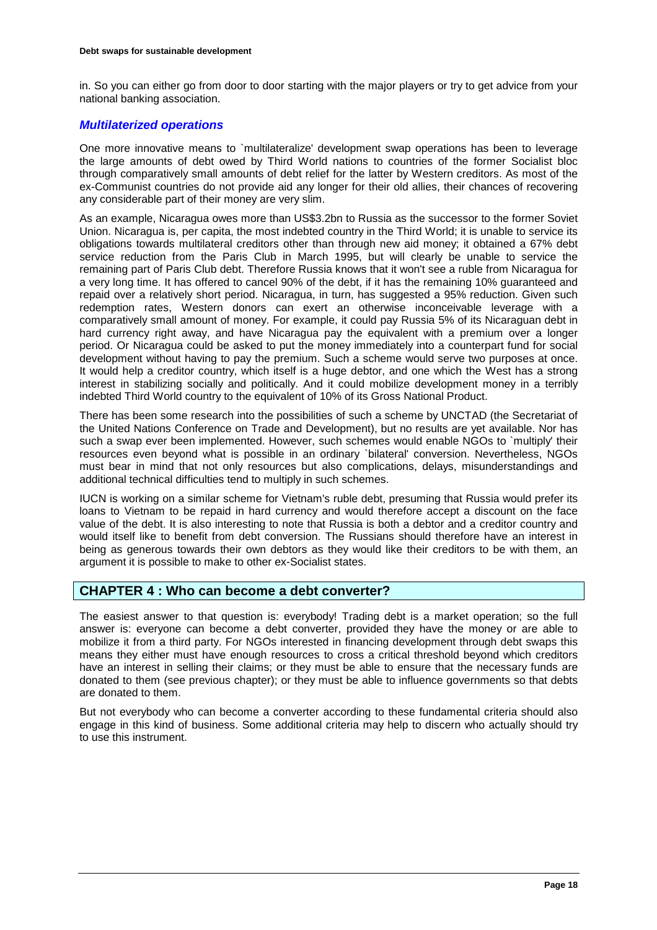in. So you can either go from door to door starting with the major players or try to get advice from your national banking association.

# *Multilaterized operations*

One more innovative means to `multilateralize' development swap operations has been to leverage the large amounts of debt owed by Third World nations to countries of the former Socialist bloc through comparatively small amounts of debt relief for the latter by Western creditors. As most of the ex-Communist countries do not provide aid any longer for their old allies, their chances of recovering any considerable part of their money are very slim.

As an example, Nicaragua owes more than US\$3.2bn to Russia as the successor to the former Soviet Union. Nicaragua is, per capita, the most indebted country in the Third World; it is unable to service its obligations towards multilateral creditors other than through new aid money; it obtained a 67% debt service reduction from the Paris Club in March 1995, but will clearly be unable to service the remaining part of Paris Club debt. Therefore Russia knows that it won't see a ruble from Nicaragua for a very long time. It has offered to cancel 90% of the debt, if it has the remaining 10% guaranteed and repaid over a relatively short period. Nicaragua, in turn, has suggested a 95% reduction. Given such redemption rates, Western donors can exert an otherwise inconceivable leverage with a comparatively small amount of money. For example, it could pay Russia 5% of its Nicaraguan debt in hard currency right away, and have Nicaragua pay the equivalent with a premium over a longer period. Or Nicaragua could be asked to put the money immediately into a counterpart fund for social development without having to pay the premium. Such a scheme would serve two purposes at once. It would help a creditor country, which itself is a huge debtor, and one which the West has a strong interest in stabilizing socially and politically. And it could mobilize development money in a terribly indebted Third World country to the equivalent of 10% of its Gross National Product.

There has been some research into the possibilities of such a scheme by UNCTAD (the Secretariat of the United Nations Conference on Trade and Development), but no results are yet available. Nor has such a swap ever been implemented. However, such schemes would enable NGOs to `multiply' their resources even beyond what is possible in an ordinary `bilateral' conversion. Nevertheless, NGOs must bear in mind that not only resources but also complications, delays, misunderstandings and additional technical difficulties tend to multiply in such schemes.

IUCN is working on a similar scheme for Vietnam's ruble debt, presuming that Russia would prefer its loans to Vietnam to be repaid in hard currency and would therefore accept a discount on the face value of the debt. It is also interesting to note that Russia is both a debtor and a creditor country and would itself like to benefit from debt conversion. The Russians should therefore have an interest in being as generous towards their own debtors as they would like their creditors to be with them, an argument it is possible to make to other ex-Socialist states.

# **CHAPTER 4 : Who can become a debt converter?**

The easiest answer to that question is: everybody! Trading debt is a market operation; so the full answer is: everyone can become a debt converter, provided they have the money or are able to mobilize it from a third party. For NGOs interested in financing development through debt swaps this means they either must have enough resources to cross a critical threshold beyond which creditors have an interest in selling their claims; or they must be able to ensure that the necessary funds are donated to them (see previous chapter); or they must be able to influence governments so that debts are donated to them.

But not everybody who can become a converter according to these fundamental criteria should also engage in this kind of business. Some additional criteria may help to discern who actually should try to use this instrument.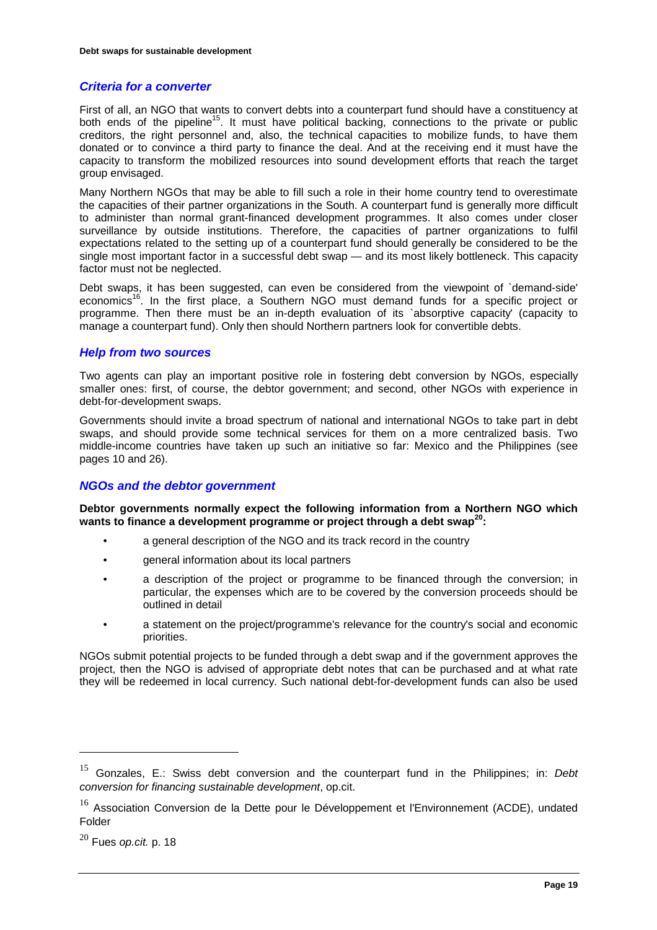### *Criteria for a converter*

First of all, an NGO that wants to convert debts into a counterpart fund should have a constituency at both ends of the pipeline<sup>15</sup>. It must have political backing, connections to the private or public creditors, the right personnel and, also, the technical capacities to mobilize funds, to have them donated or to convince a third party to finance the deal. And at the receiving end it must have the capacity to transform the mobilized resources into sound development efforts that reach the target group envisaged.

Many Northern NGOs that may be able to fill such a role in their home country tend to overestimate the capacities of their partner organizations in the South. A counterpart fund is generally more difficult to administer than normal grant-financed development programmes. It also comes under closer surveillance by outside institutions. Therefore, the capacities of partner organizations to fulfil expectations related to the setting up of a counterpart fund should generally be considered to be the single most important factor in a successful debt swap — and its most likely bottleneck. This capacity factor must not be neglected.

Debt swaps, it has been suggested, can even be considered from the viewpoint of `demand-side' economics<sup>16</sup>. In the first place, a Southern NGO must demand funds for a specific project or programme. Then there must be an in-depth evaluation of its `absorptive capacity' (capacity to manage a counterpart fund). Only then should Northern partners look for convertible debts.

### *Help from two sources*

Two agents can play an important positive role in fostering debt conversion by NGOs, especially smaller ones: first, of course, the debtor government; and second, other NGOs with experience in debt-for-development swaps.

Governments should invite a broad spectrum of national and international NGOs to take part in debt swaps, and should provide some technical services for them on a more centralized basis. Two middle-income countries have taken up such an initiative so far: Mexico and the Philippines (see pages 10 and 26).

#### *NGOs and the debtor government*

**Debtor governments normally expect the following information from a Northern NGO which wants to finance a development programme or project through a debt swap20:**

- a general description of the NGO and its track record in the country
- general information about its local partners
- a description of the project or programme to be financed through the conversion; in particular, the expenses which are to be covered by the conversion proceeds should be outlined in detail
- a statement on the project/programme's relevance for the country's social and economic priorities.

NGOs submit potential projects to be funded through a debt swap and if the government approves the project, then the NGO is advised of appropriate debt notes that can be purchased and at what rate they will be redeemed in local currency. Such national debt-for-development funds can also be used

<sup>15</sup> Gonzales, E.: Swiss debt conversion and the counterpart fund in the Philippines; in: *Debt conversion for financing sustainable development*, op.cit.

 $16$  Association Conversion de la Dette pour le Développement et l'Environnement (ACDE), undated Folder

<sup>20</sup> Fues *op.cit.* p. 18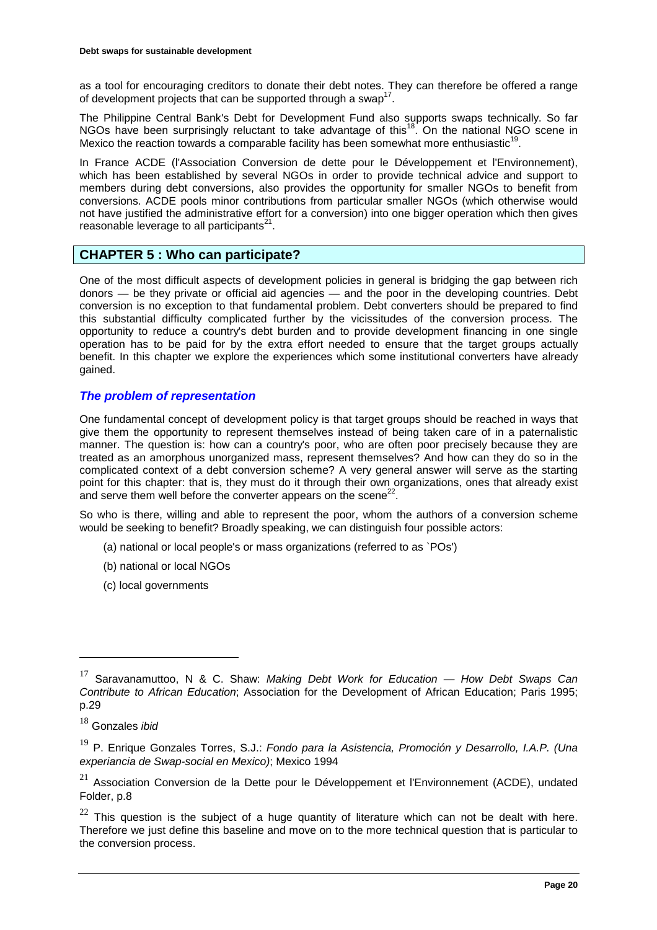as a tool for encouraging creditors to donate their debt notes. They can therefore be offered a range of development projects that can be supported through a swap<sup>17</sup>.

The Philippine Central Bank's Debt for Development Fund also supports swaps technically. So far NGOs have been surprisingly reluctant to take advantage of this<sup>18</sup>. On the national NGO scene in Mexico the reaction towards a comparable facility has been somewhat more enthusiastic<sup>19</sup>

In France ACDE (l'Association Conversion de dette pour le Développement et l'Environnement), which has been established by several NGOs in order to provide technical advice and support to members during debt conversions, also provides the opportunity for smaller NGOs to benefit from conversions. ACDE pools minor contributions from particular smaller NGOs (which otherwise would not have justified the administrative effort for a conversion) into one bigger operation which then gives reasonable leverage to all participants<sup>21</sup>.

# **CHAPTER 5 : Who can participate?**

One of the most difficult aspects of development policies in general is bridging the gap between rich donors — be they private or official aid agencies — and the poor in the developing countries. Debt conversion is no exception to that fundamental problem. Debt converters should be prepared to find this substantial difficulty complicated further by the vicissitudes of the conversion process. The opportunity to reduce a country's debt burden and to provide development financing in one single operation has to be paid for by the extra effort needed to ensure that the target groups actually benefit. In this chapter we explore the experiences which some institutional converters have already gained.

# *The problem of representation*

One fundamental concept of development policy is that target groups should be reached in ways that give them the opportunity to represent themselves instead of being taken care of in a paternalistic manner. The question is: how can a country's poor, who are often poor precisely because they are treated as an amorphous unorganized mass, represent themselves? And how can they do so in the complicated context of a debt conversion scheme? A very general answer will serve as the starting point for this chapter: that is, they must do it through their own organizations, ones that already exist and serve them well before the converter appears on the scene<sup>22</sup>.

So who is there, willing and able to represent the poor, whom the authors of a conversion scheme would be seeking to benefit? Broadly speaking, we can distinguish four possible actors:

- (a) national or local people's or mass organizations (referred to as `POs')
- (b) national or local NGOs
- (c) local governments

<sup>17</sup> Saravanamuttoo, N & C. Shaw: *Making Debt Work for Education — How Debt Swaps Can Contribute to African Education*; Association for the Development of African Education; Paris 1995; p.29

<sup>18</sup> Gonzales *ibid*

<sup>19</sup> P. Enrique Gonzales Torres, S.J.: *Fondo para la Asistencia, Promoción y Desarrollo, I.A.P. (Una experiancia de Swap-social en Mexico)*; Mexico 1994

 $21$  Association Conversion de la Dette pour le Développement et l'Environnement (ACDE), undated Folder, p.8

 $22$  This question is the subject of a huge quantity of literature which can not be dealt with here. Therefore we just define this baseline and move on to the more technical question that is particular to the conversion process.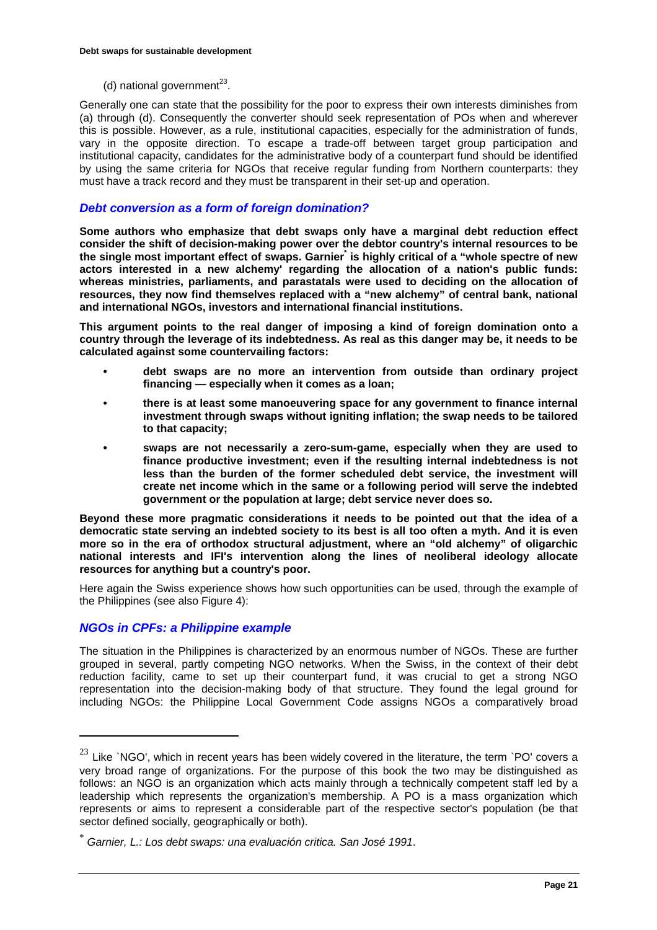(d) national government $^{23}$ .

Generally one can state that the possibility for the poor to express their own interests diminishes from (a) through (d). Consequently the converter should seek representation of POs when and wherever this is possible. However, as a rule, institutional capacities, especially for the administration of funds, vary in the opposite direction. To escape a trade-off between target group participation and institutional capacity, candidates for the administrative body of a counterpart fund should be identified by using the same criteria for NGOs that receive regular funding from Northern counterparts: they must have a track record and they must be transparent in their set-up and operation.

# *Debt conversion as a form of foreign domination?*

**Some authors who emphasize that debt swaps only have a marginal debt reduction effect consider the shift of decision-making power over the debtor country's internal resources to be**  the single most important effect of swaps. Garnier<sup>\*</sup> is highly critical of a "whole spectre of new **actors interested in a new alchemy' regarding the allocation of a nation's public funds: whereas ministries, parliaments, and parastatals were used to deciding on the allocation of resources, they now find themselves replaced with a "new alchemy" of central bank, national and international NGOs, investors and international financial institutions.**

**This argument points to the real danger of imposing a kind of foreign domination onto a country through the leverage of its indebtedness. As real as this danger may be, it needs to be calculated against some countervailing factors:**

- **debt swaps are no more an intervention from outside than ordinary project financing — especially when it comes as a loan;**
- **there is at least some manoeuvering space for any government to finance internal investment through swaps without igniting inflation; the swap needs to be tailored to that capacity;**
- **swaps are not necessarily a zero-sum-game, especially when they are used to finance productive investment; even if the resulting internal indebtedness is not less than the burden of the former scheduled debt service, the investment will create net income which in the same or a following period will serve the indebted government or the population at large; debt service never does so.**

**Beyond these more pragmatic considerations it needs to be pointed out that the idea of a democratic state serving an indebted society to its best is all too often a myth. And it is even more so in the era of orthodox structural adjustment, where an "old alchemy" of oligarchic national interests and IFI's intervention along the lines of neoliberal ideology allocate resources for anything but a country's poor.**

Here again the Swiss experience shows how such opportunities can be used, through the example of the Philippines (see also Figure 4):

# *NGOs in CPFs: a Philippine example*

 $\overline{a}$ 

The situation in the Philippines is characterized by an enormous number of NGOs. These are further grouped in several, partly competing NGO networks. When the Swiss, in the context of their debt reduction facility, came to set up their counterpart fund, it was crucial to get a strong NGO representation into the decision-making body of that structure. They found the legal ground for including NGOs: the Philippine Local Government Code assigns NGOs a comparatively broad

 $23$  Like `NGO', which in recent years has been widely covered in the literature, the term `PO' covers a very broad range of organizations. For the purpose of this book the two may be distinguished as follows: an NGO is an organization which acts mainly through a technically competent staff led by a leadership which represents the organization's membership. A PO is a mass organization which represents or aims to represent a considerable part of the respective sector's population (be that sector defined socially, geographically or both).

<sup>\*</sup> *Garnier, L.: Los debt swaps: una evaluación critica. San José 1991*.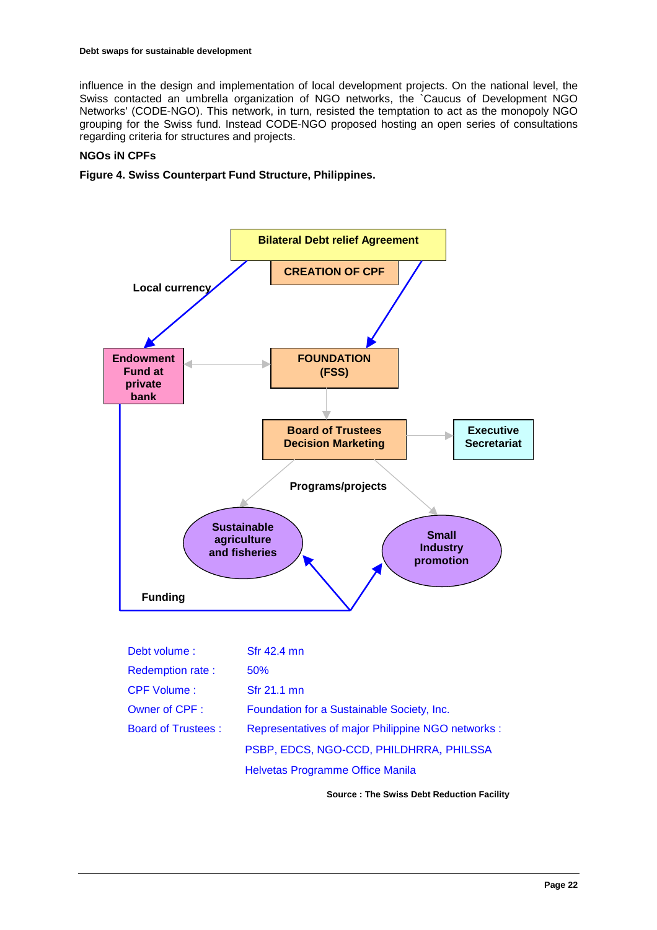influence in the design and implementation of local development projects. On the national level, the Swiss contacted an umbrella organization of NGO networks, the `Caucus of Development NGO Networks' (CODE-NGO). This network, in turn, resisted the temptation to act as the monopoly NGO grouping for the Swiss fund. Instead CODE-NGO proposed hosting an open series of consultations regarding criteria for structures and projects.

# **NGOs iN CPFs**

# **Figure 4. Swiss Counterpart Fund Structure, Philippines.**



**Source : The Swiss Debt Reduction Facility**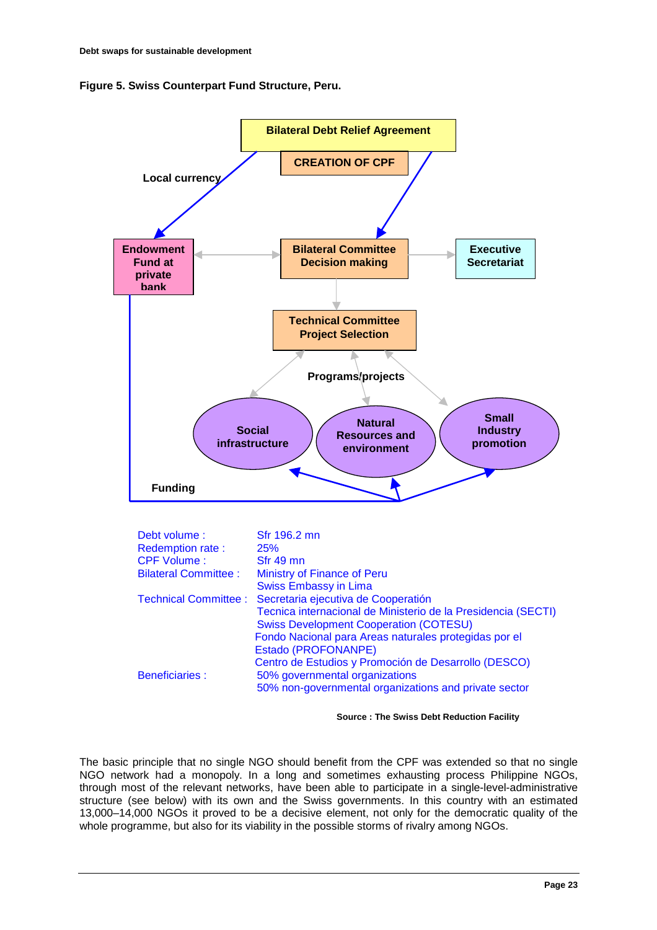![](_page_22_Figure_1.jpeg)

![](_page_22_Figure_2.jpeg)

**Source : The Swiss Debt Reduction Facility** 

The basic principle that no single NGO should benefit from the CPF was extended so that no single NGO network had a monopoly. In a long and sometimes exhausting process Philippine NGOs, through most of the relevant networks, have been able to participate in a single-level-administrative structure (see below) with its own and the Swiss governments. In this country with an estimated 13,000–14,000 NGOs it proved to be a decisive element, not only for the democratic quality of the whole programme, but also for its viability in the possible storms of rivalry among NGOs.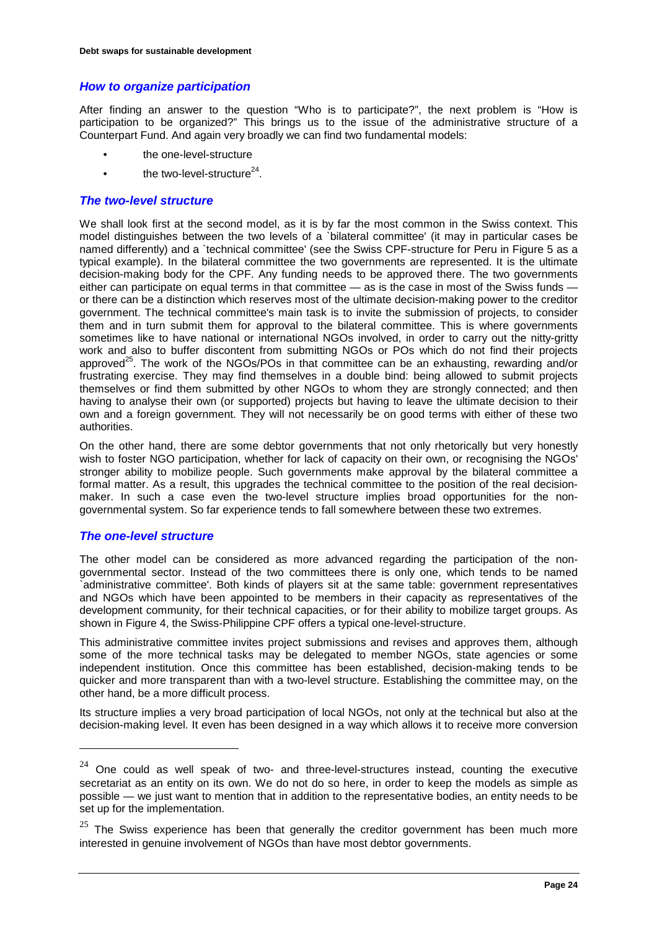# *How to organize participation*

After finding an answer to the question "Who is to participate?", the next problem is "How is participation to be organized?" This brings us to the issue of the administrative structure of a Counterpart Fund. And again very broadly we can find two fundamental models:

- the one-level-structure
- the two-level-structure $^{24}$ .

# *The two-level structure*

We shall look first at the second model, as it is by far the most common in the Swiss context. This model distinguishes between the two levels of a `bilateral committee' (it may in particular cases be named differently) and a `technical committee' (see the Swiss CPF-structure for Peru in Figure 5 as a typical example). In the bilateral committee the two governments are represented. It is the ultimate decision-making body for the CPF. Any funding needs to be approved there. The two governments either can participate on equal terms in that committee — as is the case in most of the Swiss funds or there can be a distinction which reserves most of the ultimate decision-making power to the creditor government. The technical committee's main task is to invite the submission of projects, to consider them and in turn submit them for approval to the bilateral committee. This is where governments sometimes like to have national or international NGOs involved, in order to carry out the nitty-gritty work and also to buffer discontent from submitting NGOs or POs which do not find their projects approved<sup>25</sup>. The work of the NGOs/POs in that committee can be an exhausting, rewarding and/or frustrating exercise. They may find themselves in a double bind: being allowed to submit projects themselves or find them submitted by other NGOs to whom they are strongly connected; and then having to analyse their own (or supported) projects but having to leave the ultimate decision to their own and a foreign government. They will not necessarily be on good terms with either of these two authorities.

On the other hand, there are some debtor governments that not only rhetorically but very honestly wish to foster NGO participation, whether for lack of capacity on their own, or recognising the NGOs' stronger ability to mobilize people. Such governments make approval by the bilateral committee a formal matter. As a result, this upgrades the technical committee to the position of the real decisionmaker. In such a case even the two-level structure implies broad opportunities for the nongovernmental system. So far experience tends to fall somewhere between these two extremes.

# *The one-level structure*

 $\overline{a}$ 

The other model can be considered as more advanced regarding the participation of the nongovernmental sector. Instead of the two committees there is only one, which tends to be named `administrative committee'. Both kinds of players sit at the same table: government representatives and NGOs which have been appointed to be members in their capacity as representatives of the development community, for their technical capacities, or for their ability to mobilize target groups. As shown in Figure 4, the Swiss-Philippine CPF offers a typical one-level-structure.

This administrative committee invites project submissions and revises and approves them, although some of the more technical tasks may be delegated to member NGOs, state agencies or some independent institution. Once this committee has been established, decision-making tends to be quicker and more transparent than with a two-level structure. Establishing the committee may, on the other hand, be a more difficult process.

Its structure implies a very broad participation of local NGOs, not only at the technical but also at the decision-making level. It even has been designed in a way which allows it to receive more conversion

 $24$  One could as well speak of two- and three-level-structures instead, counting the executive secretariat as an entity on its own. We do not do so here, in order to keep the models as simple as possible — we just want to mention that in addition to the representative bodies, an entity needs to be set up for the implementation.

 $25$  The Swiss experience has been that generally the creditor government has been much more interested in genuine involvement of NGOs than have most debtor governments.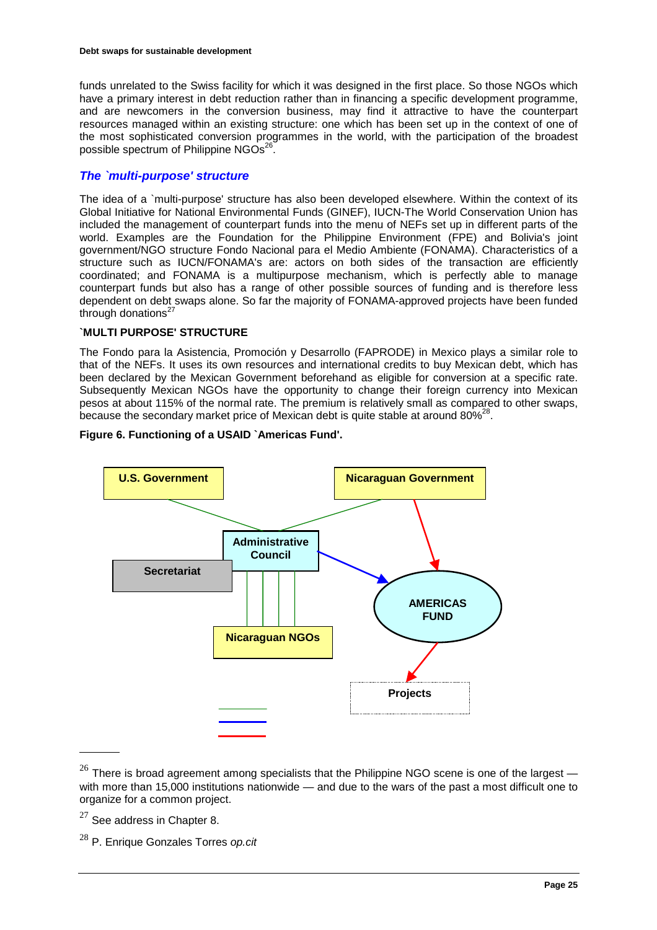funds unrelated to the Swiss facility for which it was designed in the first place. So those NGOs which have a primary interest in debt reduction rather than in financing a specific development programme, and are newcomers in the conversion business, may find it attractive to have the counterpart resources managed within an existing structure: one which has been set up in the context of one of the most sophisticated conversion programmes in the world, with the participation of the broadest possible spectrum of Philippine  $NGOs<sup>26</sup>$ .

# *The `multi-purpose' structure*

The idea of a `multi-purpose' structure has also been developed elsewhere. Within the context of its Global Initiative for National Environmental Funds (GINEF), IUCN-The World Conservation Union has included the management of counterpart funds into the menu of NEFs set up in different parts of the world. Examples are the Foundation for the Philippine Environment (FPE) and Bolivia's joint government/NGO structure Fondo Nacional para el Medio Ambiente (FONAMA). Characteristics of a structure such as IUCN/FONAMA's are: actors on both sides of the transaction are efficiently coordinated; and FONAMA is a multipurpose mechanism, which is perfectly able to manage counterpart funds but also has a range of other possible sources of funding and is therefore less dependent on debt swaps alone. So far the majority of FONAMA-approved projects have been funded through donations $27$ 

# **`MULTI PURPOSE' STRUCTURE**

The Fondo para la Asistencia, Promoción y Desarrollo (FAPRODE) in Mexico plays a similar role to that of the NEFs. It uses its own resources and international credits to buy Mexican debt, which has been declared by the Mexican Government beforehand as eligible for conversion at a specific rate. Subsequently Mexican NGOs have the opportunity to change their foreign currency into Mexican pesos at about 115% of the normal rate. The premium is relatively small as compared to other swaps, because the secondary market price of Mexican debt is quite stable at around  $80\%^{28}$ .

![](_page_24_Figure_6.jpeg)

![](_page_24_Figure_7.jpeg)

<sup>&</sup>lt;sup>26</sup> There is broad agreement among specialists that the Philippine NGO scene is one of the largest  $$ with more than 15,000 institutions nationwide — and due to the wars of the past a most difficult one to organize for a common project.

 $27$  See address in Chapter 8.

<sup>28</sup> P. Enrique Gonzales Torres *op.cit*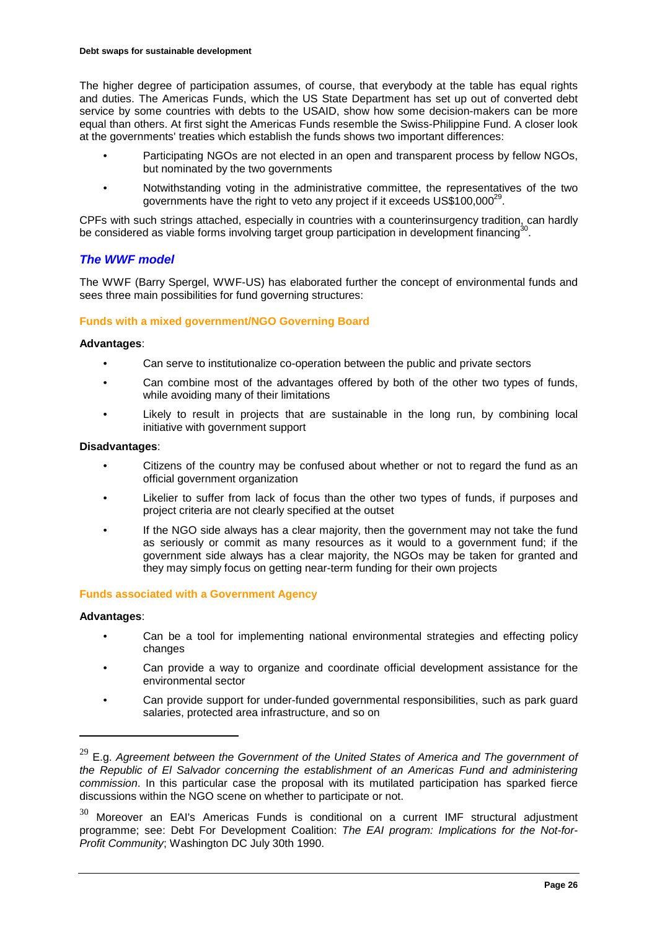The higher degree of participation assumes, of course, that everybody at the table has equal rights and duties. The Americas Funds, which the US State Department has set up out of converted debt service by some countries with debts to the USAID, show how some decision-makers can be more equal than others. At first sight the Americas Funds resemble the Swiss-Philippine Fund. A closer look at the governments' treaties which establish the funds shows two important differences:

- Participating NGOs are not elected in an open and transparent process by fellow NGOs, but nominated by the two governments
- Notwithstanding voting in the administrative committee, the representatives of the two governments have the right to veto any project if it exceeds US\$100,000<sup>29</sup>.

CPFs with such strings attached, especially in countries with a counterinsurgency tradition, can hardly be considered as viable forms involving target group participation in development financing<sup>30</sup>.

# *The WWF model*

The WWF (Barry Spergel, WWF-US) has elaborated further the concept of environmental funds and sees three main possibilities for fund governing structures:

### **Funds with a mixed government/NGO Governing Board**

#### **Advantages**:

- Can serve to institutionalize co-operation between the public and private sectors
- Can combine most of the advantages offered by both of the other two types of funds, while avoiding many of their limitations
- Likely to result in projects that are sustainable in the long run, by combining local initiative with government support

#### **Disadvantages**:

- Citizens of the country may be confused about whether or not to regard the fund as an official government organization
- Likelier to suffer from lack of focus than the other two types of funds, if purposes and project criteria are not clearly specified at the outset
- If the NGO side always has a clear majority, then the government may not take the fund as seriously or commit as many resources as it would to a government fund; if the government side always has a clear majority, the NGOs may be taken for granted and they may simply focus on getting near-term funding for their own projects

# **Funds associated with a Government Agency**

#### **Advantages**:

- Can be a tool for implementing national environmental strategies and effecting policy changes
- Can provide a way to organize and coordinate official development assistance for the environmental sector
- Can provide support for under-funded governmental responsibilities, such as park guard salaries, protected area infrastructure, and so on

<sup>&</sup>lt;sup>29</sup> E.g. Agreement between the Government of the United States of America and The government of *the Republic of El Salvador concerning the establishment of an Americas Fund and administering commission*. In this particular case the proposal with its mutilated participation has sparked fierce discussions within the NGO scene on whether to participate or not.

 $30$  Moreover an EAI's Americas Funds is conditional on a current IMF structural adjustment programme; see: Debt For Development Coalition: *The EAI program: Implications for the Not-for-Profit Community*; Washington DC July 30th 1990.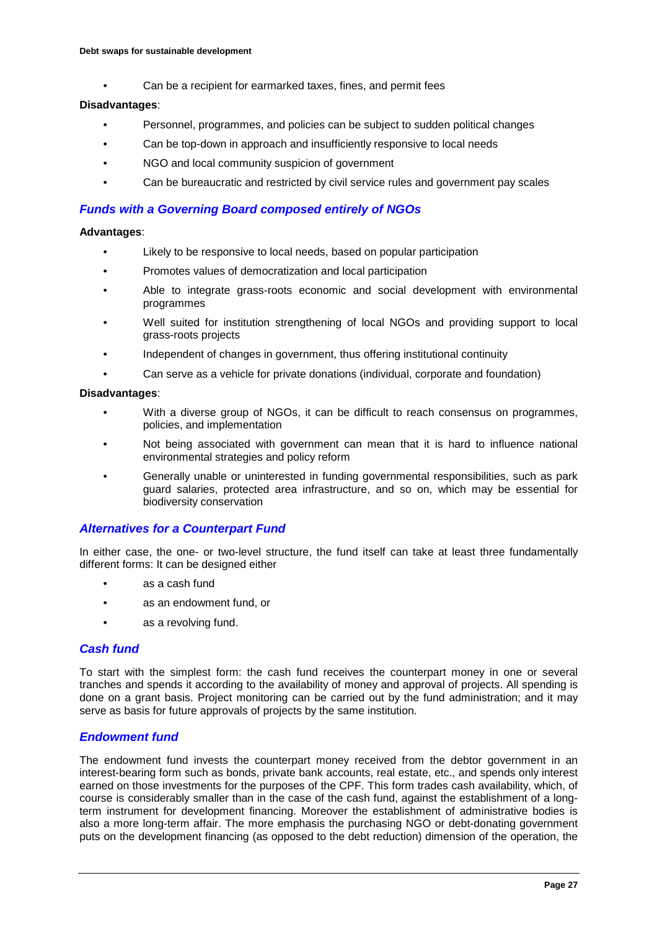• Can be a recipient for earmarked taxes, fines, and permit fees

### **Disadvantages**:

- Personnel, programmes, and policies can be subject to sudden political changes
- Can be top-down in approach and insufficiently responsive to local needs
- NGO and local community suspicion of government
- Can be bureaucratic and restricted by civil service rules and government pay scales

# *Funds with a Governing Board composed entirely of NGOs*

#### **Advantages**:

- Likely to be responsive to local needs, based on popular participation
- Promotes values of democratization and local participation
- Able to integrate grass-roots economic and social development with environmental programmes
- Well suited for institution strengthening of local NGOs and providing support to local grass-roots projects
- Independent of changes in government, thus offering institutional continuity
- Can serve as a vehicle for private donations (individual, corporate and foundation)

### **Disadvantages**:

- With a diverse group of NGOs, it can be difficult to reach consensus on programmes, policies, and implementation
- Not being associated with government can mean that it is hard to influence national environmental strategies and policy reform
- Generally unable or uninterested in funding governmental responsibilities, such as park guard salaries, protected area infrastructure, and so on, which may be essential for biodiversity conservation

# *Alternatives for a Counterpart Fund*

In either case, the one- or two-level structure, the fund itself can take at least three fundamentally different forms: It can be designed either

- as a cash fund
- as an endowment fund, or
- as a revolving fund.

# *Cash fund*

To start with the simplest form: the cash fund receives the counterpart money in one or several tranches and spends it according to the availability of money and approval of projects. All spending is done on a grant basis. Project monitoring can be carried out by the fund administration; and it may serve as basis for future approvals of projects by the same institution.

# *Endowment fund*

The endowment fund invests the counterpart money received from the debtor government in an interest-bearing form such as bonds, private bank accounts, real estate, etc., and spends only interest earned on those investments for the purposes of the CPF. This form trades cash availability, which, of course is considerably smaller than in the case of the cash fund, against the establishment of a longterm instrument for development financing. Moreover the establishment of administrative bodies is also a more long-term affair. The more emphasis the purchasing NGO or debt-donating government puts on the development financing (as opposed to the debt reduction) dimension of the operation, the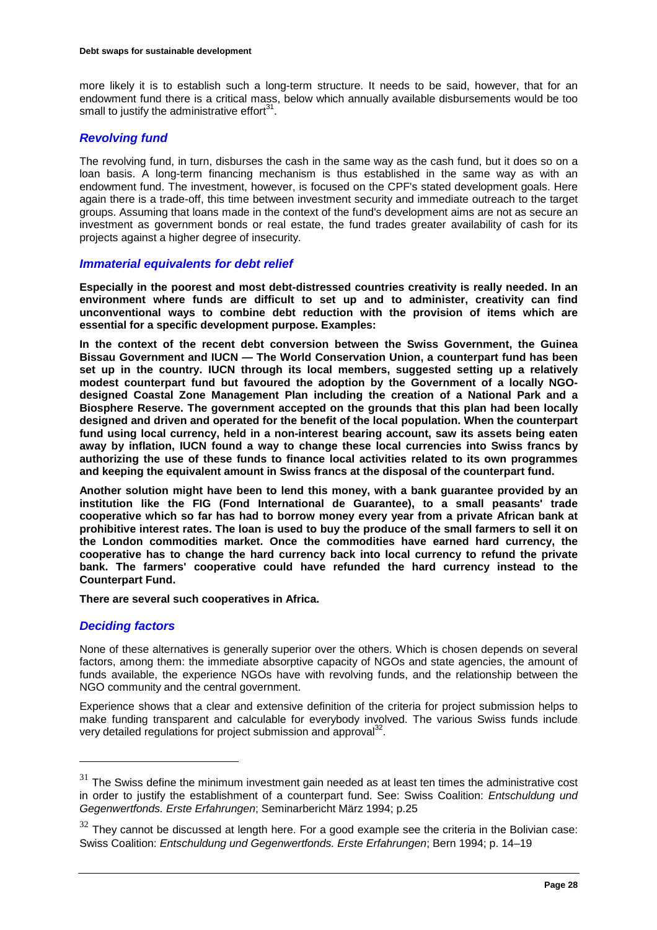more likely it is to establish such a long-term structure. It needs to be said, however, that for an endowment fund there is a critical mass, below which annually available disbursements would be too small to justify the administrative effort $31$ 

# *Revolving fund*

The revolving fund, in turn, disburses the cash in the same way as the cash fund, but it does so on a loan basis. A long-term financing mechanism is thus established in the same way as with an endowment fund. The investment, however, is focused on the CPF's stated development goals. Here again there is a trade-off, this time between investment security and immediate outreach to the target groups. Assuming that loans made in the context of the fund's development aims are not as secure an investment as government bonds or real estate, the fund trades greater availability of cash for its projects against a higher degree of insecurity.

### *Immaterial equivalents for debt relief*

**Especially in the poorest and most debt-distressed countries creativity is really needed. In an environment where funds are difficult to set up and to administer, creativity can find unconventional ways to combine debt reduction with the provision of items which are essential for a specific development purpose. Examples:**

**In the context of the recent debt conversion between the Swiss Government, the Guinea Bissau Government and IUCN — The World Conservation Union, a counterpart fund has been set up in the country. IUCN through its local members, suggested setting up a relatively modest counterpart fund but favoured the adoption by the Government of a locally NGOdesigned Coastal Zone Management Plan including the creation of a National Park and a Biosphere Reserve. The government accepted on the grounds that this plan had been locally designed and driven and operated for the benefit of the local population. When the counterpart fund using local currency, held in a non-interest bearing account, saw its assets being eaten away by inflation, IUCN found a way to change these local currencies into Swiss francs by authorizing the use of these funds to finance local activities related to its own programmes and keeping the equivalent amount in Swiss francs at the disposal of the counterpart fund.**

**Another solution might have been to lend this money, with a bank guarantee provided by an institution like the FIG (Fond International de Guarantee), to a small peasants' trade cooperative which so far has had to borrow money every year from a private African bank at prohibitive interest rates. The loan is used to buy the produce of the small farmers to sell it on the London commodities market. Once the commodities have earned hard currency, the cooperative has to change the hard currency back into local currency to refund the private bank. The farmers' cooperative could have refunded the hard currency instead to the Counterpart Fund.**

**There are several such cooperatives in Africa.**

# *Deciding factors*

 $\overline{a}$ 

None of these alternatives is generally superior over the others. Which is chosen depends on several factors, among them: the immediate absorptive capacity of NGOs and state agencies, the amount of funds available, the experience NGOs have with revolving funds, and the relationship between the NGO community and the central government.

Experience shows that a clear and extensive definition of the criteria for project submission helps to make funding transparent and calculable for everybody involved. The various Swiss funds include very detailed regulations for project submission and approval<sup>32</sup>.

 $31$  The Swiss define the minimum investment gain needed as at least ten times the administrative cost in order to justify the establishment of a counterpart fund. See: Swiss Coalition: *Entschuldung und Gegenwertfonds. Erste Erfahrungen*; Seminarbericht März 1994; p.25

 $32$  They cannot be discussed at length here. For a good example see the criteria in the Bolivian case: Swiss Coalition: *Entschuldung und Gegenwertfonds. Erste Erfahrungen*; Bern 1994; p. 14–19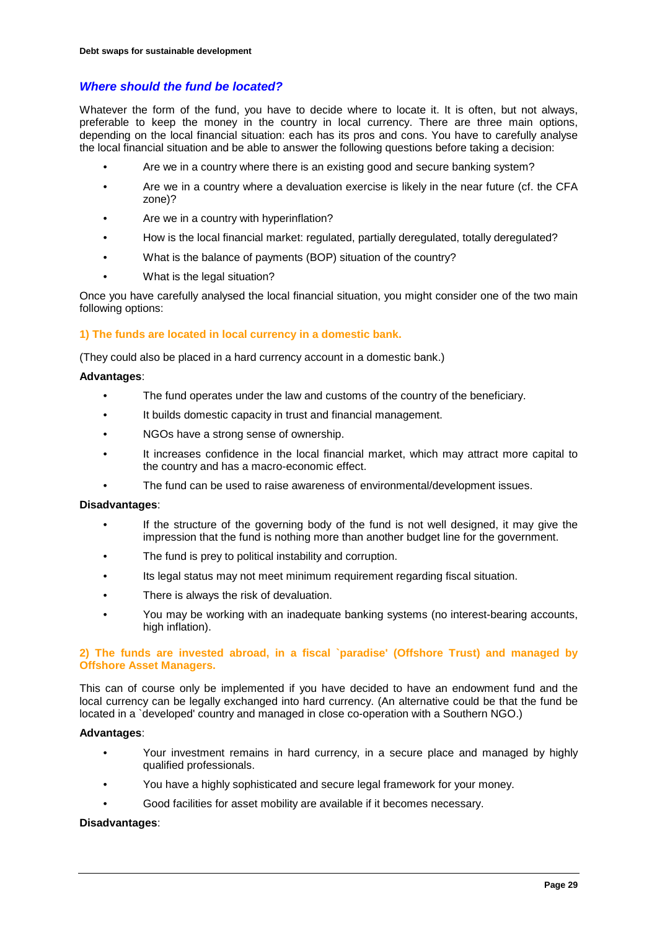# *Where should the fund be located?*

Whatever the form of the fund, you have to decide where to locate it. It is often, but not always, preferable to keep the money in the country in local currency. There are three main options, depending on the local financial situation: each has its pros and cons. You have to carefully analyse the local financial situation and be able to answer the following questions before taking a decision:

- Are we in a country where there is an existing good and secure banking system?
- Are we in a country where a devaluation exercise is likely in the near future (cf. the CFA zone)?
- Are we in a country with hyperinflation?
- How is the local financial market: regulated, partially deregulated, totally deregulated?
- What is the balance of payments (BOP) situation of the country?
- What is the legal situation?

Once you have carefully analysed the local financial situation, you might consider one of the two main following options:

#### **1) The funds are located in local currency in a domestic bank.**

(They could also be placed in a hard currency account in a domestic bank.)

#### **Advantages**:

- The fund operates under the law and customs of the country of the beneficiary.
- It builds domestic capacity in trust and financial management.
- NGOs have a strong sense of ownership.
- It increases confidence in the local financial market, which may attract more capital to the country and has a macro-economic effect.
- The fund can be used to raise awareness of environmental/development issues.

#### **Disadvantages**:

- If the structure of the governing body of the fund is not well designed, it may give the impression that the fund is nothing more than another budget line for the government.
- The fund is prey to political instability and corruption.
- Its legal status may not meet minimum requirement regarding fiscal situation.
- There is always the risk of devaluation.
- You may be working with an inadequate banking systems (no interest-bearing accounts, high inflation).

# **2) The funds are invested abroad, in a fiscal `paradise' (Offshore Trust) and managed by Offshore Asset Managers.**

This can of course only be implemented if you have decided to have an endowment fund and the local currency can be legally exchanged into hard currency. (An alternative could be that the fund be located in a `developed' country and managed in close co-operation with a Southern NGO.)

### **Advantages**:

- Your investment remains in hard currency, in a secure place and managed by highly qualified professionals.
- You have a highly sophisticated and secure legal framework for your money.
- Good facilities for asset mobility are available if it becomes necessary.

#### **Disadvantages**: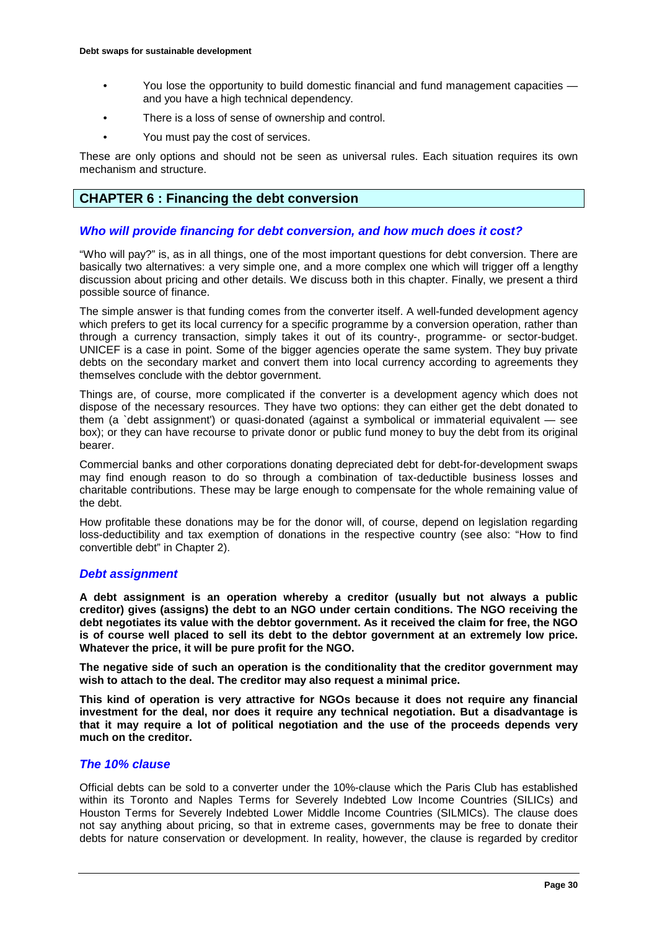- You lose the opportunity to build domestic financial and fund management capacities and you have a high technical dependency.
- There is a loss of sense of ownership and control.
- You must pay the cost of services.

These are only options and should not be seen as universal rules. Each situation requires its own mechanism and structure.

### **CHAPTER 6 : Financing the debt conversion**

#### *Who will provide financing for debt conversion, and how much does it cost?*

"Who will pay?" is, as in all things, one of the most important questions for debt conversion. There are basically two alternatives: a very simple one, and a more complex one which will trigger off a lengthy discussion about pricing and other details. We discuss both in this chapter. Finally, we present a third possible source of finance.

The simple answer is that funding comes from the converter itself. A well-funded development agency which prefers to get its local currency for a specific programme by a conversion operation, rather than through a currency transaction, simply takes it out of its country-, programme- or sector-budget. UNICEF is a case in point. Some of the bigger agencies operate the same system. They buy private debts on the secondary market and convert them into local currency according to agreements they themselves conclude with the debtor government.

Things are, of course, more complicated if the converter is a development agency which does not dispose of the necessary resources. They have two options: they can either get the debt donated to them (a `debt assignment') or quasi-donated (against a symbolical or immaterial equivalent — see box); or they can have recourse to private donor or public fund money to buy the debt from its original bearer.

Commercial banks and other corporations donating depreciated debt for debt-for-development swaps may find enough reason to do so through a combination of tax-deductible business losses and charitable contributions. These may be large enough to compensate for the whole remaining value of the debt.

How profitable these donations may be for the donor will, of course, depend on legislation regarding loss-deductibility and tax exemption of donations in the respective country (see also: "How to find convertible debt" in Chapter 2).

#### *Debt assignment*

**A debt assignment is an operation whereby a creditor (usually but not always a public creditor) gives (assigns) the debt to an NGO under certain conditions. The NGO receiving the debt negotiates its value with the debtor government. As it received the claim for free, the NGO is of course well placed to sell its debt to the debtor government at an extremely low price. Whatever the price, it will be pure profit for the NGO.** 

**The negative side of such an operation is the conditionality that the creditor government may wish to attach to the deal. The creditor may also request a minimal price.** 

**This kind of operation is very attractive for NGOs because it does not require any financial investment for the deal, nor does it require any technical negotiation. But a disadvantage is that it may require a lot of political negotiation and the use of the proceeds depends very much on the creditor.**

### *The 10% clause*

Official debts can be sold to a converter under the 10%-clause which the Paris Club has established within its Toronto and Naples Terms for Severely Indebted Low Income Countries (SILICs) and Houston Terms for Severely Indebted Lower Middle Income Countries (SILMICs). The clause does not say anything about pricing, so that in extreme cases, governments may be free to donate their debts for nature conservation or development. In reality, however, the clause is regarded by creditor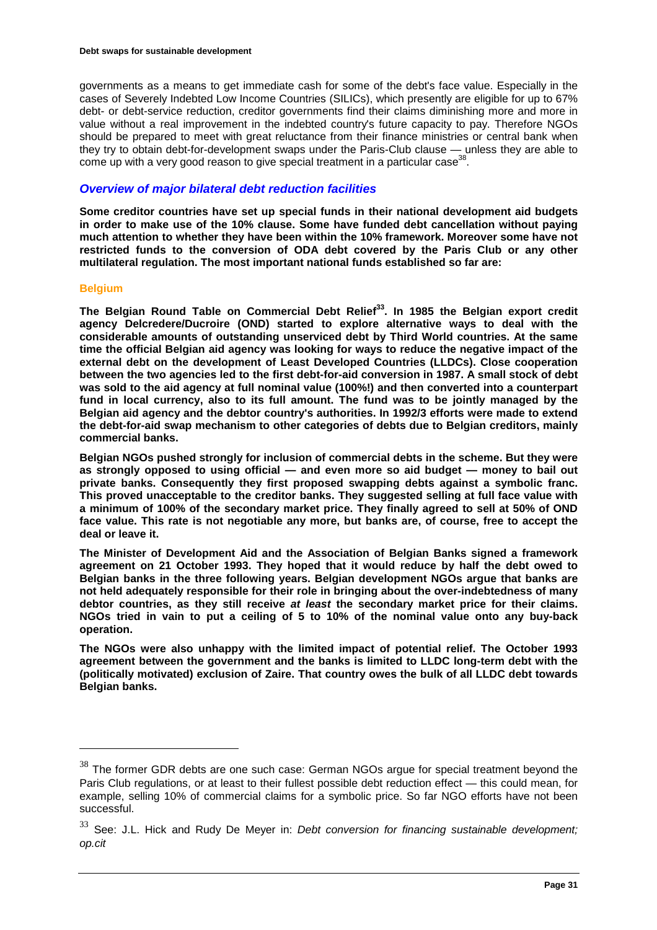governments as a means to get immediate cash for some of the debt's face value. Especially in the cases of Severely Indebted Low Income Countries (SILICs), which presently are eligible for up to 67% debt- or debt-service reduction, creditor governments find their claims diminishing more and more in value without a real improvement in the indebted country's future capacity to pay. Therefore NGOs should be prepared to meet with great reluctance from their finance ministries or central bank when they try to obtain debt-for-development swaps under the Paris-Club clause — unless they are able to come up with a very good reason to give special treatment in a particular case<sup>38</sup>.

### *Overview of major bilateral debt reduction facilities*

**Some creditor countries have set up special funds in their national development aid budgets in order to make use of the 10% clause. Some have funded debt cancellation without paying much attention to whether they have been within the 10% framework. Moreover some have not restricted funds to the conversion of ODA debt covered by the Paris Club or any other multilateral regulation. The most important national funds established so far are:**

#### **Belgium**

 $\overline{a}$ 

**The Belgian Round Table on Commercial Debt Relief33. In 1985 the Belgian export credit agency Delcredere/Ducroire (OND) started to explore alternative ways to deal with the considerable amounts of outstanding unserviced debt by Third World countries. At the same time the official Belgian aid agency was looking for ways to reduce the negative impact of the external debt on the development of Least Developed Countries (LLDCs). Close cooperation between the two agencies led to the first debt-for-aid conversion in 1987. A small stock of debt was sold to the aid agency at full nominal value (100%!) and then converted into a counterpart fund in local currency, also to its full amount. The fund was to be jointly managed by the Belgian aid agency and the debtor country's authorities. In 1992/3 efforts were made to extend the debt-for-aid swap mechanism to other categories of debts due to Belgian creditors, mainly commercial banks.**

**Belgian NGOs pushed strongly for inclusion of commercial debts in the scheme. But they were as strongly opposed to using official — and even more so aid budget — money to bail out private banks. Consequently they first proposed swapping debts against a symbolic franc. This proved unacceptable to the creditor banks. They suggested selling at full face value with a minimum of 100% of the secondary market price. They finally agreed to sell at 50% of OND face value. This rate is not negotiable any more, but banks are, of course, free to accept the deal or leave it.**

**The Minister of Development Aid and the Association of Belgian Banks signed a framework agreement on 21 October 1993. They hoped that it would reduce by half the debt owed to Belgian banks in the three following years. Belgian development NGOs argue that banks are not held adequately responsible for their role in bringing about the over-indebtedness of many debtor countries, as they still receive** *at least* **the secondary market price for their claims. NGOs tried in vain to put a ceiling of 5 to 10% of the nominal value onto any buy-back operation.**

**The NGOs were also unhappy with the limited impact of potential relief. The October 1993 agreement between the government and the banks is limited to LLDC long-term debt with the (politically motivated) exclusion of Zaire. That country owes the bulk of all LLDC debt towards Belgian banks.**

 $38$  The former GDR debts are one such case: German NGOs argue for special treatment beyond the Paris Club regulations, or at least to their fullest possible debt reduction effect — this could mean, for example, selling 10% of commercial claims for a symbolic price. So far NGO efforts have not been successful.

<sup>33</sup> See: J.L. Hick and Rudy De Meyer in: *Debt conversion for financing sustainable development; op.cit*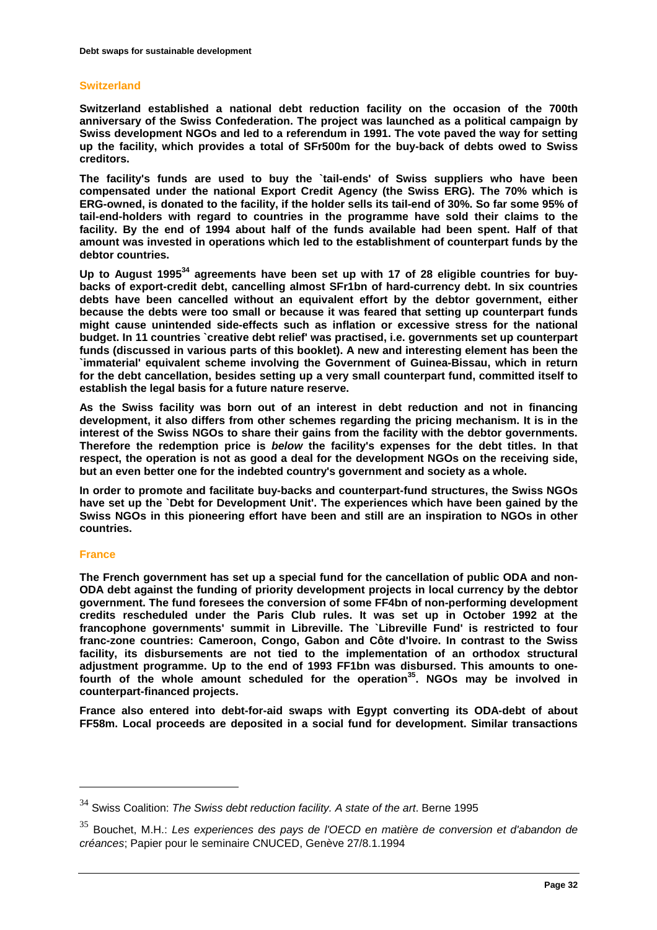### **Switzerland**

**Switzerland established a national debt reduction facility on the occasion of the 700th anniversary of the Swiss Confederation. The project was launched as a political campaign by Swiss development NGOs and led to a referendum in 1991. The vote paved the way for setting up the facility, which provides a total of SFr500m for the buy-back of debts owed to Swiss creditors.**

**The facility's funds are used to buy the `tail-ends' of Swiss suppliers who have been compensated under the national Export Credit Agency (the Swiss ERG). The 70% which is ERG-owned, is donated to the facility, if the holder sells its tail-end of 30%. So far some 95% of tail-end-holders with regard to countries in the programme have sold their claims to the facility. By the end of 1994 about half of the funds available had been spent. Half of that amount was invested in operations which led to the establishment of counterpart funds by the debtor countries.**

Up to August 1995<sup>34</sup> agreements have been set up with 17 of 28 eligible countries for buy**backs of export-credit debt, cancelling almost SFr1bn of hard-currency debt. In six countries debts have been cancelled without an equivalent effort by the debtor government, either because the debts were too small or because it was feared that setting up counterpart funds might cause unintended side-effects such as inflation or excessive stress for the national budget. In 11 countries `creative debt relief' was practised, i.e. governments set up counterpart funds (discussed in various parts of this booklet). A new and interesting element has been the `immaterial' equivalent scheme involving the Government of Guinea-Bissau, which in return for the debt cancellation, besides setting up a very small counterpart fund, committed itself to establish the legal basis for a future nature reserve.**

**As the Swiss facility was born out of an interest in debt reduction and not in financing development, it also differs from other schemes regarding the pricing mechanism. It is in the interest of the Swiss NGOs to share their gains from the facility with the debtor governments. Therefore the redemption price is** *below* **the facility's expenses for the debt titles. In that respect, the operation is not as good a deal for the development NGOs on the receiving side, but an even better one for the indebted country's government and society as a whole.**

**In order to promote and facilitate buy-backs and counterpart-fund structures, the Swiss NGOs have set up the `Debt for Development Unit'. The experiences which have been gained by the Swiss NGOs in this pioneering effort have been and still are an inspiration to NGOs in other countries.**

#### **France**

 $\overline{a}$ 

**The French government has set up a special fund for the cancellation of public ODA and non-ODA debt against the funding of priority development projects in local currency by the debtor government. The fund foresees the conversion of some FF4bn of non-performing development credits rescheduled under the Paris Club rules. It was set up in October 1992 at the francophone governments' summit in Libreville. The `Libreville Fund' is restricted to four franc-zone countries: Cameroon, Congo, Gabon and Côte d'lvoire. In contrast to the Swiss facility, its disbursements are not tied to the implementation of an orthodox structural adjustment programme. Up to the end of 1993 FF1bn was disbursed. This amounts to one**fourth of the whole amount scheduled for the operation<sup>35</sup>. NGOs may be involved in **counterpart-financed projects.**

**France also entered into debt-for-aid swaps with Egypt converting its ODA-debt of about FF58m. Local proceeds are deposited in a social fund for development. Similar transactions** 

<sup>34</sup> Swiss Coalition: *The Swiss debt reduction facility. A state of the art*. Berne 1995

<sup>35</sup> Bouchet, M.H.: *Les experiences des pays de l'OECD en matière de conversion et d'abandon de créances*; Papier pour le seminaire CNUCED, Genève 27/8.1.1994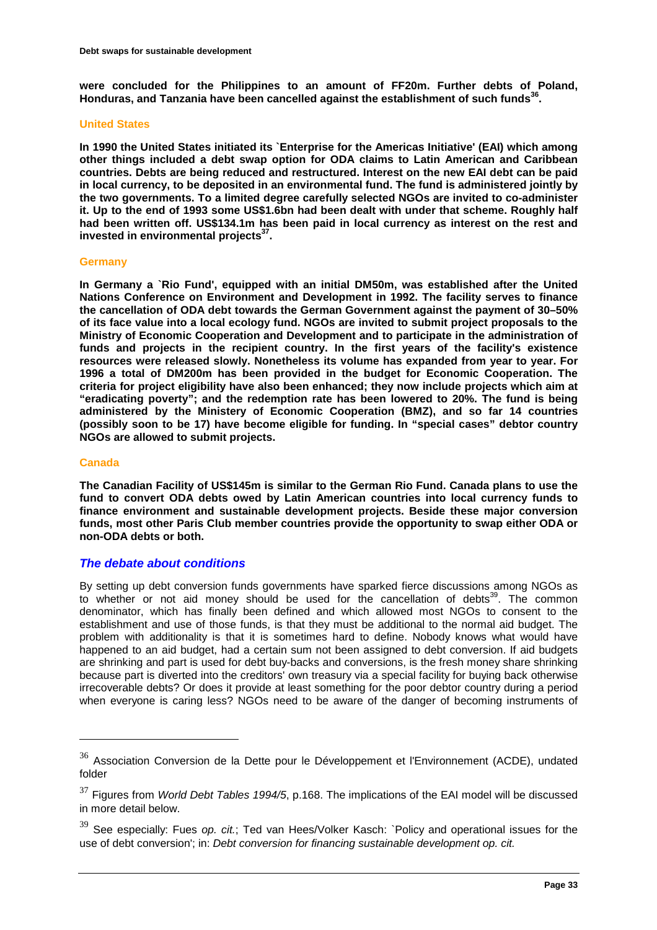**were concluded for the Philippines to an amount of FF20m. Further debts of Poland, Honduras, and Tanzania have been cancelled against the establishment of such funds36.**

#### **United States**

**In 1990 the United States initiated its `Enterprise for the Americas Initiative' (EAI) which among other things included a debt swap option for ODA claims to Latin American and Caribbean countries. Debts are being reduced and restructured. Interest on the new EAI debt can be paid in local currency, to be deposited in an environmental fund. The fund is administered jointly by the two governments. To a limited degree carefully selected NGOs are invited to co-administer it. Up to the end of 1993 some US\$1.6bn had been dealt with under that scheme. Roughly half had been written off. US\$134.1m has been paid in local currency as interest on the rest and**  invested in environmental projects<sup>37</sup>.

#### **Germany**

**In Germany a `Rio Fund', equipped with an initial DM50m, was established after the United Nations Conference on Environment and Development in 1992. The facility serves to finance the cancellation of ODA debt towards the German Government against the payment of 30–50% of its face value into a local ecology fund. NGOs are invited to submit project proposals to the Ministry of Economic Cooperation and Development and to participate in the administration of funds and projects in the recipient country. In the first years of the facility's existence resources were released slowly. Nonetheless its volume has expanded from year to year. For 1996 a total of DM200m has been provided in the budget for Economic Cooperation. The criteria for project eligibility have also been enhanced; they now include projects which aim at "eradicating poverty"; and the redemption rate has been lowered to 20%. The fund is being administered by the Ministery of Economic Cooperation (BMZ), and so far 14 countries (possibly soon to be 17) have become eligible for funding. In "special cases" debtor country NGOs are allowed to submit projects.**

#### **Canada**

 $\overline{a}$ 

**The Canadian Facility of US\$145m is similar to the German Rio Fund. Canada plans to use the fund to convert ODA debts owed by Latin American countries into local currency funds to finance environment and sustainable development projects. Beside these major conversion funds, most other Paris Club member countries provide the opportunity to swap either ODA or non-ODA debts or both.**

### *The debate about conditions*

By setting up debt conversion funds governments have sparked fierce discussions among NGOs as to whether or not aid money should be used for the cancellation of debts<sup>39</sup>. The common denominator, which has finally been defined and which allowed most NGOs to consent to the establishment and use of those funds, is that they must be additional to the normal aid budget. The problem with additionality is that it is sometimes hard to define. Nobody knows what would have happened to an aid budget, had a certain sum not been assigned to debt conversion. If aid budgets are shrinking and part is used for debt buy-backs and conversions, is the fresh money share shrinking because part is diverted into the creditors' own treasury via a special facility for buying back otherwise irrecoverable debts? Or does it provide at least something for the poor debtor country during a period when everyone is caring less? NGOs need to be aware of the danger of becoming instruments of

 $36$  Association Conversion de la Dette pour le Développement et l'Environnement (ACDE), undated folder

<sup>37</sup> Figures from *World Debt Tables 1994/5*, p.168. The implications of the EAI model will be discussed in more detail below.

<sup>39</sup> See especially: Fues *op. cit.*; Ted van Hees/Volker Kasch: `Policy and operational issues for the use of debt conversion'; in: *Debt conversion for financing sustainable development op. cit.*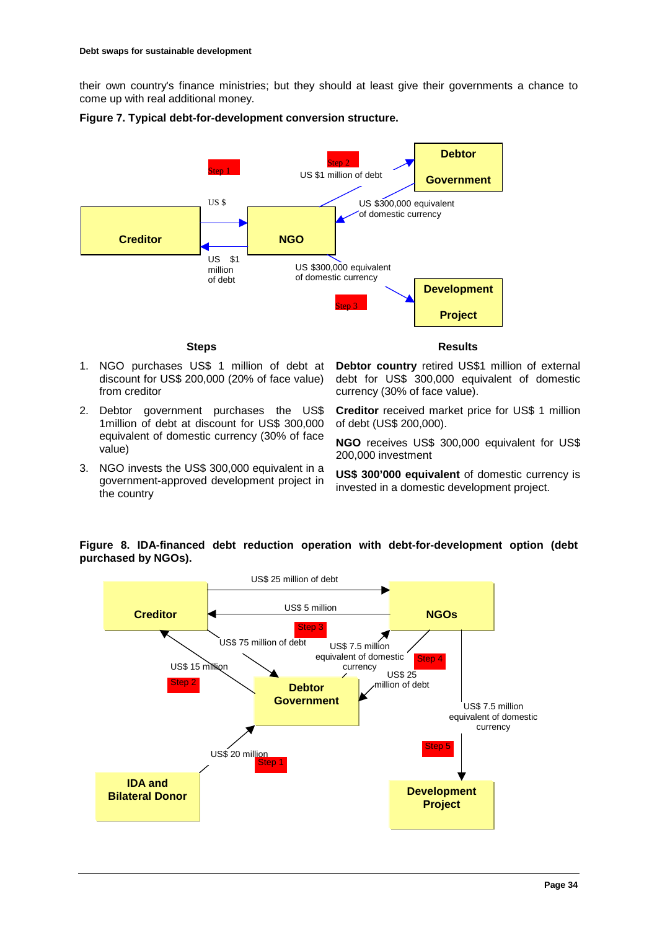their own country's finance ministries; but they should at least give their governments a chance to come up with real additional money.

![](_page_33_Figure_2.jpeg)

#### **Figure 7. Typical debt-for-development conversion structure.**

#### **Steps**

- 1. NGO purchases US\$ 1 million of debt at discount for US\$ 200,000 (20% of face value) from creditor
- 2. Debtor government purchases the US\$ 1million of debt at discount for US\$ 300,000 equivalent of domestic currency (30% of face value)
- 3. NGO invests the US\$ 300,000 equivalent in a government-approved development project in the country

**Results** 

**Debtor country** retired US\$1 million of external debt for US\$ 300,000 equivalent of domestic currency (30% of face value).

**Creditor** received market price for US\$ 1 million of debt (US\$ 200,000).

**NGO** receives US\$ 300,000 equivalent for US\$ 200,000 investment

**US\$ 300'000 equivalent** of domestic currency is invested in a domestic development project.

# **Figure 8. IDA-financed debt reduction operation with debt-for-development option (debt purchased by NGOs).**

![](_page_33_Figure_14.jpeg)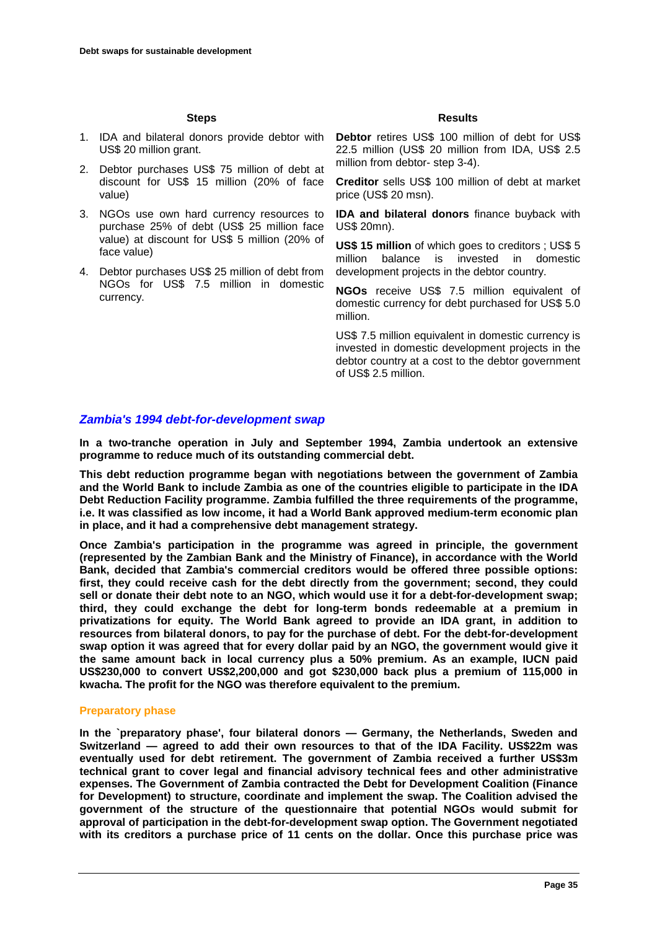#### **Steps**

- 1. IDA and bilateral donors provide debtor with **Debtor** retires US\$ 100 million of debt for US\$ US\$ 20 million grant.
- 2. Debtor purchases US\$ 75 million of debt at discount for US\$ 15 million (20% of face value)
- 3. NGOs use own hard currency resources to purchase 25% of debt (US\$ 25 million face value) at discount for US\$ 5 million (20% of face value)
- 4. Debtor purchases US\$ 25 million of debt from NGOs for US\$ 7.5 million in domestic currency.

#### **Results**

22.5 million (US\$ 20 million from IDA, US\$ 2.5 million from debtor- step 3-4).

**Creditor** sells US\$ 100 million of debt at market price (US\$ 20 msn).

**IDA and bilateral donors** finance buyback with US\$ 20mn).

**US\$ 15 million** of which goes to creditors ; US\$ 5 million balance is invested in domestic development projects in the debtor country.

**NGOs** receive US\$ 7.5 million equivalent of domestic currency for debt purchased for US\$ 5.0 million.

US\$ 7.5 million equivalent in domestic currency is invested in domestic development projects in the debtor country at a cost to the debtor government of US\$ 2.5 million.

### *Zambia's 1994 debt-for-development swap*

**In a two-tranche operation in July and September 1994, Zambia undertook an extensive programme to reduce much of its outstanding commercial debt.**

**This debt reduction programme began with negotiations between the government of Zambia and the World Bank to include Zambia as one of the countries eligible to participate in the IDA Debt Reduction Facility programme. Zambia fulfilled the three requirements of the programme, i.e. It was classified as low income, it had a World Bank approved medium-term economic plan in place, and it had a comprehensive debt management strategy.**

**Once Zambia's participation in the programme was agreed in principle, the government (represented by the Zambian Bank and the Ministry of Finance), in accordance with the World Bank, decided that Zambia's commercial creditors would be offered three possible options: first, they could receive cash for the debt directly from the government; second, they could sell or donate their debt note to an NGO, which would use it for a debt-for-development swap; third, they could exchange the debt for long-term bonds redeemable at a premium in privatizations for equity. The World Bank agreed to provide an IDA grant, in addition to resources from bilateral donors, to pay for the purchase of debt. For the debt-for-development swap option it was agreed that for every dollar paid by an NGO, the government would give it the same amount back in local currency plus a 50% premium. As an example, IUCN paid US\$230,000 to convert US\$2,200,000 and got \$230,000 back plus a premium of 115,000 in kwacha. The profit for the NGO was therefore equivalent to the premium.**

#### **Preparatory phase**

**In the `preparatory phase', four bilateral donors — Germany, the Netherlands, Sweden and Switzerland — agreed to add their own resources to that of the IDA Facility. US\$22m was eventually used for debt retirement. The government of Zambia received a further US\$3m technical grant to cover legal and financial advisory technical fees and other administrative expenses. The Government of Zambia contracted the Debt for Development Coalition (Finance for Development) to structure, coordinate and implement the swap. The Coalition advised the government of the structure of the questionnaire that potential NGOs would submit for approval of participation in the debt-for-development swap option. The Government negotiated with its creditors a purchase price of 11 cents on the dollar. Once this purchase price was**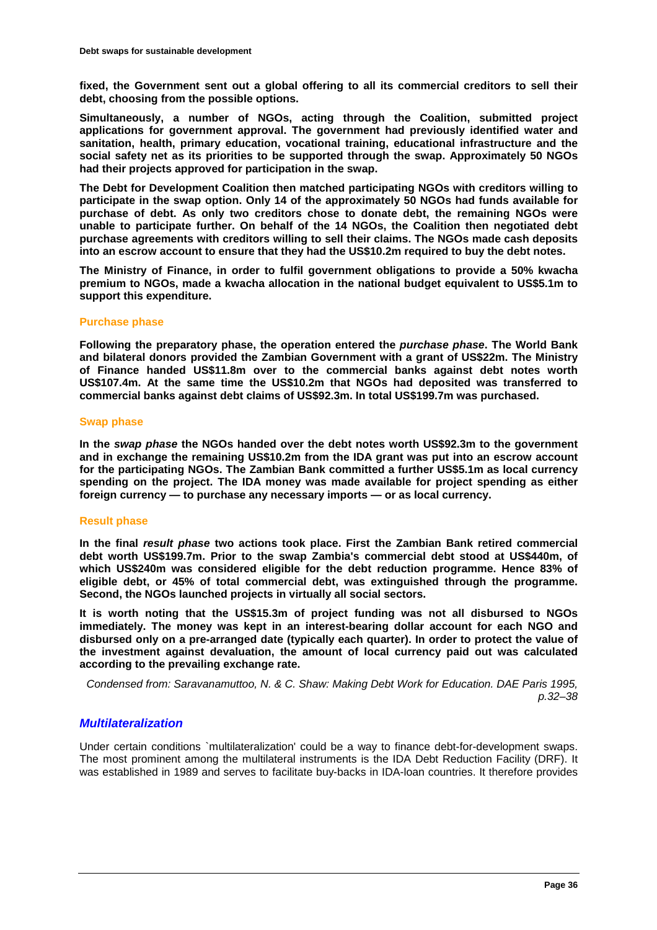**fixed, the Government sent out a global offering to all its commercial creditors to sell their debt, choosing from the possible options.**

**Simultaneously, a number of NGOs, acting through the Coalition, submitted project applications for government approval. The government had previously identified water and sanitation, health, primary education, vocational training, educational infrastructure and the social safety net as its priorities to be supported through the swap. Approximately 50 NGOs had their projects approved for participation in the swap.**

**The Debt for Development Coalition then matched participating NGOs with creditors willing to participate in the swap option. Only 14 of the approximately 50 NGOs had funds available for purchase of debt. As only two creditors chose to donate debt, the remaining NGOs were unable to participate further. On behalf of the 14 NGOs, the Coalition then negotiated debt purchase agreements with creditors willing to sell their claims. The NGOs made cash deposits into an escrow account to ensure that they had the US\$10.2m required to buy the debt notes.**

**The Ministry of Finance, in order to fulfil government obligations to provide a 50% kwacha premium to NGOs, made a kwacha allocation in the national budget equivalent to US\$5.1m to support this expenditure.**

#### **Purchase phase**

**Following the preparatory phase, the operation entered the** *purchase phase***. The World Bank and bilateral donors provided the Zambian Government with a grant of US\$22m. The Ministry of Finance handed US\$11.8m over to the commercial banks against debt notes worth US\$107.4m. At the same time the US\$10.2m that NGOs had deposited was transferred to commercial banks against debt claims of US\$92.3m. In total US\$199.7m was purchased.**

#### **Swap phase**

**In the** *swap phase* **the NGOs handed over the debt notes worth US\$92.3m to the government and in exchange the remaining US\$10.2m from the IDA grant was put into an escrow account for the participating NGOs. The Zambian Bank committed a further US\$5.1m as local currency spending on the project. The IDA money was made available for project spending as either foreign currency — to purchase any necessary imports — or as local currency.**

#### **Result phase**

**In the final** *result phase* **two actions took place. First the Zambian Bank retired commercial debt worth US\$199.7m. Prior to the swap Zambia's commercial debt stood at US\$440m, of which US\$240m was considered eligible for the debt reduction programme. Hence 83% of eligible debt, or 45% of total commercial debt, was extinguished through the programme. Second, the NGOs launched projects in virtually all social sectors.**

**It is worth noting that the US\$15.3m of project funding was not all disbursed to NGOs immediately. The money was kept in an interest-bearing dollar account for each NGO and disbursed only on a pre-arranged date (typically each quarter). In order to protect the value of the investment against devaluation, the amount of local currency paid out was calculated according to the prevailing exchange rate.**

*Condensed from: Saravanamuttoo, N. & C. Shaw: Making Debt Work for Education. DAE Paris 1995, p.32–38*

### *Multilateralization*

Under certain conditions `multilateralization' could be a way to finance debt-for-development swaps. The most prominent among the multilateral instruments is the IDA Debt Reduction Facility (DRF). It was established in 1989 and serves to facilitate buy-backs in IDA-loan countries. It therefore provides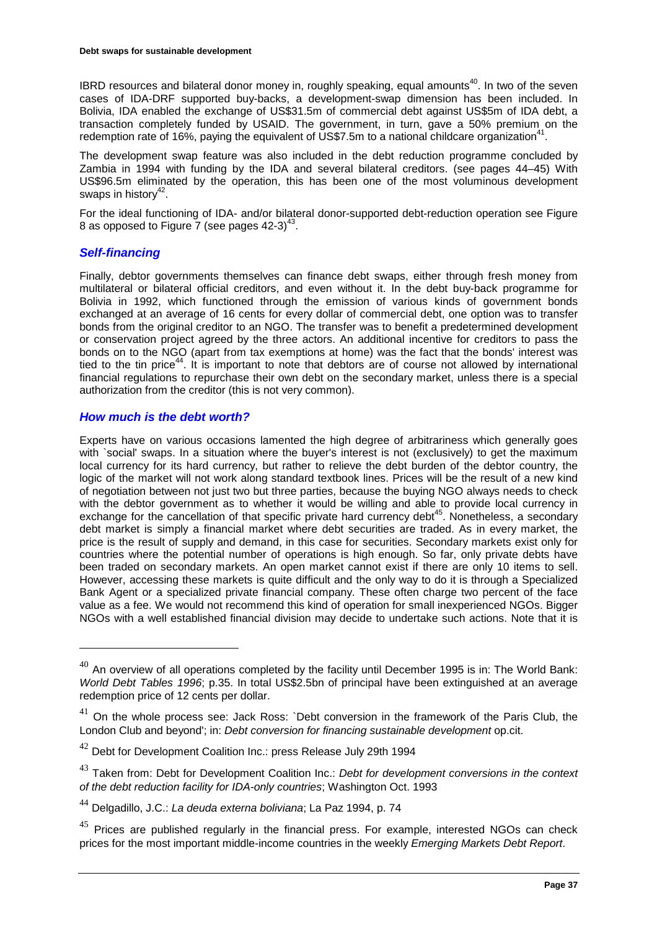IBRD resources and bilateral donor money in, roughly speaking, equal amounts<sup>40</sup>. In two of the seven cases of IDA-DRF supported buy-backs, a development-swap dimension has been included. In Bolivia, IDA enabled the exchange of US\$31.5m of commercial debt against US\$5m of IDA debt, a transaction completely funded by USAID. The government, in turn, gave a 50% premium on the redemption rate of 16%, paying the equivalent of US\$7.5m to a national childcare organization<sup>41</sup>.

The development swap feature was also included in the debt reduction programme concluded by Zambia in 1994 with funding by the IDA and several bilateral creditors. (see pages 44–45) With US\$96.5m eliminated by the operation, this has been one of the most voluminous development swaps in history<sup>42</sup>.

For the ideal functioning of IDA- and/or bilateral donor-supported debt-reduction operation see Figure 8 as opposed to Figure 7 (see pages  $42-3$ )<sup>43</sup>.

### *Self-financing*

 $\overline{a}$ 

Finally, debtor governments themselves can finance debt swaps, either through fresh money from multilateral or bilateral official creditors, and even without it. In the debt buy-back programme for Bolivia in 1992, which functioned through the emission of various kinds of government bonds exchanged at an average of 16 cents for every dollar of commercial debt, one option was to transfer bonds from the original creditor to an NGO. The transfer was to benefit a predetermined development or conservation project agreed by the three actors. An additional incentive for creditors to pass the bonds on to the NGO (apart from tax exemptions at home) was the fact that the bonds' interest was tied to the tin price<sup>44</sup>. It is important to note that debtors are of course not allowed by international financial regulations to repurchase their own debt on the secondary market, unless there is a special authorization from the creditor (this is not very common).

#### *How much is the debt worth?*

Experts have on various occasions lamented the high degree of arbitrariness which generally goes with `social' swaps. In a situation where the buyer's interest is not (exclusively) to get the maximum local currency for its hard currency, but rather to relieve the debt burden of the debtor country, the logic of the market will not work along standard textbook lines. Prices will be the result of a new kind of negotiation between not just two but three parties, because the buying NGO always needs to check with the debtor government as to whether it would be willing and able to provide local currency in exchange for the cancellation of that specific private hard currency debt<sup>45</sup>. Nonetheless, a secondary debt market is simply a financial market where debt securities are traded. As in every market, the price is the result of supply and demand, in this case for securities. Secondary markets exist only for countries where the potential number of operations is high enough. So far, only private debts have been traded on secondary markets. An open market cannot exist if there are only 10 items to sell. However, accessing these markets is quite difficult and the only way to do it is through a Specialized Bank Agent or a specialized private financial company. These often charge two percent of the face value as a fee. We would not recommend this kind of operation for small inexperienced NGOs. Bigger NGOs with a well established financial division may decide to undertake such actions. Note that it is

 $^{40}$  An overview of all operations completed by the facility until December 1995 is in: The World Bank: *World Debt Tables 1996*; p.35. In total US\$2.5bn of principal have been extinguished at an average redemption price of 12 cents per dollar.

 $41$  On the whole process see: Jack Ross: `Debt conversion in the framework of the Paris Club, the London Club and beyond'; in: *Debt conversion for financing sustainable development* op.cit.

<sup>&</sup>lt;sup>42</sup> Debt for Development Coalition Inc.: press Release July 29th 1994

<sup>43</sup> Taken from: Debt for Development Coalition Inc.: *Debt for development conversions in the context of the debt reduction facility for IDA-only countries*; Washington Oct. 1993

<sup>44</sup> Delgadillo, J.C.: *La deuda externa boliviana*; La Paz 1994, p. 74

 $45$  Prices are published regularly in the financial press. For example, interested NGOs can check prices for the most important middle-income countries in the weekly *Emerging Markets Debt Report*.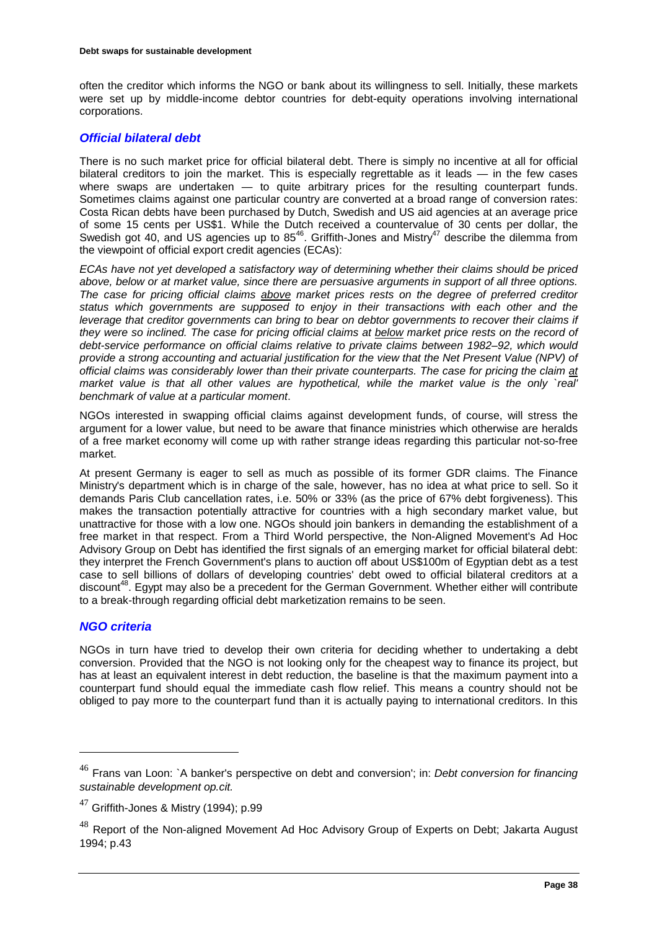often the creditor which informs the NGO or bank about its willingness to sell. Initially, these markets were set up by middle-income debtor countries for debt-equity operations involving international corporations.

# *Official bilateral debt*

There is no such market price for official bilateral debt. There is simply no incentive at all for official bilateral creditors to join the market. This is especially regrettable as it leads — in the few cases where swaps are undertaken — to quite arbitrary prices for the resulting counterpart funds. Sometimes claims against one particular country are converted at a broad range of conversion rates: Costa Rican debts have been purchased by Dutch, Swedish and US aid agencies at an average price of some 15 cents per US\$1. While the Dutch received a countervalue of 30 cents per dollar, the Swedish got 40, and US agencies up to  $85^{46}$ . Griffith-Jones and Mistry<sup>47</sup> describe the dilemma from the viewpoint of official export credit agencies (ECAs):

*ECAs have not yet developed a satisfactory way of determining whether their claims should be priced above, below or at market value, since there are persuasive arguments in support of all three options. The case for pricing official claims above market prices rests on the degree of preferred creditor status which governments are supposed to enjoy in their transactions with each other and the leverage that creditor governments can bring to bear on debtor governments to recover their claims if they were so inclined. The case for pricing official claims at below market price rests on the record of debt-service performance on official claims relative to private claims between 1982–92, which would provide a strong accounting and actuarial justification for the view that the Net Present Value (NPV) of official claims was considerably lower than their private counterparts. The case for pricing the claim at* market value is that all other values are hypothetical, while the market value is the only `real' *benchmark of value at a particular moment*.

NGOs interested in swapping official claims against development funds, of course, will stress the argument for a lower value, but need to be aware that finance ministries which otherwise are heralds of a free market economy will come up with rather strange ideas regarding this particular not-so-free market.

At present Germany is eager to sell as much as possible of its former GDR claims. The Finance Ministry's department which is in charge of the sale, however, has no idea at what price to sell. So it demands Paris Club cancellation rates, i.e. 50% or 33% (as the price of 67% debt forgiveness). This makes the transaction potentially attractive for countries with a high secondary market value, but unattractive for those with a low one. NGOs should join bankers in demanding the establishment of a free market in that respect. From a Third World perspective, the Non-Aligned Movement's Ad Hoc Advisory Group on Debt has identified the first signals of an emerging market for official bilateral debt: they interpret the French Government's plans to auction off about US\$100m of Egyptian debt as a test case to sell billions of dollars of developing countries' debt owed to official bilateral creditors at a discount<sup>48</sup>. Egypt may also be a precedent for the German Government. Whether either will contribute to a break-through regarding official debt marketization remains to be seen.

# *NGO criteria*

 $\overline{a}$ 

NGOs in turn have tried to develop their own criteria for deciding whether to undertaking a debt conversion. Provided that the NGO is not looking only for the cheapest way to finance its project, but has at least an equivalent interest in debt reduction, the baseline is that the maximum payment into a counterpart fund should equal the immediate cash flow relief. This means a country should not be obliged to pay more to the counterpart fund than it is actually paying to international creditors. In this

<sup>46</sup> Frans van Loon: `A banker's perspective on debt and conversion'; in: *Debt conversion for financing sustainable development op.cit.*

 $47$  Griffith-Jones & Mistry (1994); p.99

 $48$  Report of the Non-aligned Movement Ad Hoc Advisory Group of Experts on Debt; Jakarta August 1994; p.43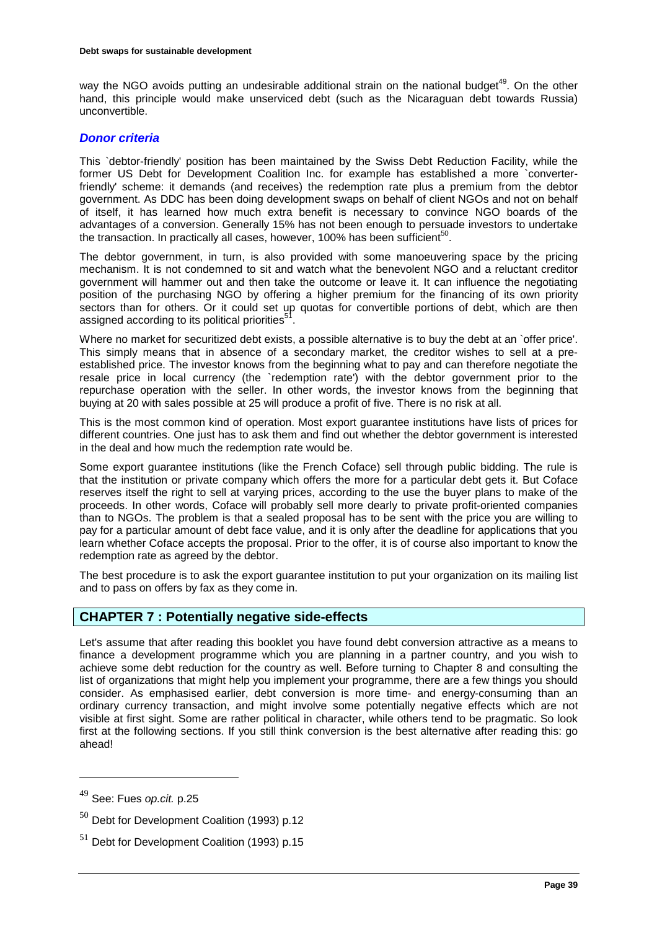way the NGO avoids putting an undesirable additional strain on the national budget<sup>49</sup>. On the other hand, this principle would make unserviced debt (such as the Nicaraguan debt towards Russia) unconvertible.

# *Donor criteria*

This `debtor-friendly' position has been maintained by the Swiss Debt Reduction Facility, while the former US Debt for Development Coalition Inc. for example has established a more `converterfriendly' scheme: it demands (and receives) the redemption rate plus a premium from the debtor government. As DDC has been doing development swaps on behalf of client NGOs and not on behalf of itself, it has learned how much extra benefit is necessary to convince NGO boards of the advantages of a conversion. Generally 15% has not been enough to persuade investors to undertake the transaction. In practically all cases, however, 100% has been sufficient<sup>50</sup>.

The debtor government, in turn, is also provided with some manoeuvering space by the pricing mechanism. It is not condemned to sit and watch what the benevolent NGO and a reluctant creditor government will hammer out and then take the outcome or leave it. It can influence the negotiating position of the purchasing NGO by offering a higher premium for the financing of its own priority sectors than for others. Or it could set up quotas for convertible portions of debt, which are then assigned according to its political priorities<sup>51</sup>

Where no market for securitized debt exists, a possible alternative is to buy the debt at an `offer price'. This simply means that in absence of a secondary market, the creditor wishes to sell at a preestablished price. The investor knows from the beginning what to pay and can therefore negotiate the resale price in local currency (the `redemption rate') with the debtor government prior to the repurchase operation with the seller. In other words, the investor knows from the beginning that buying at 20 with sales possible at 25 will produce a profit of five. There is no risk at all.

This is the most common kind of operation. Most export guarantee institutions have lists of prices for different countries. One just has to ask them and find out whether the debtor government is interested in the deal and how much the redemption rate would be.

Some export guarantee institutions (like the French Coface) sell through public bidding. The rule is that the institution or private company which offers the more for a particular debt gets it. But Coface reserves itself the right to sell at varying prices, according to the use the buyer plans to make of the proceeds. In other words, Coface will probably sell more dearly to private profit-oriented companies than to NGOs. The problem is that a sealed proposal has to be sent with the price you are willing to pay for a particular amount of debt face value, and it is only after the deadline for applications that you learn whether Coface accepts the proposal. Prior to the offer, it is of course also important to know the redemption rate as agreed by the debtor.

The best procedure is to ask the export guarantee institution to put your organization on its mailing list and to pass on offers by fax as they come in.

# **CHAPTER 7 : Potentially negative side-effects**

Let's assume that after reading this booklet you have found debt conversion attractive as a means to finance a development programme which you are planning in a partner country, and you wish to achieve some debt reduction for the country as well. Before turning to Chapter 8 and consulting the list of organizations that might help you implement your programme, there are a few things you should consider. As emphasised earlier, debt conversion is more time- and energy-consuming than an ordinary currency transaction, and might involve some potentially negative effects which are not visible at first sight. Some are rather political in character, while others tend to be pragmatic. So look first at the following sections. If you still think conversion is the best alternative after reading this: go ahead!

<sup>49</sup> See: Fues *op.cit.* p.25

 $50$  Debt for Development Coalition (1993) p.12

<sup>&</sup>lt;sup>51</sup> Debt for Development Coalition (1993) p.15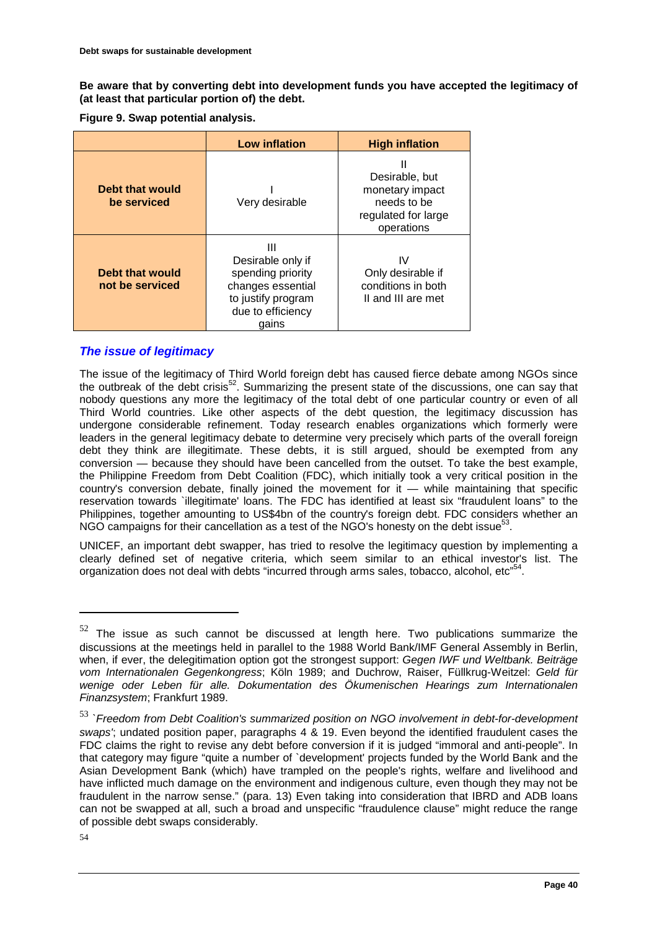**Be aware that by converting debt into development funds you have accepted the legitimacy of (at least that particular portion of) the debt.**

**Figure 9. Swap potential analysis.** 

|                                    | <b>Low inflation</b>                                                                                                 | <b>High inflation</b>                                                                      |
|------------------------------------|----------------------------------------------------------------------------------------------------------------------|--------------------------------------------------------------------------------------------|
| Debt that would<br>be serviced     | Very desirable                                                                                                       | Ш<br>Desirable, but<br>monetary impact<br>needs to be<br>regulated for large<br>operations |
| Debt that would<br>not be serviced | Ш<br>Desirable only if<br>spending priority<br>changes essential<br>to justify program<br>due to efficiency<br>aains | IV<br>Only desirable if<br>conditions in both<br>II and III are met                        |

# *The issue of legitimacy*

The issue of the legitimacy of Third World foreign debt has caused fierce debate among NGOs since the outbreak of the debt crisis<sup>52</sup>. Summarizing the present state of the discussions, one can say that nobody questions any more the legitimacy of the total debt of one particular country or even of all Third World countries. Like other aspects of the debt question, the legitimacy discussion has undergone considerable refinement. Today research enables organizations which formerly were leaders in the general legitimacy debate to determine very precisely which parts of the overall foreign debt they think are illegitimate. These debts, it is still argued, should be exempted from any conversion — because they should have been cancelled from the outset. To take the best example, the Philippine Freedom from Debt Coalition (FDC), which initially took a very critical position in the country's conversion debate, finally joined the movement for  $it$  — while maintaining that specific reservation towards `illegitimate' loans. The FDC has identified at least six "fraudulent loans" to the Philippines, together amounting to US\$4bn of the country's foreign debt. FDC considers whether an NGO campaigns for their cancellation as a test of the NGO's honesty on the debt issue<sup>53</sup>.

UNICEF, an important debt swapper, has tried to resolve the legitimacy question by implementing a clearly defined set of negative criteria, which seem similar to an ethical investor's list. The organization does not deal with debts "incurred through arms sales, tobacco, alcohol, etc"<sup>54</sup>.

 $52$  The issue as such cannot be discussed at length here. Two publications summarize the discussions at the meetings held in parallel to the 1988 World Bank/IMF General Assembly in Berlin, when, if ever, the delegitimation option got the strongest support: *Gegen IWF und Weltbank. Beiträge vom Internationalen Gegenkongress*; Köln 1989; and Duchrow, Raiser, Füllkrug-Weitzel: *Geld für wenige oder Leben für alle. Dokumentation des Ökumenischen Hearings zum Internationalen Finanzsystem*; Frankfurt 1989.

<sup>53</sup> *`Freedom from Debt Coalition's summarized position on NGO involvement in debt-for-development swaps'*; undated position paper, paragraphs 4 & 19. Even beyond the identified fraudulent cases the FDC claims the right to revise any debt before conversion if it is judged "immoral and anti-people". In that category may figure "quite a number of `development' projects funded by the World Bank and the Asian Development Bank (which) have trampled on the people's rights, welfare and livelihood and have inflicted much damage on the environment and indigenous culture, even though they may not be fraudulent in the narrow sense." (para. 13) Even taking into consideration that IBRD and ADB loans can not be swapped at all, such a broad and unspecific "fraudulence clause" might reduce the range of possible debt swaps considerably.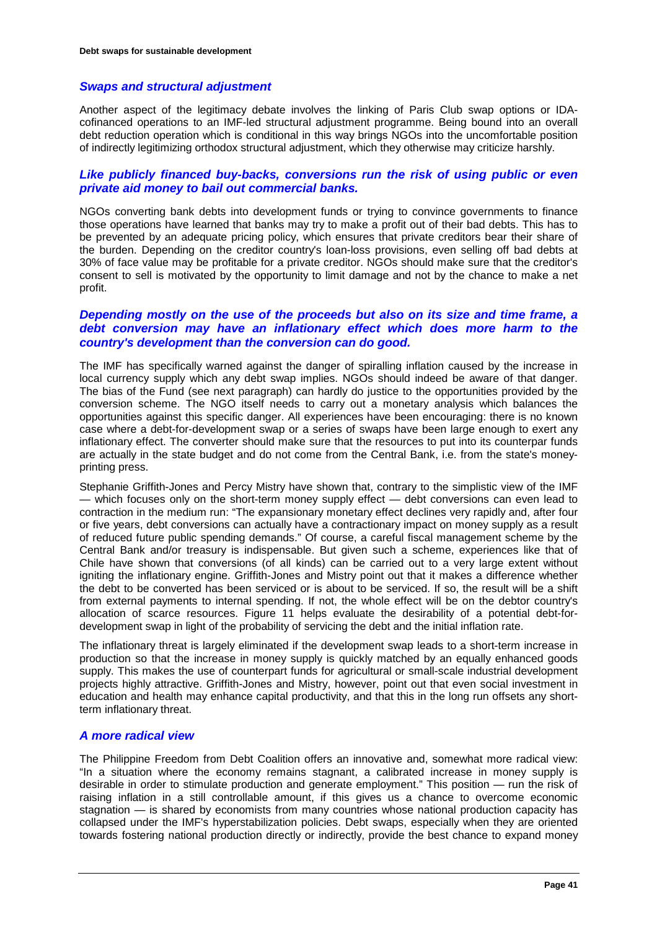### *Swaps and structural adjustment*

Another aspect of the legitimacy debate involves the linking of Paris Club swap options or IDAcofinanced operations to an IMF-led structural adjustment programme. Being bound into an overall debt reduction operation which is conditional in this way brings NGOs into the uncomfortable position of indirectly legitimizing orthodox structural adjustment, which they otherwise may criticize harshly.

### *Like publicly financed buy-backs, conversions run the risk of using public or even private aid money to bail out commercial banks.*

NGOs converting bank debts into development funds or trying to convince governments to finance those operations have learned that banks may try to make a profit out of their bad debts. This has to be prevented by an adequate pricing policy, which ensures that private creditors bear their share of the burden. Depending on the creditor country's loan-loss provisions, even selling off bad debts at 30% of face value may be profitable for a private creditor. NGOs should make sure that the creditor's consent to sell is motivated by the opportunity to limit damage and not by the chance to make a net profit.

### *Depending mostly on the use of the proceeds but also on its size and time frame, a debt conversion may have an inflationary effect which does more harm to the country's development than the conversion can do good.*

The IMF has specifically warned against the danger of spiralling inflation caused by the increase in local currency supply which any debt swap implies. NGOs should indeed be aware of that danger. The bias of the Fund (see next paragraph) can hardly do justice to the opportunities provided by the conversion scheme. The NGO itself needs to carry out a monetary analysis which balances the opportunities against this specific danger. All experiences have been encouraging: there is no known case where a debt-for-development swap or a series of swaps have been large enough to exert any inflationary effect. The converter should make sure that the resources to put into its counterpar funds are actually in the state budget and do not come from the Central Bank, i.e. from the state's moneyprinting press.

Stephanie Griffith-Jones and Percy Mistry have shown that, contrary to the simplistic view of the IMF — which focuses only on the short-term money supply effect — debt conversions can even lead to contraction in the medium run: "The expansionary monetary effect declines very rapidly and, after four or five years, debt conversions can actually have a contractionary impact on money supply as a result of reduced future public spending demands." Of course, a careful fiscal management scheme by the Central Bank and/or treasury is indispensable. But given such a scheme, experiences like that of Chile have shown that conversions (of all kinds) can be carried out to a very large extent without igniting the inflationary engine. Griffith-Jones and Mistry point out that it makes a difference whether the debt to be converted has been serviced or is about to be serviced. If so, the result will be a shift from external payments to internal spending. If not, the whole effect will be on the debtor country's allocation of scarce resources. Figure 11 helps evaluate the desirability of a potential debt-fordevelopment swap in light of the probability of servicing the debt and the initial inflation rate.

The inflationary threat is largely eliminated if the development swap leads to a short-term increase in production so that the increase in money supply is quickly matched by an equally enhanced goods supply. This makes the use of counterpart funds for agricultural or small-scale industrial development projects highly attractive. Griffith-Jones and Mistry, however, point out that even social investment in education and health may enhance capital productivity, and that this in the long run offsets any shortterm inflationary threat.

# *A more radical view*

The Philippine Freedom from Debt Coalition offers an innovative and, somewhat more radical view: "In a situation where the economy remains stagnant, a calibrated increase in money supply is desirable in order to stimulate production and generate employment." This position — run the risk of raising inflation in a still controllable amount, if this gives us a chance to overcome economic stagnation — is shared by economists from many countries whose national production capacity has collapsed under the IMF's hyperstabilization policies. Debt swaps, especially when they are oriented towards fostering national production directly or indirectly, provide the best chance to expand money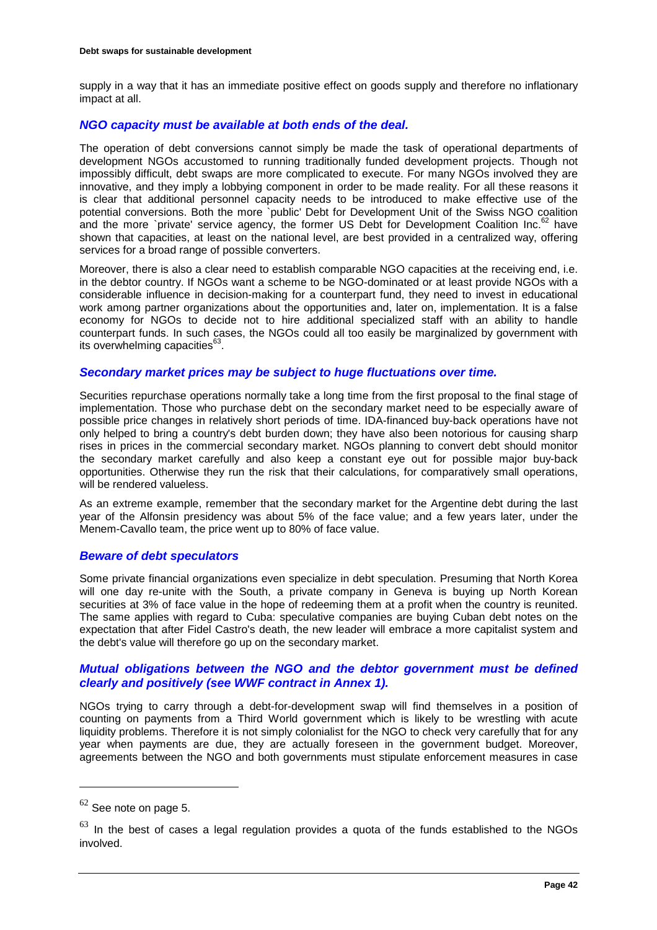supply in a way that it has an immediate positive effect on goods supply and therefore no inflationary impact at all.

# *NGO capacity must be available at both ends of the deal.*

The operation of debt conversions cannot simply be made the task of operational departments of development NGOs accustomed to running traditionally funded development projects. Though not impossibly difficult, debt swaps are more complicated to execute. For many NGOs involved they are innovative, and they imply a lobbying component in order to be made reality. For all these reasons it is clear that additional personnel capacity needs to be introduced to make effective use of the potential conversions. Both the more `public' Debt for Development Unit of the Swiss NGO coalition and the more `private' service agency, the former US Debt for Development Coalition Inc. $^{62}$  have shown that capacities, at least on the national level, are best provided in a centralized way, offering services for a broad range of possible converters.

Moreover, there is also a clear need to establish comparable NGO capacities at the receiving end, i.e. in the debtor country. If NGOs want a scheme to be NGO-dominated or at least provide NGOs with a considerable influence in decision-making for a counterpart fund, they need to invest in educational work among partner organizations about the opportunities and, later on, implementation. It is a false economy for NGOs to decide not to hire additional specialized staff with an ability to handle counterpart funds. In such cases, the NGOs could all too easily be marginalized by government with its overwhelming capacities<sup>63</sup>.

#### *Secondary market prices may be subject to huge fluctuations over time.*

Securities repurchase operations normally take a long time from the first proposal to the final stage of implementation. Those who purchase debt on the secondary market need to be especially aware of possible price changes in relatively short periods of time. IDA-financed buy-back operations have not only helped to bring a country's debt burden down; they have also been notorious for causing sharp rises in prices in the commercial secondary market. NGOs planning to convert debt should monitor the secondary market carefully and also keep a constant eye out for possible major buy-back opportunities. Otherwise they run the risk that their calculations, for comparatively small operations, will be rendered valueless.

As an extreme example, remember that the secondary market for the Argentine debt during the last year of the Alfonsin presidency was about 5% of the face value; and a few years later, under the Menem-Cavallo team, the price went up to 80% of face value.

### *Beware of debt speculators*

Some private financial organizations even specialize in debt speculation. Presuming that North Korea will one day re-unite with the South, a private company in Geneva is buying up North Korean securities at 3% of face value in the hope of redeeming them at a profit when the country is reunited. The same applies with regard to Cuba: speculative companies are buying Cuban debt notes on the expectation that after Fidel Castro's death, the new leader will embrace a more capitalist system and the debt's value will therefore go up on the secondary market.

# *Mutual obligations between the NGO and the debtor government must be defined clearly and positively (see WWF contract in Annex 1).*

NGOs trying to carry through a debt-for-development swap will find themselves in a position of counting on payments from a Third World government which is likely to be wrestling with acute liquidity problems. Therefore it is not simply colonialist for the NGO to check very carefully that for any year when payments are due, they are actually foreseen in the government budget. Moreover, agreements between the NGO and both governments must stipulate enforcement measures in case

 $62$  See note on page 5.

 $63$  In the best of cases a legal regulation provides a quota of the funds established to the NGOs involved.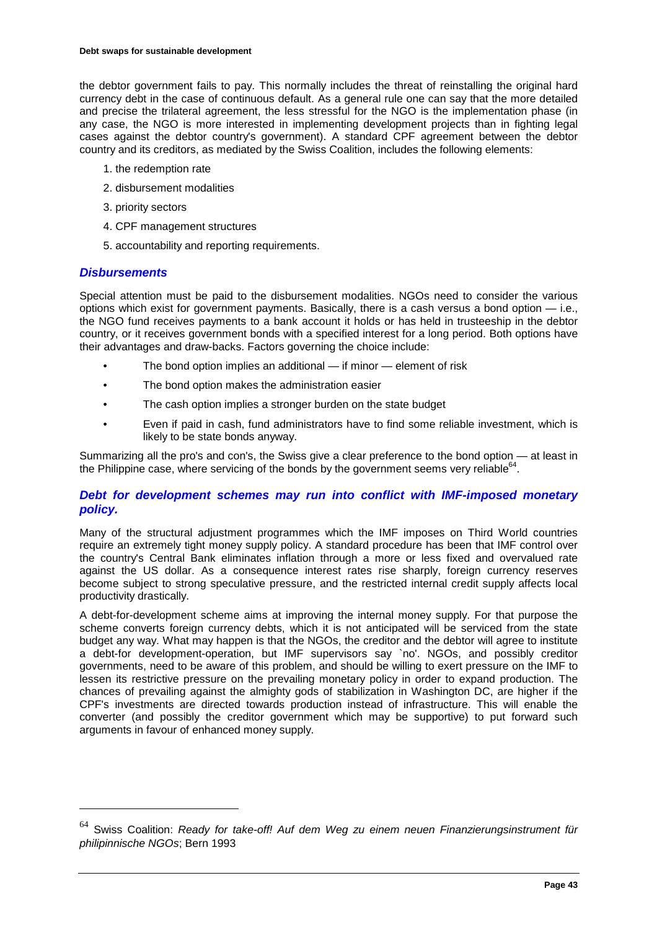the debtor government fails to pay. This normally includes the threat of reinstalling the original hard currency debt in the case of continuous default. As a general rule one can say that the more detailed and precise the trilateral agreement, the less stressful for the NGO is the implementation phase (in any case, the NGO is more interested in implementing development projects than in fighting legal cases against the debtor country's government). A standard CPF agreement between the debtor country and its creditors, as mediated by the Swiss Coalition, includes the following elements:

- 1. the redemption rate
- 2. disbursement modalities
- 3. priority sectors
- 4. CPF management structures
- 5. accountability and reporting requirements.

### *Disbursements*

 $\overline{a}$ 

Special attention must be paid to the disbursement modalities. NGOs need to consider the various options which exist for government payments. Basically, there is a cash versus a bond option — i.e., the NGO fund receives payments to a bank account it holds or has held in trusteeship in the debtor country, or it receives government bonds with a specified interest for a long period. Both options have their advantages and draw-backs. Factors governing the choice include:

- The bond option implies an additional if minor element of risk
- The bond option makes the administration easier
- The cash option implies a stronger burden on the state budget
- Even if paid in cash, fund administrators have to find some reliable investment, which is likely to be state bonds anyway.

Summarizing all the pro's and con's, the Swiss give a clear preference to the bond option — at least in the Philippine case, where servicing of the bonds by the government seems very reliable $64$ .

# *Debt for development schemes may run into conflict with IMF-imposed monetary policy.*

Many of the structural adjustment programmes which the IMF imposes on Third World countries require an extremely tight money supply policy. A standard procedure has been that IMF control over the country's Central Bank eliminates inflation through a more or less fixed and overvalued rate against the US dollar. As a consequence interest rates rise sharply, foreign currency reserves become subject to strong speculative pressure, and the restricted internal credit supply affects local productivity drastically.

A debt-for-development scheme aims at improving the internal money supply. For that purpose the scheme converts foreign currency debts, which it is not anticipated will be serviced from the state budget any way. What may happen is that the NGOs, the creditor and the debtor will agree to institute a debt-for development-operation, but IMF supervisors say `no'. NGOs, and possibly creditor governments, need to be aware of this problem, and should be willing to exert pressure on the IMF to lessen its restrictive pressure on the prevailing monetary policy in order to expand production. The chances of prevailing against the almighty gods of stabilization in Washington DC, are higher if the CPF's investments are directed towards production instead of infrastructure. This will enable the converter (and possibly the creditor government which may be supportive) to put forward such arguments in favour of enhanced money supply.

<sup>64</sup> Swiss Coalition: *Ready for take-off! Auf dem Weg zu einem neuen Finanzierungsinstrument für philipinnische NGOs*; Bern 1993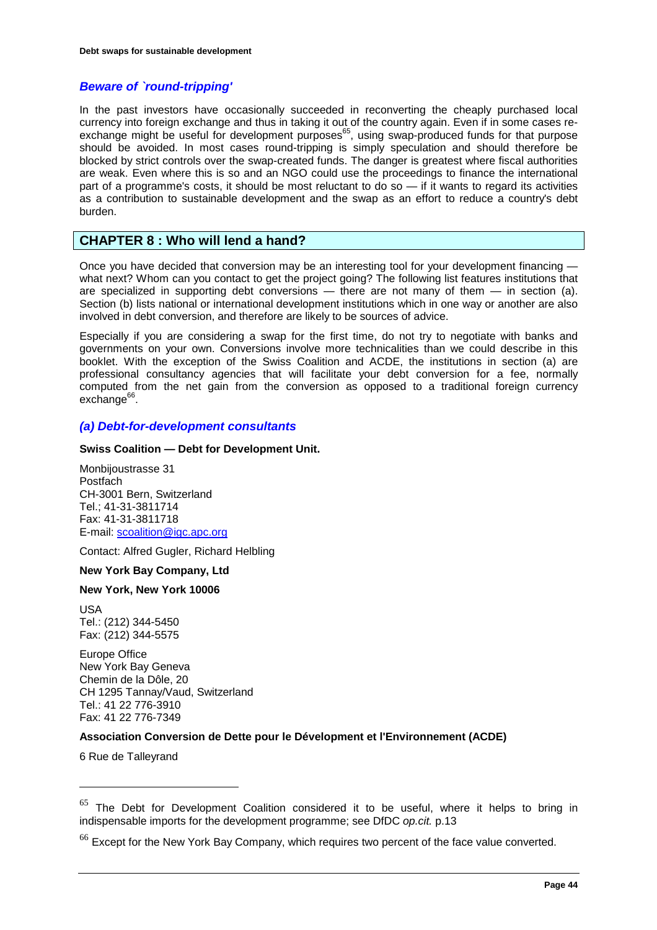# *Beware of `round-tripping'*

In the past investors have occasionally succeeded in reconverting the cheaply purchased local currency into foreign exchange and thus in taking it out of the country again. Even if in some cases reexchange might be useful for development purposes<sup>65</sup>, using swap-produced funds for that purpose should be avoided. In most cases round-tripping is simply speculation and should therefore be blocked by strict controls over the swap-created funds. The danger is greatest where fiscal authorities are weak. Even where this is so and an NGO could use the proceedings to finance the international part of a programme's costs, it should be most reluctant to do so — if it wants to regard its activities as a contribution to sustainable development and the swap as an effort to reduce a country's debt burden.

# **CHAPTER 8 : Who will lend a hand?**

Once you have decided that conversion may be an interesting tool for your development financing what next? Whom can you contact to get the project going? The following list features institutions that are specialized in supporting debt conversions — there are not many of them — in section (a). Section (b) lists national or international development institutions which in one way or another are also involved in debt conversion, and therefore are likely to be sources of advice.

Especially if you are considering a swap for the first time, do not try to negotiate with banks and governments on your own. Conversions involve more technicalities than we could describe in this booklet. With the exception of the Swiss Coalition and ACDE, the institutions in section (a) are professional consultancy agencies that will facilitate your debt conversion for a fee, normally computed from the net gain from the conversion as opposed to a traditional foreign currency  $exchange<sup>66</sup>$ .

# *(a) Debt-for-development consultants*

#### **Swiss Coalition — Debt for Development Unit.**

Monbijoustrasse 31 Postfach CH-3001 Bern, Switzerland Tel.; 41-31-3811714 Fax: 41-31-3811718 E-mail[: scoalition@igc.apc.org](mailto:scoalition@igc.apc.org)

Contact: Alfred Gugler, Richard Helbling

#### **New York Bay Company, Ltd**

#### **New York, New York 10006**

USA Tel.: (212) 344-5450 Fax: (212) 344-5575

Europe Office New York Bay Geneva Chemin de la Dôle, 20 CH 1295 Tannay/Vaud, Switzerland Tel.: 41 22 776-3910 Fax: 41 22 776-7349

#### **Association Conversion de Dette pour le Dévelopment et l'Environnement (ACDE)**

6 Rue de Talleyrand

 $65$  The Debt for Development Coalition considered it to be useful, where it helps to bring in indispensable imports for the development programme; see DfDC *op.cit.* p.13

 $<sup>66</sup>$  Except for the New York Bay Company, which requires two percent of the face value converted.</sup>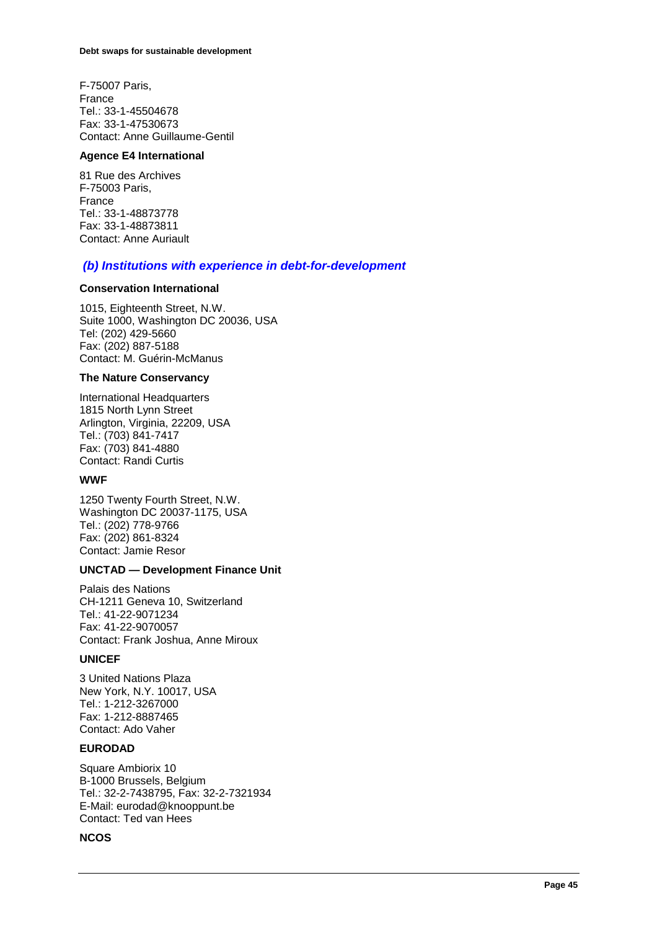F-75007 Paris, France Tel.: 33-1-45504678 Fax: 33-1-47530673 Contact: Anne Guillaume-Gentil

#### **Agence E4 International**

81 Rue des Archives F-75003 Paris, France Tel.: 33-1-48873778 Fax: 33-1-48873811 Contact: Anne Auriault

# *(b) Institutions with experience in debt-for-development*

#### **Conservation International**

1015, Eighteenth Street, N.W. Suite 1000, Washington DC 20036, USA Tel: (202) 429-5660 Fax: (202) 887-5188 Contact: M. Guérin-McManus

#### **The Nature Conservancy**

International Headquarters 1815 North Lynn Street Arlington, Virginia, 22209, USA Tel.: (703) 841-7417 Fax: (703) 841-4880 Contact: Randi Curtis

# **WWF**

1250 Twenty Fourth Street, N.W. Washington DC 20037-1175, USA Tel.: (202) 778-9766 Fax: (202) 861-8324 Contact: Jamie Resor

#### **UNCTAD — Development Finance Unit**

Palais des Nations CH-1211 Geneva 10, Switzerland Tel.: 41-22-9071234 Fax: 41-22-9070057 Contact: Frank Joshua, Anne Miroux

#### **UNICEF**

3 United Nations Plaza New York, N.Y. 10017, USA Tel.: 1-212-3267000 Fax: 1-212-8887465 Contact: Ado Vaher

# **EURODAD**

Square Ambiorix 10 B-1000 Brussels, Belgium Tel.: 32-2-7438795, Fax: 32-2-7321934 E-Mail: eurodad@knooppunt.be Contact: Ted van Hees

#### **NCOS**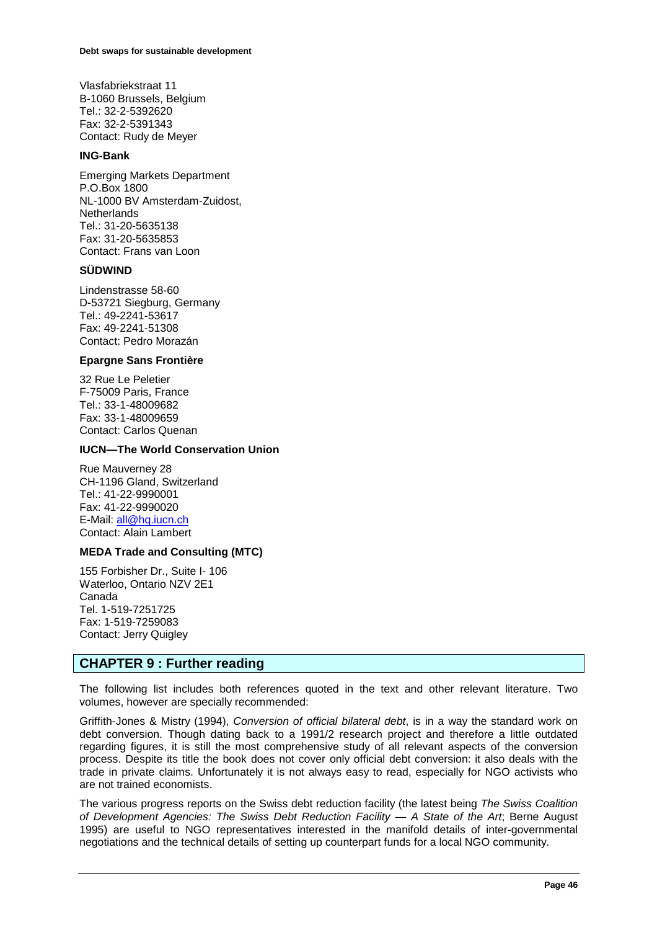Vlasfabriekstraat 11 B-1060 Brussels, Belgium Tel.: 32-2-5392620 Fax: 32-2-5391343 Contact: Rudy de Meyer

#### **ING-Bank**

Emerging Markets Department P.O.Box 1800 NL-1000 BV Amsterdam-Zuidost, **Netherlands** Tel.: 31-20-5635138 Fax: 31-20-5635853 Contact: Frans van Loon

### **SÜDWIND**

Lindenstrasse 58-60 D-53721 Siegburg, Germany Tel.: 49-2241-53617 Fax: 49-2241-51308 Contact: Pedro Morazán

#### **Epargne Sans Frontière**

32 Rue Le Peletier F-75009 Paris, France Tel.: 33-1-48009682 Fax: 33-1-48009659 Contact: Carlos Quenan

#### **IUCN—The World Conservation Union**

Rue Mauverney 28 CH-1196 Gland, Switzerland Tel.: 41-22-9990001 Fax: 41-22-9990020 E-Mail[: all@hq.iucn.ch](mailto:all@hq.iucn.ch)  Contact: Alain Lambert

#### **MEDA Trade and Consulting (MTC)**

155 Forbisher Dr., Suite I- 106 Waterloo, Ontario NZV 2E1 Canada Tel. 1-519-7251725 Fax: 1-519-7259083 Contact: Jerry Quigley

# **CHAPTER 9 : Further reading**

The following list includes both references quoted in the text and other relevant literature. Two volumes, however are specially recommended:

Griffith-Jones & Mistry (1994), *Conversion of official bilateral debt*, is in a way the standard work on debt conversion. Though dating back to a 1991/2 research project and therefore a little outdated regarding figures, it is still the most comprehensive study of all relevant aspects of the conversion process. Despite its title the book does not cover only official debt conversion: it also deals with the trade in private claims. Unfortunately it is not always easy to read, especially for NGO activists who are not trained economists.

The various progress reports on the Swiss debt reduction facility (the latest being *The Swiss Coalition of Development Agencies: The Swiss Debt Reduction Facility — A State of the Art*; Berne August 1995) are useful to NGO representatives interested in the manifold details of inter-governmental negotiations and the technical details of setting up counterpart funds for a local NGO community.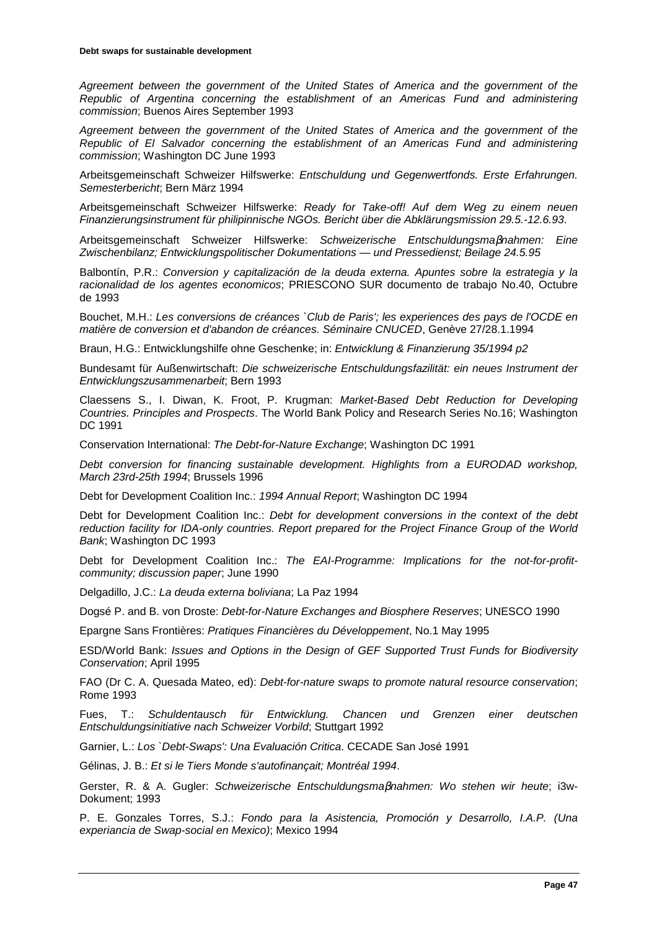*Agreement between the government of the United States of America and the government of the Republic of Argentina concerning the establishment of an Americas Fund and administering commission*; Buenos Aires September 1993

*Agreement between the government of the United States of America and the government of the Republic of El Salvador concerning the establishment of an Americas Fund and administering commission*; Washington DC June 1993

Arbeitsgemeinschaft Schweizer Hilfswerke: *Entschuldung und Gegenwertfonds. Erste Erfahrungen. Semesterbericht*; Bern März 1994

Arbeitsgemeinschaft Schweizer Hilfswerke: *Ready for Take-off! Auf dem Weg zu einem neuen Finanzierungsinstrument für philipinnische NGOs. Bericht über die Abklärungsmission 29.5.-12.6.93*.

Arbeitsgemeinschaft Schweizer Hilfswerke: *Schweizerische Entschuldungsma*β*nahmen: Eine Zwischenbilanz; Entwicklungspolitischer Dokumentations — und Pressedienst; Beilage 24.5.95*

Balbontín, P.R.: *Conversion y capitalización de la deuda externa. Apuntes sobre la estrategia y la racionalidad de los agentes economicos*; PRIESCONO SUR documento de trabajo No.40, Octubre de 1993

Bouchet, M.H.: *Les conversions de créances `Club de Paris'; les experiences des pays de l'OCDE en matière de conversion et d'abandon de créances. Séminaire CNUCED*, Genève 27/28.1.1994

Braun, H.G.: Entwicklungshilfe ohne Geschenke; in: *Entwicklung & Finanzierung 35/1994 p2*

Bundesamt für Außenwirtschaft: *Die schweizerische Entschuldungsfazilität: ein neues Instrument der Entwicklungszusammenarbeit*; Bern 1993

Claessens S., I. Diwan, K. Froot, P. Krugman: *Market-Based Debt Reduction for Developing Countries. Principles and Prospects*. The World Bank Policy and Research Series No.16; Washington DC 1991

Conservation International: *The Debt-for-Nature Exchange*; Washington DC 1991

*Debt conversion for financing sustainable development. Highlights from a EURODAD workshop, March 23rd-25th 1994*; Brussels 1996

Debt for Development Coalition Inc.: *1994 Annual Report*; Washington DC 1994

Debt for Development Coalition Inc.: *Debt for development conversions in the context of the debt reduction facility for IDA-only countries. Report prepared for the Project Finance Group of the World Bank*; Washington DC 1993

Debt for Development Coalition Inc.: *The EAI-Programme: Implications for the not-for-profitcommunity; discussion paper*; June 1990

Delgadillo, J.C.: *La deuda externa boliviana*; La Paz 1994

Dogsé P. and B. von Droste: *Debt-for-Nature Exchanges and Biosphere Reserves*; UNESCO 1990

Epargne Sans Frontières: *Pratiques Financières du Développement*, No.1 May 1995

ESD/World Bank: *Issues and Options in the Design of GEF Supported Trust Funds for Biodiversity Conservation*; April 1995

FAO (Dr C. A. Quesada Mateo, ed): *Debt-for-nature swaps to promote natural resource conservation*; Rome 1993

Fues, T.: *Schuldentausch für Entwicklung. Chancen und Grenzen einer deutschen Entschuldungsinitiative nach Schweizer Vorbild*; Stuttgart 1992

Garnier, L.: *Los `Debt-Swaps': Una Evaluación Critica*. CECADE San José 1991

Gélinas, J. B.: *Et si le Tiers Monde s'autofinançait; Montréal 1994*.

Gerster, R. & A. Gugler: *Schweizerische Entschuldungsma*β*nahmen: Wo stehen wir heute*; i3w-Dokument; 1993

P. E. Gonzales Torres, S.J.: *Fondo para la Asistencia, Promoción y Desarrollo, I.A.P. (Una experiancia de Swap-social en Mexico)*; Mexico 1994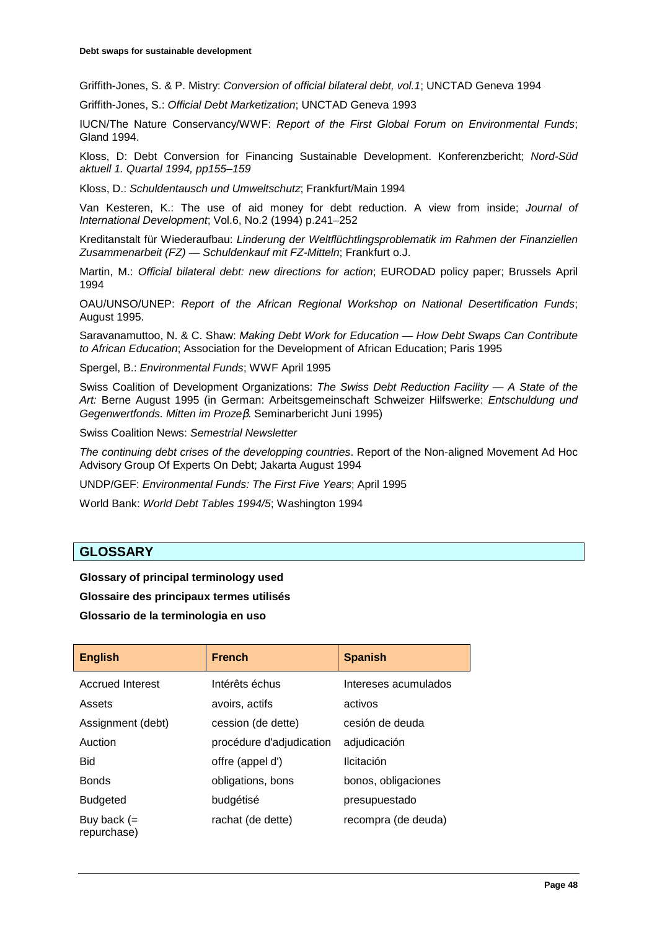Griffith-Jones, S. & P. Mistry: *Conversion of official bilateral debt, vol.1*; UNCTAD Geneva 1994

Griffith-Jones, S.: *Official Debt Marketization*; UNCTAD Geneva 1993

IUCN/The Nature Conservancy/WWF: *Report of the First Global Forum on Environmental Funds*; Gland 1994.

Kloss, D: Debt Conversion for Financing Sustainable Development. Konferenzbericht; *Nord-Süd aktuell 1. Quartal 1994, pp155–159*

Kloss, D.: *Schuldentausch und Umweltschutz*; Frankfurt/Main 1994

Van Kesteren, K.: The use of aid money for debt reduction. A view from inside; *Journal of International Development*; Vol.6, No.2 (1994) p.241–252

Kreditanstalt für Wiederaufbau: *Linderung der Weltflüchtlingsproblematik im Rahmen der Finanziellen Zusammenarbeit (FZ) — Schuldenkauf mit FZ-Mitteln*; Frankfurt o.J.

Martin, M.: *Official bilateral debt: new directions for action*; EURODAD policy paper; Brussels April 1994

OAU/UNSO/UNEP: *Report of the African Regional Workshop on National Desertification Funds*; August 1995.

Saravanamuttoo, N. & C. Shaw: *Making Debt Work for Education — How Debt Swaps Can Contribute to African Education*; Association for the Development of African Education; Paris 1995

Spergel, B.: *Environmental Funds*; WWF April 1995

Swiss Coalition of Development Organizations: *The Swiss Debt Reduction Facility — A State of the Art:* Berne August 1995 (in German: Arbeitsgemeinschaft Schweizer Hilfswerke: *Entschuldung und Gegenwertfonds. Mitten im Proze*β. Seminarbericht Juni 1995)

Swiss Coalition News: *Semestrial Newsletter*

*The continuing debt crises of the developping countries*. Report of the Non-aligned Movement Ad Hoc Advisory Group Of Experts On Debt; Jakarta August 1994

UNDP/GEF: *Environmental Funds: The First Five Years*; April 1995

World Bank: *World Debt Tables 1994/5*; Washington 1994

# **GLOSSARY**

**Glossary of principal terminology used Glossaire des principaux termes utilisés Glossario de la terminologia en uso** 

| <b>English</b>               | <b>French</b>            | <b>Spanish</b>       |
|------------------------------|--------------------------|----------------------|
| <b>Accrued Interest</b>      | Intérêts échus           | Intereses acumulados |
| Assets                       | avoirs, actifs           | activos              |
| Assignment (debt)            | cession (de dette)       | cesión de deuda      |
| Auction                      | procédure d'adjudication | adjudicación         |
| <b>Bid</b>                   | offre (appel d')         | Ilcitación           |
| <b>Bonds</b>                 | obligations, bons        | bonos, obligaciones  |
| <b>Budgeted</b>              | budgétisé                | presupuestado        |
| Buy back $(=$<br>repurchase) | rachat (de dette)        | recompra (de deuda)  |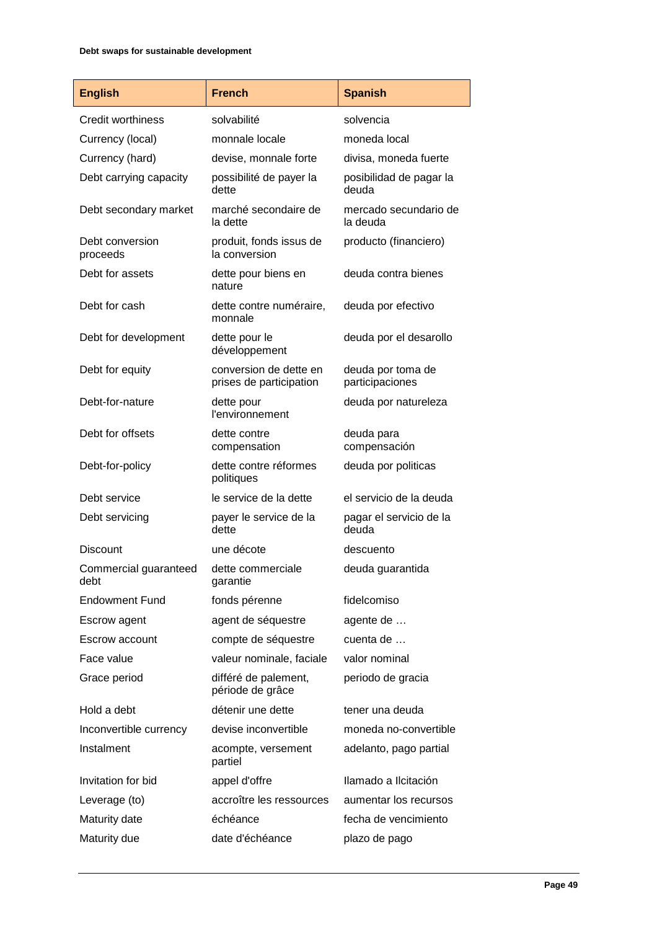| <b>English</b>                | <b>French</b>                                     | <b>Spanish</b>                       |
|-------------------------------|---------------------------------------------------|--------------------------------------|
| Credit worthiness             | solvabilité                                       | solvencia                            |
| Currency (local)              | monnale locale                                    | moneda local                         |
| Currency (hard)               | devise, monnale forte                             | divisa, moneda fuerte                |
| Debt carrying capacity        | possibilité de payer la<br>dette                  | posibilidad de pagar la<br>deuda     |
| Debt secondary market         | marché secondaire de<br>la dette                  | mercado secundario de<br>la deuda    |
| Debt conversion<br>proceeds   | produit, fonds issus de<br>la conversion          | producto (financiero)                |
| Debt for assets               | dette pour biens en<br>nature                     | deuda contra bienes                  |
| Debt for cash                 | dette contre numéraire,<br>monnale                | deuda por efectivo                   |
| Debt for development          | dette pour le<br>développement                    | deuda por el desarollo               |
| Debt for equity               | conversion de dette en<br>prises de participation | deuda por toma de<br>participaciones |
| Debt-for-nature               | dette pour<br>l'environnement                     | deuda por natureleza                 |
| Debt for offsets              | dette contre<br>compensation                      | deuda para<br>compensación           |
| Debt-for-policy               | dette contre réformes<br>politiques               | deuda por politicas                  |
| Debt service                  | le service de la dette                            | el servicio de la deuda              |
| Debt servicing                | payer le service de la<br>dette                   | pagar el servicio de la<br>deuda     |
| Discount                      | une décote                                        | descuento                            |
| Commercial guaranteed<br>debt | dette commerciale<br>garantie                     | deuda guarantida                     |
| <b>Endowment Fund</b>         | fonds pérenne                                     | fidelcomiso                          |
| Escrow agent                  | agent de séquestre                                | agente de                            |
| Escrow account                | compte de séquestre                               | cuenta de                            |
| Face value                    | valeur nominale, faciale                          | valor nominal                        |
| Grace period                  | différé de palement,<br>période de grâce          | periodo de gracia                    |
| Hold a debt                   | détenir une dette                                 | tener una deuda                      |
| Inconvertible currency        | devise inconvertible                              | moneda no-convertible                |
| Instalment                    | acompte, versement<br>partiel                     | adelanto, pago partial               |
| Invitation for bid            | appel d'offre                                     | Ilamado a Ilcitación                 |
| Leverage (to)                 | accroître les ressources                          | aumentar los recursos                |
| Maturity date                 | échéance                                          | fecha de vencimiento                 |
| Maturity due                  | date d'échéance                                   | plazo de pago                        |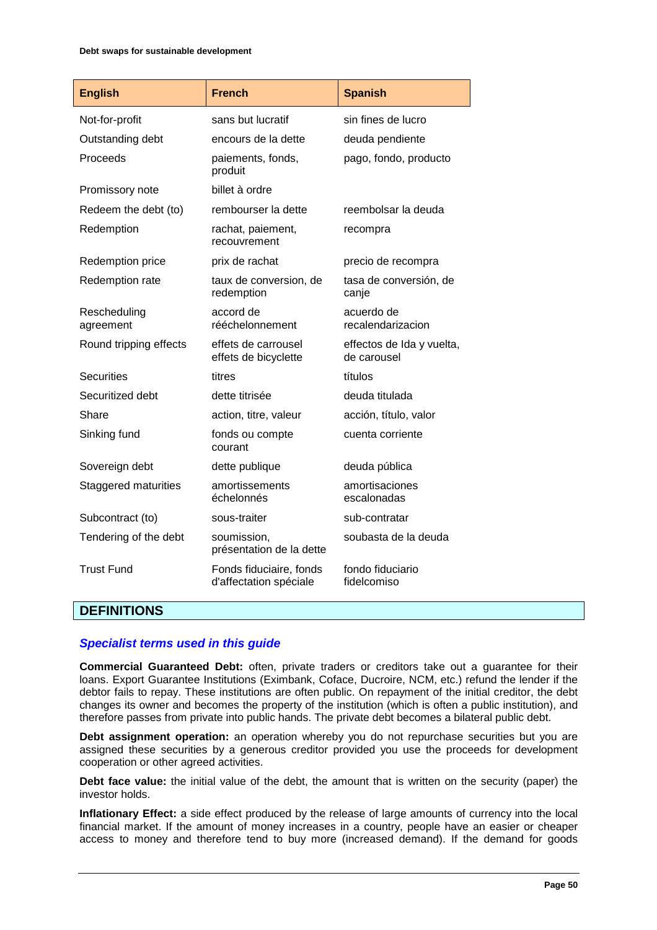| <b>English</b>            | <b>French</b>                                     | <b>Spanish</b>                           |
|---------------------------|---------------------------------------------------|------------------------------------------|
| Not-for-profit            | sans but lucratif                                 | sin fines de lucro                       |
| Outstanding debt          | encours de la dette                               | deuda pendiente                          |
| Proceeds                  | paiements, fonds,<br>produit                      | pago, fondo, producto                    |
| Promissory note           | billet à ordre                                    |                                          |
| Redeem the debt (to)      | rembourser la dette                               | reembolsar la deuda                      |
| Redemption                | rachat, paiement,<br>recouvrement                 | recompra                                 |
| Redemption price          | prix de rachat                                    | precio de recompra                       |
| Redemption rate           | taux de conversion, de<br>redemption              | tasa de conversión, de<br>canje          |
| Rescheduling<br>agreement | accord de<br>rééchelonnement                      | acuerdo de<br>recalendarizacion          |
| Round tripping effects    | effets de carrousel<br>effets de bicyclette       | effectos de Ida y vuelta,<br>de carousel |
| <b>Securities</b>         | titres                                            | títulos                                  |
| Securitized debt          | dette titrisée                                    | deuda titulada                           |
| Share                     | action, titre, valeur                             | acción, título, valor                    |
| Sinking fund              | fonds ou compte<br>courant                        | cuenta corriente                         |
| Sovereign debt            | dette publique                                    | deuda pública                            |
| Staggered maturities      | amortissements<br>échelonnés                      | amortisaciones<br>escalonadas            |
| Subcontract (to)          | sous-traiter                                      | sub-contratar                            |
| Tendering of the debt     | soumission,<br>présentation de la dette           | soubasta de la deuda                     |
| <b>Trust Fund</b>         | Fonds fiduciaire, fonds<br>d'affectation spéciale | fondo fiduciario<br>fidelcomiso          |

# **DEFINITIONS**

# *Specialist terms used in this guide*

**Commercial Guaranteed Debt:** often, private traders or creditors take out a guarantee for their loans. Export Guarantee Institutions (Eximbank, Coface, Ducroire, NCM, etc.) refund the lender if the debtor fails to repay. These institutions are often public. On repayment of the initial creditor, the debt changes its owner and becomes the property of the institution (which is often a public institution), and therefore passes from private into public hands. The private debt becomes a bilateral public debt.

**Debt assignment operation:** an operation whereby you do not repurchase securities but you are assigned these securities by a generous creditor provided you use the proceeds for development cooperation or other agreed activities.

**Debt face value:** the initial value of the debt, the amount that is written on the security (paper) the investor holds.

**Inflationary Effect:** a side effect produced by the release of large amounts of currency into the local financial market. If the amount of money increases in a country, people have an easier or cheaper access to money and therefore tend to buy more (increased demand). If the demand for goods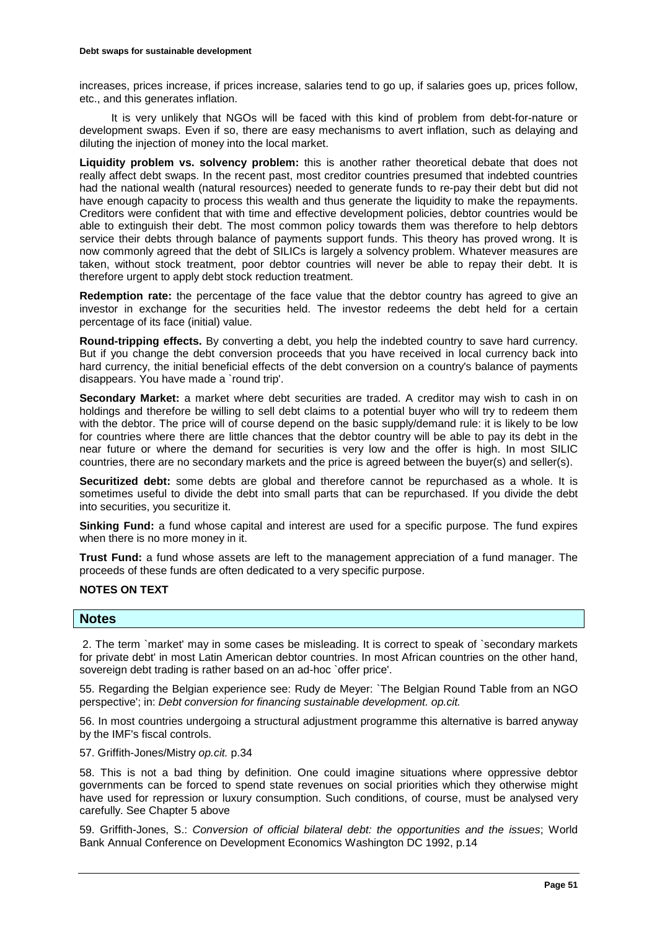increases, prices increase, if prices increase, salaries tend to go up, if salaries goes up, prices follow, etc., and this generates inflation.

It is very unlikely that NGOs will be faced with this kind of problem from debt-for-nature or development swaps. Even if so, there are easy mechanisms to avert inflation, such as delaying and diluting the injection of money into the local market.

**Liquidity problem vs. solvency problem:** this is another rather theoretical debate that does not really affect debt swaps. In the recent past, most creditor countries presumed that indebted countries had the national wealth (natural resources) needed to generate funds to re-pay their debt but did not have enough capacity to process this wealth and thus generate the liquidity to make the repayments. Creditors were confident that with time and effective development policies, debtor countries would be able to extinguish their debt. The most common policy towards them was therefore to help debtors service their debts through balance of payments support funds. This theory has proved wrong. It is now commonly agreed that the debt of SILICs is largely a solvency problem. Whatever measures are taken, without stock treatment, poor debtor countries will never be able to repay their debt. It is therefore urgent to apply debt stock reduction treatment.

**Redemption rate:** the percentage of the face value that the debtor country has agreed to give an investor in exchange for the securities held. The investor redeems the debt held for a certain percentage of its face (initial) value.

**Round-tripping effects.** By converting a debt, you help the indebted country to save hard currency. But if you change the debt conversion proceeds that you have received in local currency back into hard currency, the initial beneficial effects of the debt conversion on a country's balance of payments disappears. You have made a `round trip'.

**Secondary Market:** a market where debt securities are traded. A creditor may wish to cash in on holdings and therefore be willing to sell debt claims to a potential buyer who will try to redeem them with the debtor. The price will of course depend on the basic supply/demand rule: it is likely to be low for countries where there are little chances that the debtor country will be able to pay its debt in the near future or where the demand for securities is very low and the offer is high. In most SILIC countries, there are no secondary markets and the price is agreed between the buyer(s) and seller(s).

**Securitized debt:** some debts are global and therefore cannot be repurchased as a whole. It is sometimes useful to divide the debt into small parts that can be repurchased. If you divide the debt into securities, you securitize it.

**Sinking Fund:** a fund whose capital and interest are used for a specific purpose. The fund expires when there is no more money in it.

**Trust Fund:** a fund whose assets are left to the management appreciation of a fund manager. The proceeds of these funds are often dedicated to a very specific purpose.

# **NOTES ON TEXT**

**Notes** 

 2. The term `market' may in some cases be misleading. It is correct to speak of `secondary markets for private debt' in most Latin American debtor countries. In most African countries on the other hand, sovereign debt trading is rather based on an ad-hoc `offer price'.

55. Regarding the Belgian experience see: Rudy de Meyer: `The Belgian Round Table from an NGO perspective'; in: *Debt conversion for financing sustainable development. op.cit.*

56. In most countries undergoing a structural adjustment programme this alternative is barred anyway by the IMF's fiscal controls.

57. Griffith-Jones/Mistry *op.cit.* p.34

58. This is not a bad thing by definition. One could imagine situations where oppressive debtor governments can be forced to spend state revenues on social priorities which they otherwise might have used for repression or luxury consumption. Such conditions, of course, must be analysed very carefully. See Chapter 5 above

59. Griffith-Jones, S.: *Conversion of official bilateral debt: the opportunities and the issues*; World Bank Annual Conference on Development Economics Washington DC 1992, p.14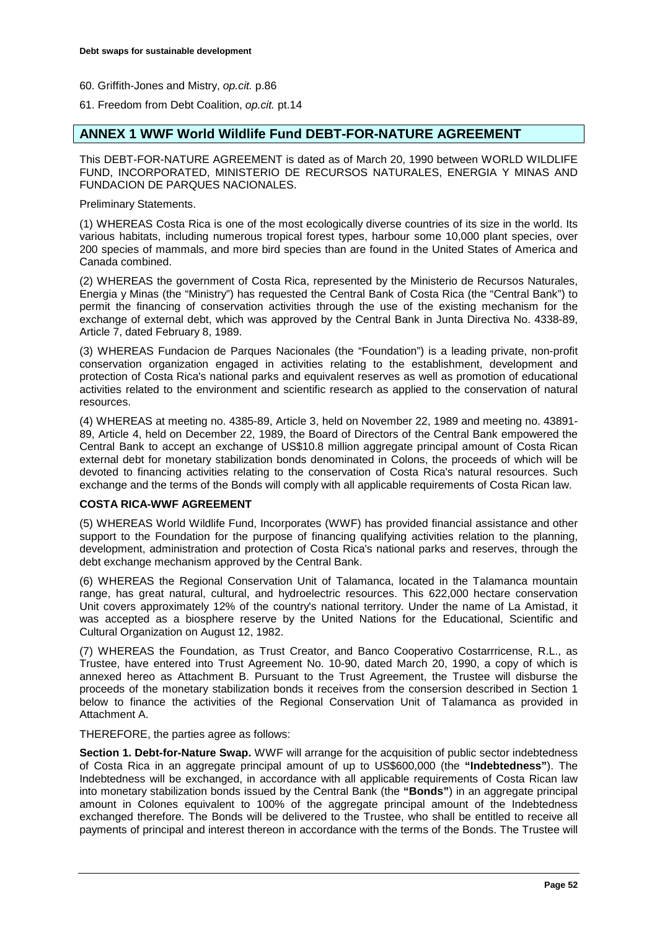60. Griffith-Jones and Mistry, *op.cit.* p.86

61. Freedom from Debt Coalition, *op.cit.* pt.14

# **ANNEX 1 WWF World Wildlife Fund DEBT-FOR-NATURE AGREEMENT**

This DEBT-FOR-NATURE AGREEMENT is dated as of March 20, 1990 between WORLD WILDLIFE FUND, INCORPORATED, MINISTERIO DE RECURSOS NATURALES, ENERGIA Y MINAS AND FUNDACION DE PARQUES NACIONALES.

Preliminary Statements.

(1) WHEREAS Costa Rica is one of the most ecologically diverse countries of its size in the world. Its various habitats, including numerous tropical forest types, harbour some 10,000 plant species, over 200 species of mammals, and more bird species than are found in the United States of America and Canada combined.

(2) WHEREAS the government of Costa Rica, represented by the Ministerio de Recursos Naturales, Energia y Minas (the "Ministry") has requested the Central Bank of Costa Rica (the "Central Bank") to permit the financing of conservation activities through the use of the existing mechanism for the exchange of external debt, which was approved by the Central Bank in Junta Directiva No. 4338-89, Article 7, dated February 8, 1989.

(3) WHEREAS Fundacion de Parques Nacionales (the "Foundation") is a leading private, non-profit conservation organization engaged in activities relating to the establishment, development and protection of Costa Rica's national parks and equivalent reserves as well as promotion of educational activities related to the environment and scientific research as applied to the conservation of natural resources.

(4) WHEREAS at meeting no. 4385-89, Article 3, held on November 22, 1989 and meeting no. 43891- 89, Article 4, held on December 22, 1989, the Board of Directors of the Central Bank empowered the Central Bank to accept an exchange of US\$10.8 million aggregate principal amount of Costa Rican external debt for monetary stabilization bonds denominated in Colons, the proceeds of which will be devoted to financing activities relating to the conservation of Costa Rica's natural resources. Such exchange and the terms of the Bonds will comply with all applicable requirements of Costa Rican law.

# **COSTA RICA-WWF AGREEMENT**

(5) WHEREAS World Wildlife Fund, Incorporates (WWF) has provided financial assistance and other support to the Foundation for the purpose of financing qualifying activities relation to the planning, development, administration and protection of Costa Rica's national parks and reserves, through the debt exchange mechanism approved by the Central Bank.

(6) WHEREAS the Regional Conservation Unit of Talamanca, located in the Talamanca mountain range, has great natural, cultural, and hydroelectric resources. This 622,000 hectare conservation Unit covers approximately 12% of the country's national territory. Under the name of La Amistad, it was accepted as a biosphere reserve by the United Nations for the Educational, Scientific and Cultural Organization on August 12, 1982.

(7) WHEREAS the Foundation, as Trust Creator, and Banco Cooperativo Costarrricense, R.L., as Trustee, have entered into Trust Agreement No. 10-90, dated March 20, 1990, a copy of which is annexed hereo as Attachment B. Pursuant to the Trust Agreement, the Trustee will disburse the proceeds of the monetary stabilization bonds it receives from the consersion described in Section 1 below to finance the activities of the Regional Conservation Unit of Talamanca as provided in Attachment A.

THEREFORE, the parties agree as follows:

**Section 1. Debt-for-Nature Swap.** WWF will arrange for the acquisition of public sector indebtedness of Costa Rica in an aggregate principal amount of up to US\$600,000 (the **"Indebtedness"**). The Indebtedness will be exchanged, in accordance with all applicable requirements of Costa Rican law into monetary stabilization bonds issued by the Central Bank (the **"Bonds"**) in an aggregate principal amount in Colones equivalent to 100% of the aggregate principal amount of the Indebtedness exchanged therefore. The Bonds will be delivered to the Trustee, who shall be entitled to receive all payments of principal and interest thereon in accordance with the terms of the Bonds. The Trustee will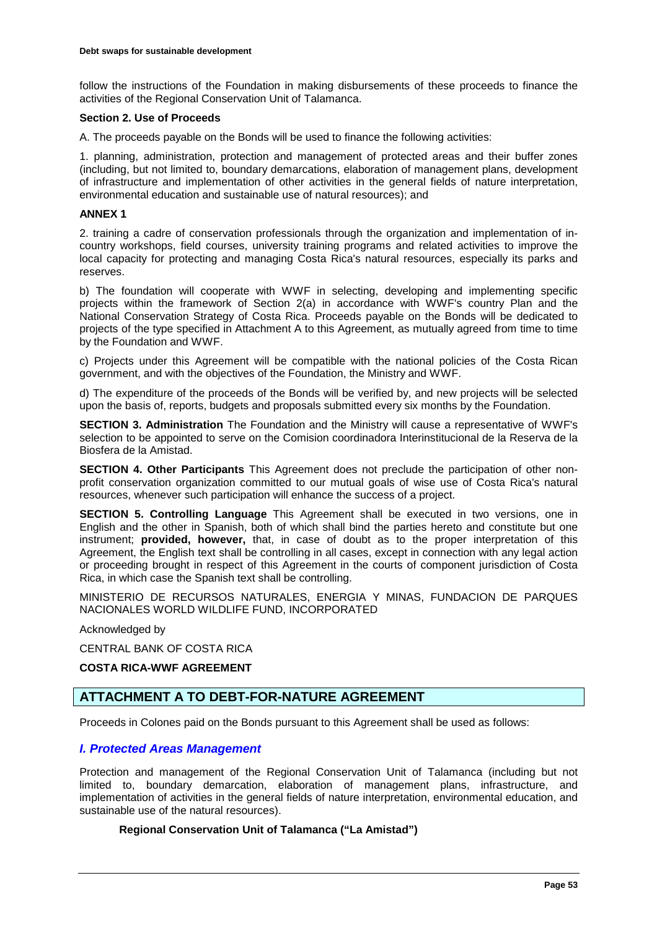follow the instructions of the Foundation in making disbursements of these proceeds to finance the activities of the Regional Conservation Unit of Talamanca.

#### **Section 2. Use of Proceeds**

A. The proceeds payable on the Bonds will be used to finance the following activities:

1. planning, administration, protection and management of protected areas and their buffer zones (including, but not limited to, boundary demarcations, elaboration of management plans, development of infrastructure and implementation of other activities in the general fields of nature interpretation, environmental education and sustainable use of natural resources); and

### **ANNEX 1**

2. training a cadre of conservation professionals through the organization and implementation of incountry workshops, field courses, university training programs and related activities to improve the local capacity for protecting and managing Costa Rica's natural resources, especially its parks and reserves.

b) The foundation will cooperate with WWF in selecting, developing and implementing specific projects within the framework of Section 2(a) in accordance with WWF's country Plan and the National Conservation Strategy of Costa Rica. Proceeds payable on the Bonds will be dedicated to projects of the type specified in Attachment A to this Agreement, as mutually agreed from time to time by the Foundation and WWF.

c) Projects under this Agreement will be compatible with the national policies of the Costa Rican government, and with the objectives of the Foundation, the Ministry and WWF.

d) The expenditure of the proceeds of the Bonds will be verified by, and new projects will be selected upon the basis of, reports, budgets and proposals submitted every six months by the Foundation.

**SECTION 3. Administration** The Foundation and the Ministry will cause a representative of WWF's selection to be appointed to serve on the Comision coordinadora Interinstitucional de la Reserva de la Biosfera de la Amistad.

**SECTION 4. Other Participants** This Agreement does not preclude the participation of other nonprofit conservation organization committed to our mutual goals of wise use of Costa Rica's natural resources, whenever such participation will enhance the success of a project.

**SECTION 5. Controlling Language** This Agreement shall be executed in two versions, one in English and the other in Spanish, both of which shall bind the parties hereto and constitute but one instrument; **provided, however,** that, in case of doubt as to the proper interpretation of this Agreement, the English text shall be controlling in all cases, except in connection with any legal action or proceeding brought in respect of this Agreement in the courts of component jurisdiction of Costa Rica, in which case the Spanish text shall be controlling.

MINISTERIO DE RECURSOS NATURALES, ENERGIA Y MINAS, FUNDACION DE PARQUES NACIONALES WORLD WILDLIFE FUND, INCORPORATED

Acknowledged by

CENTRAL BANK OF COSTA RICA

# **COSTA RICA-WWF AGREEMENT**

# **ATTACHMENT A TO DEBT-FOR-NATURE AGREEMENT**

Proceeds in Colones paid on the Bonds pursuant to this Agreement shall be used as follows:

# *I. Protected Areas Management*

Protection and management of the Regional Conservation Unit of Talamanca (including but not limited to, boundary demarcation, elaboration of management plans, infrastructure, and implementation of activities in the general fields of nature interpretation, environmental education, and sustainable use of the natural resources).

# **Regional Conservation Unit of Talamanca ("La Amistad")**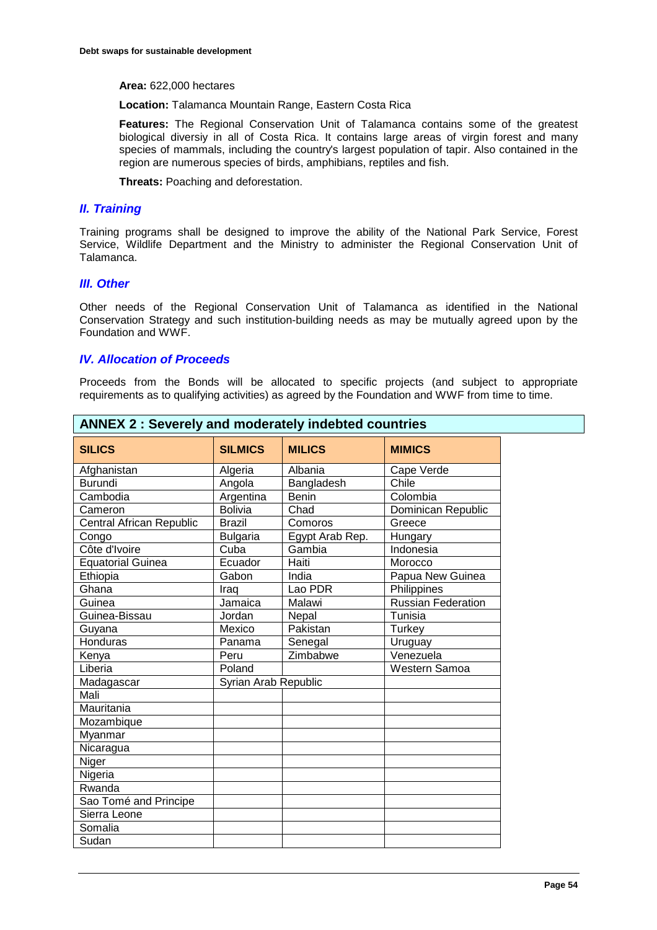#### **Area:** 622,000 hectares

**Location:** Talamanca Mountain Range, Eastern Costa Rica

**Features:** The Regional Conservation Unit of Talamanca contains some of the greatest biological diversiy in all of Costa Rica. It contains large areas of virgin forest and many species of mammals, including the country's largest population of tapir. Also contained in the region are numerous species of birds, amphibians, reptiles and fish.

**Threats:** Poaching and deforestation.

### *II. Training*

Training programs shall be designed to improve the ability of the National Park Service, Forest Service, Wildlife Department and the Ministry to administer the Regional Conservation Unit of Talamanca.

### *III. Other*

Other needs of the Regional Conservation Unit of Talamanca as identified in the National Conservation Strategy and such institution-building needs as may be mutually agreed upon by the Foundation and WWF.

# *IV. Allocation of Proceeds*

Proceeds from the Bonds will be allocated to specific projects (and subject to appropriate requirements as to qualifying activities) as agreed by the Foundation and WWF from time to time.

| <b>ANNEX 2: Severely and moderately indebted countries</b> |                      |                 |                           |  |  |  |
|------------------------------------------------------------|----------------------|-----------------|---------------------------|--|--|--|
| <b>SILICS</b>                                              | <b>SILMICS</b>       | <b>MILICS</b>   | <b>MIMICS</b>             |  |  |  |
| Afghanistan                                                | Algeria              | Albania         | Cape Verde                |  |  |  |
| <b>Burundi</b>                                             | Angola               | Bangladesh      | Chile                     |  |  |  |
| Cambodia                                                   | Argentina            | <b>Benin</b>    | Colombia                  |  |  |  |
| Cameron                                                    | <b>Bolivia</b>       | Chad            | Dominican Republic        |  |  |  |
| <b>Central African Republic</b>                            | <b>Brazil</b>        | Comoros         | Greece                    |  |  |  |
| Congo                                                      | <b>Bulgaria</b>      | Egypt Arab Rep. | Hungary                   |  |  |  |
| Côte d'Ivoire                                              | Cuba                 | Gambia          | Indonesia                 |  |  |  |
| <b>Equatorial Guinea</b>                                   | Ecuador              | Haiti           | Morocco                   |  |  |  |
| Ethiopia                                                   | Gabon                | India           | Papua New Guinea          |  |  |  |
| Ghana                                                      | Iraq                 | Lao PDR         | Philippines               |  |  |  |
| Guinea                                                     | Jamaica              | Malawi          | <b>Russian Federation</b> |  |  |  |
| Guinea-Bissau                                              | Jordan               | Nepal           | Tunisia                   |  |  |  |
| Guyana                                                     | Mexico               | Pakistan        | Turkey                    |  |  |  |
| Honduras                                                   | Panama               | Senegal         | Uruguay                   |  |  |  |
| Kenya                                                      | Peru                 | Zimbabwe        | Venezuela                 |  |  |  |
| Liberia                                                    | Poland               |                 | Western Samoa             |  |  |  |
| Madagascar                                                 | Syrian Arab Republic |                 |                           |  |  |  |
| Mali                                                       |                      |                 |                           |  |  |  |
| Mauritania                                                 |                      |                 |                           |  |  |  |
| Mozambique                                                 |                      |                 |                           |  |  |  |
| Myanmar                                                    |                      |                 |                           |  |  |  |
| Nicaragua                                                  |                      |                 |                           |  |  |  |
| Niger                                                      |                      |                 |                           |  |  |  |
| Nigeria                                                    |                      |                 |                           |  |  |  |
| Rwanda                                                     |                      |                 |                           |  |  |  |
| Sao Tomé and Principe                                      |                      |                 |                           |  |  |  |
| Sierra Leone                                               |                      |                 |                           |  |  |  |
| Somalia                                                    |                      |                 |                           |  |  |  |
| Sudan                                                      |                      |                 |                           |  |  |  |